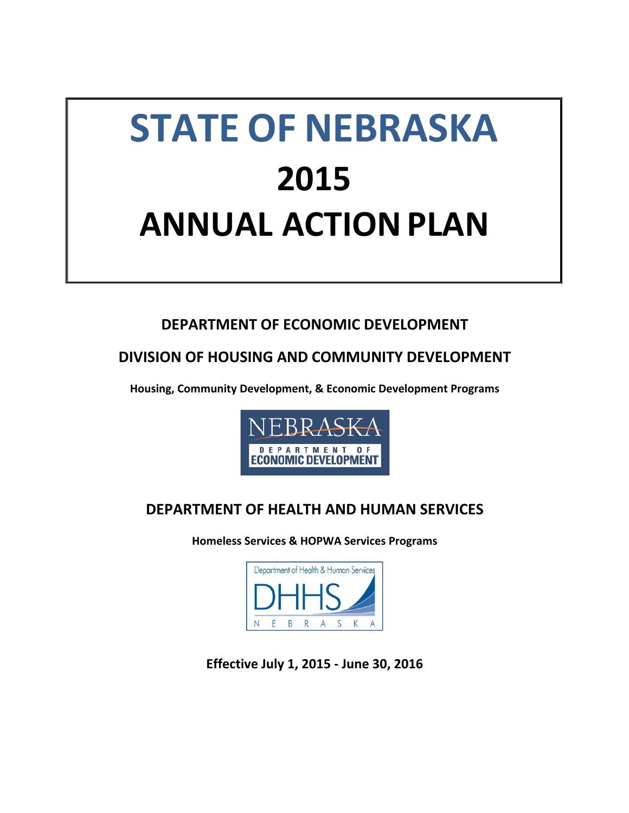# **STATE OF NEBRASKA 2015 ANNUAL ACTION PLAN**

# **DEPARTMENT OF ECONOMIC DEVELOPMENT**

# **DIVISION OF HOUSING AND COMMUNITY DEVELOPMENT**

**Housing, Community Development, & Economic Development Programs**



# **DEPARTMENT OF HEALTH AND HUMAN SERVICES**

**Homeless Services & HOPWA Services Programs**



**Effective July 1, 2015 ‐ June 30, 2016**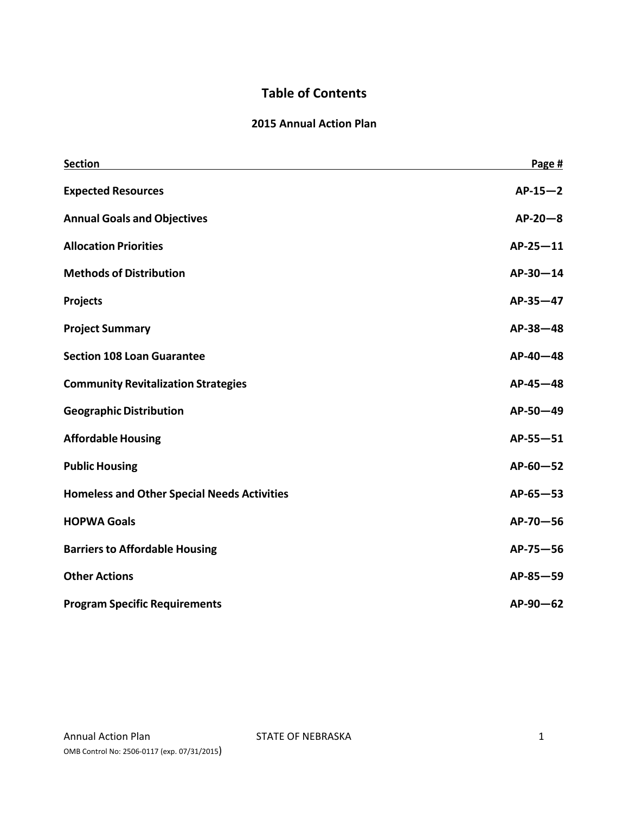# **Table of Contents**

#### **2015 Annual Action Plan**

| <b>Section</b>                                     | Page #       |
|----------------------------------------------------|--------------|
| <b>Expected Resources</b>                          | $AP-15-2$    |
| <b>Annual Goals and Objectives</b>                 | $AP-20-8$    |
| <b>Allocation Priorities</b>                       | $AP-25-11$   |
| <b>Methods of Distribution</b>                     | $AP-30-14$   |
| Projects                                           | AP-35-47     |
| <b>Project Summary</b>                             | AP-38-48     |
| <b>Section 108 Loan Guarantee</b>                  | AP-40-48     |
| <b>Community Revitalization Strategies</b>         | $AP-45-48$   |
| <b>Geographic Distribution</b>                     | AP-50-49     |
| <b>Affordable Housing</b>                          | $AP-55 - 51$ |
| <b>Public Housing</b>                              | $AP-60-52$   |
| <b>Homeless and Other Special Needs Activities</b> | $AP-65 - 53$ |
| <b>HOPWA Goals</b>                                 | AP-70-56     |
| <b>Barriers to Affordable Housing</b>              | $AP-75-56$   |
| <b>Other Actions</b>                               | $AP-85-59$   |
| <b>Program Specific Requirements</b>               | $AP-90-62$   |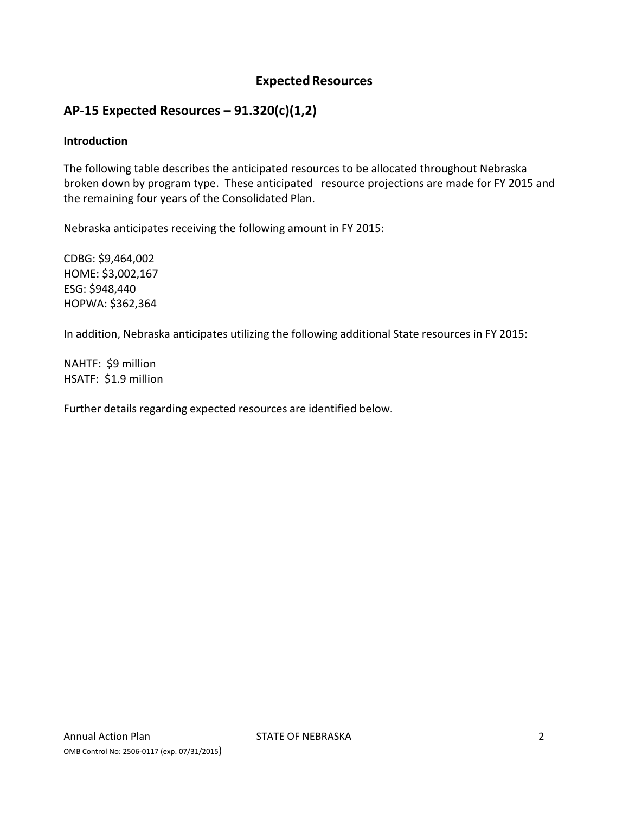## **Expected Resources**

## **AP‐15 Expected Resources – 91.320(c)(1,2)**

#### **Introduction**

The following table describes the anticipated resources to be allocated throughout Nebraska broken down by program type. These anticipated resource projections are made for FY 2015 and the remaining four years of the Consolidated Plan.

Nebraska anticipates receiving the following amount in FY 2015:

CDBG: \$9,464,002 HOME: \$3,002,167 ESG: \$948,440 HOPWA: \$362,364

In addition, Nebraska anticipates utilizing the following additional State resources in FY 2015:

NAHTF: \$9 million HSATF: \$1.9 million

Further details regarding expected resources are identified below.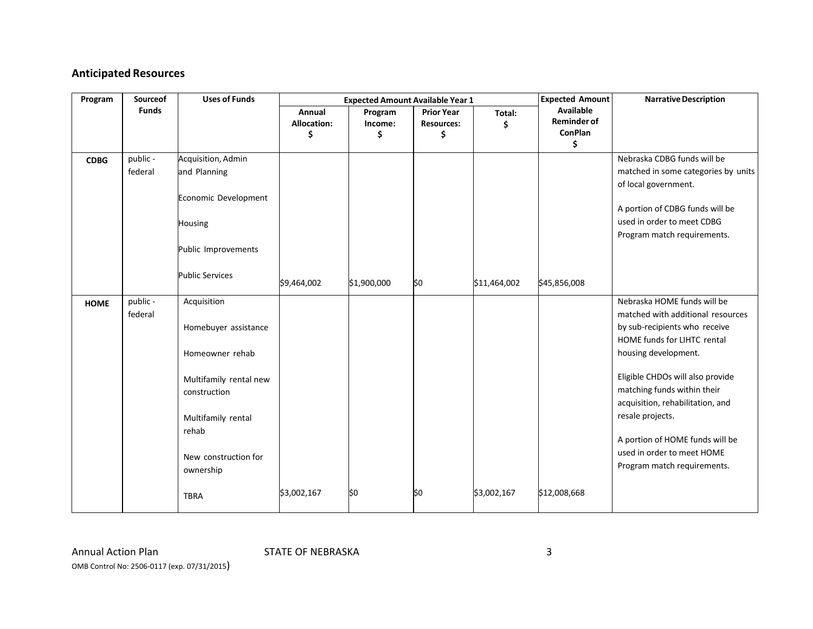## **Anticipated Resources**

| Program     | Sourceof            | <b>Uses of Funds</b>                                                                                                                                                                |                                    | <b>Expected Amount Available Year 1</b> |                                              |              | <b>Expected Amount</b>                                  | <b>Narrative Description</b>                                                                                                                                                                                                                                                                                                                                                        |
|-------------|---------------------|-------------------------------------------------------------------------------------------------------------------------------------------------------------------------------------|------------------------------------|-----------------------------------------|----------------------------------------------|--------------|---------------------------------------------------------|-------------------------------------------------------------------------------------------------------------------------------------------------------------------------------------------------------------------------------------------------------------------------------------------------------------------------------------------------------------------------------------|
|             | <b>Funds</b>        |                                                                                                                                                                                     | Annual<br><b>Allocation:</b><br>\$ | Program<br>Income:<br>\$                | <b>Prior Year</b><br><b>Resources:</b><br>\$ | Total:<br>\$ | Available<br><b>Reminder of</b><br><b>ConPlan</b><br>\$ |                                                                                                                                                                                                                                                                                                                                                                                     |
| <b>CDBG</b> | public -<br>federal | Acquisition, Admin<br>and Planning<br>Economic Development<br><b>Housing</b><br>Public Improvements<br><b>Public Services</b>                                                       | \$9,464,002                        | \$1,900,000                             | \$0                                          | \$11,464,002 | \$45,856,008                                            | Nebraska CDBG funds will be<br>matched in some categories by units<br>of local government.<br>A portion of CDBG funds will be<br>used in order to meet CDBG<br>Program match requirements.                                                                                                                                                                                          |
| <b>HOME</b> | public -<br>federal | Acquisition<br>Homebuyer assistance<br>Homeowner rehab<br>Multifamily rental new<br>construction<br>Multifamily rental<br>rehab<br>New construction for<br>ownership<br><b>TBRA</b> | \$3,002,167                        | \$0                                     | \$0                                          | \$3,002,167  | \$12,008,668                                            | Nebraska HOME funds will be<br>matched with additional resources<br>by sub-recipients who receive<br>HOME funds for LIHTC rental<br>housing development.<br>Eligible CHDOs will also provide<br>matching funds within their<br>acquisition, rehabilitation, and<br>resale projects.<br>A portion of HOME funds will be<br>used in order to meet HOME<br>Program match requirements. |

Annual ActionOMB Control No: <sup>2506</sup>‐<sup>0117</sup> (exp. 07/31/2015)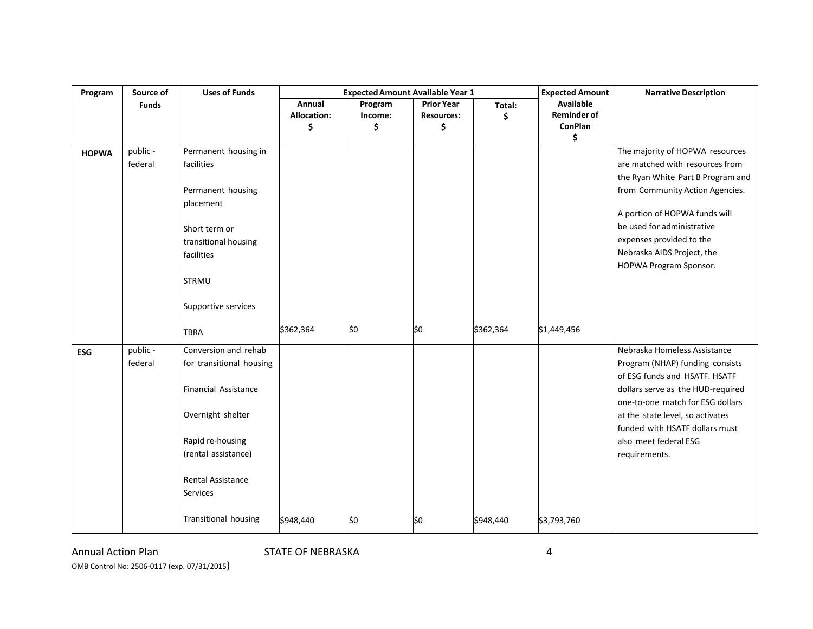| Program      | Source of           | <b>Uses of Funds</b>                                                                                                                                                                           |                                    | <b>Expected Amount Available Year 1</b> |                                              |             | <b>Expected Amount</b>                                         | <b>Narrative Description</b>                                                                                                                                                                                                                                                                  |
|--------------|---------------------|------------------------------------------------------------------------------------------------------------------------------------------------------------------------------------------------|------------------------------------|-----------------------------------------|----------------------------------------------|-------------|----------------------------------------------------------------|-----------------------------------------------------------------------------------------------------------------------------------------------------------------------------------------------------------------------------------------------------------------------------------------------|
|              | <b>Funds</b>        |                                                                                                                                                                                                | Annual<br><b>Allocation:</b><br>\$ | Program<br>Income:<br>\$                | <b>Prior Year</b><br><b>Resources:</b><br>\$ | Total:<br>Ś | <b>Available</b><br><b>Reminder of</b><br><b>ConPlan</b><br>\$ |                                                                                                                                                                                                                                                                                               |
| <b>HOPWA</b> | public -<br>federal | Permanent housing in<br>facilities<br>Permanent housing<br>placement<br>Short term or<br>transitional housing<br>facilities<br><b>STRMU</b><br>Supportive services                             |                                    |                                         |                                              |             |                                                                | The majority of HOPWA resources<br>are matched with resources from<br>the Ryan White Part B Program and<br>from Community Action Agencies.<br>A portion of HOPWA funds will<br>be used for administrative<br>expenses provided to the<br>Nebraska AIDS Project, the<br>HOPWA Program Sponsor. |
|              |                     | <b>TBRA</b>                                                                                                                                                                                    | \$362,364                          | \$0                                     | \$0                                          | \$362,364   | \$1,449,456                                                    |                                                                                                                                                                                                                                                                                               |
| <b>ESG</b>   | public -<br>federal | Conversion and rehab<br>for transitional housing<br><b>Financial Assistance</b><br>Overnight shelter<br>Rapid re-housing<br>(rental assistance)<br><b>Rental Assistance</b><br><b>Services</b> |                                    |                                         |                                              |             |                                                                | Nebraska Homeless Assistance<br>Program (NHAP) funding consists<br>of ESG funds and HSATF. HSATF<br>dollars serve as the HUD-required<br>one-to-one match for ESG dollars<br>at the state level, so activates<br>funded with HSATF dollars must<br>also meet federal ESG<br>requirements.     |
|              |                     | <b>Transitional housing</b>                                                                                                                                                                    | \$948,440                          | \$0                                     | \$0                                          | \$948,440   | \$3,793,760                                                    |                                                                                                                                                                                                                                                                                               |

Annual ActionOMB Control No: <sup>2506</sup>‐<sup>0117</sup> (exp. 07/31/2015) STATE OF NEBRASKA 4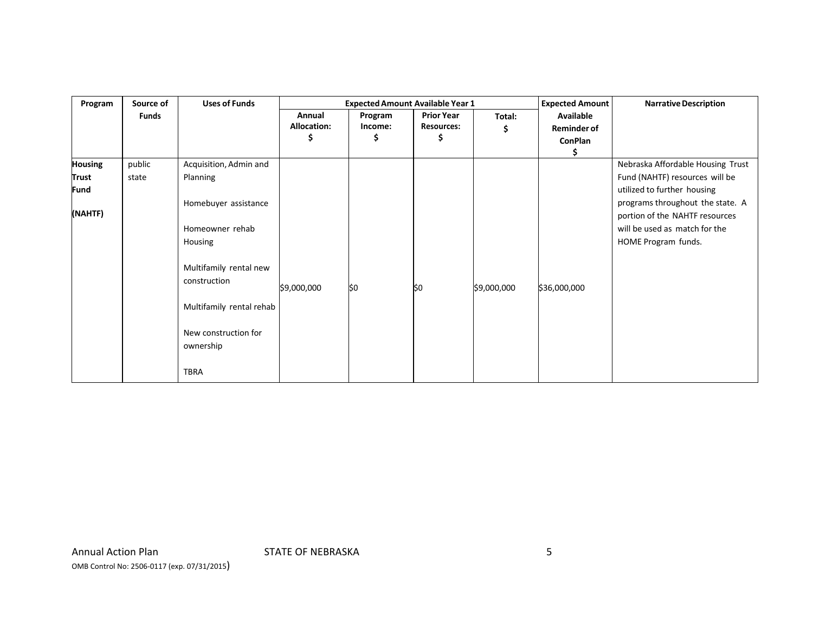| Program                     | Source of    | <b>Uses of Funds</b>              |             | <b>Expected Amount Available Year 1</b> |                   |             | <b>Expected Amount</b> | <b>Narrative Description</b>                                       |
|-----------------------------|--------------|-----------------------------------|-------------|-----------------------------------------|-------------------|-------------|------------------------|--------------------------------------------------------------------|
|                             | <b>Funds</b> |                                   | Annual      | Program                                 | <b>Prior Year</b> | Total:      | Available              |                                                                    |
|                             |              |                                   | Allocation: | Income:                                 | <b>Resources:</b> | S           | <b>Reminder of</b>     |                                                                    |
|                             |              |                                   | Ş           |                                         | S                 |             | ConPlan                |                                                                    |
| <b>Housing</b>              | public       | Acquisition, Admin and            |             |                                         |                   |             |                        | Nebraska Affordable Housing Trust                                  |
| <b>Trust</b><br><b>Fund</b> | state        | Planning                          |             |                                         |                   |             |                        | Fund (NAHTF) resources will be<br>utilized to further housing      |
| (NAHTF)                     |              | Homebuyer assistance              |             |                                         |                   |             |                        | programs throughout the state. A<br>portion of the NAHTF resources |
|                             |              | Homeowner rehab                   |             |                                         |                   |             |                        | will be used as match for the                                      |
|                             |              | Housing                           |             |                                         |                   |             |                        | HOME Program funds.                                                |
|                             |              | Multifamily rental new            |             |                                         |                   |             |                        |                                                                    |
|                             |              | construction                      | \$9,000,000 | \$0                                     | \$0               | \$9,000,000 | \$36,000,000           |                                                                    |
|                             |              | Multifamily rental rehab          |             |                                         |                   |             |                        |                                                                    |
|                             |              | New construction for<br>ownership |             |                                         |                   |             |                        |                                                                    |
|                             |              | <b>TBRA</b>                       |             |                                         |                   |             |                        |                                                                    |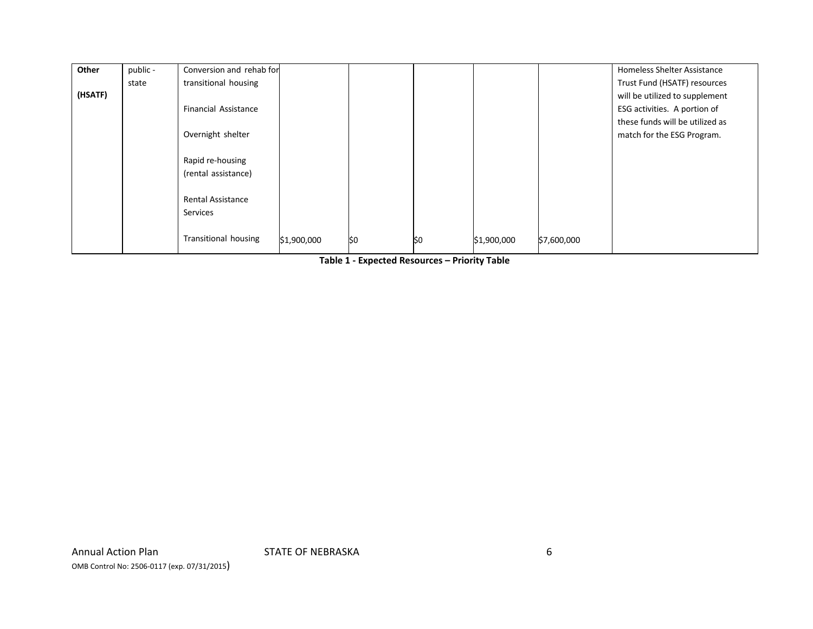| Other   | public - | Conversion and rehab for    |             |     |     |             |             | <b>Homeless Shelter Assistance</b> |
|---------|----------|-----------------------------|-------------|-----|-----|-------------|-------------|------------------------------------|
|         | state    | transitional housing        |             |     |     |             |             | Trust Fund (HSATF) resources       |
| (HSATF) |          |                             |             |     |     |             |             | will be utilized to supplement     |
|         |          | <b>Financial Assistance</b> |             |     |     |             |             | ESG activities. A portion of       |
|         |          |                             |             |     |     |             |             | these funds will be utilized as    |
|         |          | Overnight shelter           |             |     |     |             |             | match for the ESG Program.         |
|         |          |                             |             |     |     |             |             |                                    |
|         |          | Rapid re-housing            |             |     |     |             |             |                                    |
|         |          | (rental assistance)         |             |     |     |             |             |                                    |
|         |          |                             |             |     |     |             |             |                                    |
|         |          | <b>Rental Assistance</b>    |             |     |     |             |             |                                    |
|         |          | Services                    |             |     |     |             |             |                                    |
|         |          |                             |             |     |     |             |             |                                    |
|         |          | Transitional housing        | \$1,900,000 | \$0 | \$0 | \$1,900,000 | \$7,600,000 |                                    |
|         |          |                             |             |     |     |             |             |                                    |

**Table 1 ‐ Expected Resources – Priority Table**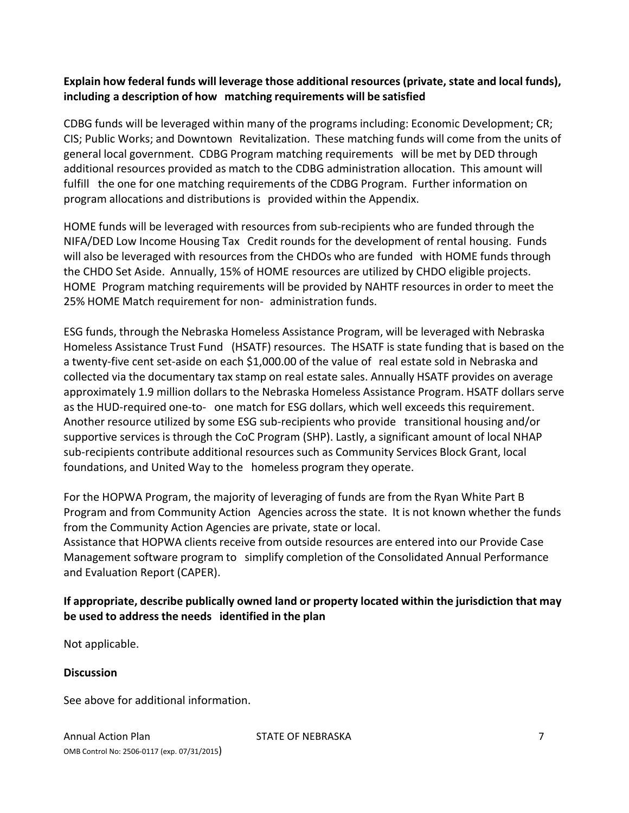#### **Explain how federal funds will leverage those additional resources (private, state and local funds), including a description of how matching requirements will be satisfied**

CDBG funds will be leveraged within many of the programs including: Economic Development; CR; CIS; Public Works; and Downtown Revitalization. These matching funds will come from the units of general local government. CDBG Program matching requirements will be met by DED through additional resources provided as match to the CDBG administration allocation. This amount will fulfill the one for one matching requirements of the CDBG Program. Further information on program allocations and distributions is provided within the Appendix.

HOME funds will be leveraged with resources from sub-recipients who are funded through the NIFA/DED Low Income Housing Tax Credit rounds for the development of rental housing. Funds will also be leveraged with resources from the CHDOs who are funded with HOME funds through the CHDO Set Aside. Annually, 15% of HOME resources are utilized by CHDO eligible projects. HOME Program matching requirements will be provided by NAHTF resources in order to meet the 25% HOME Match requirement for non‐ administration funds.

ESG funds, through the Nebraska Homeless Assistance Program, will be leveraged with Nebraska Homeless Assistance Trust Fund (HSATF) resources. The HSATF is state funding that is based on the a twenty‐five cent set‐aside on each \$1,000.00 of the value of real estate sold in Nebraska and collected via the documentary tax stamp on real estate sales. Annually HSATF provides on average approximately 1.9 million dollars to the Nebraska Homeless Assistance Program. HSATF dollars serve as the HUD‐required one‐to‐ one match for ESG dollars, which well exceeds this requirement. Another resource utilized by some ESG sub‐recipients who provide transitional housing and/or supportive services is through the CoC Program (SHP). Lastly, a significant amount of local NHAP sub‐recipients contribute additional resources such as Community Services Block Grant, local foundations, and United Way to the homeless program they operate.

For the HOPWA Program, the majority of leveraging of funds are from the Ryan White Part B Program and from Community Action Agencies across the state. It is not known whether the funds from the Community Action Agencies are private, state or local.

Assistance that HOPWA clients receive from outside resources are entered into our Provide Case Management software program to simplify completion of the Consolidated Annual Performance and Evaluation Report (CAPER).

#### **If appropriate, describe publically owned land or property located within the jurisdiction that may be used to address the needs identified in the plan**

Not applicable.

#### **Discussion**

See above for additional information.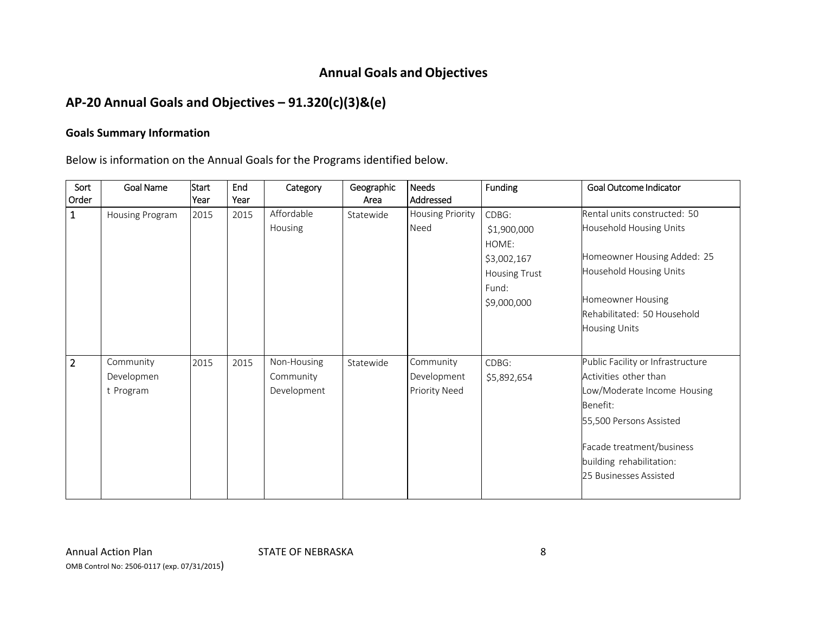## **Annual Goals and Objectives**

# **AP‐20 Annual Goals and Objectives – 91.320(c)(3)&(e)**

#### **Goals Summary Information**

Below is information on the Annual Goals for the Programs identified below.

| Sort<br>Order  | <b>Goal Name</b>                     | Start<br><b>Year</b> | End<br>Year | Category                                | Geographic<br>Area | <b>Needs</b><br>Addressed                 | <b>Funding</b>                               | Goal Outcome Indicator                                                                                                                                                                                              |
|----------------|--------------------------------------|----------------------|-------------|-----------------------------------------|--------------------|-------------------------------------------|----------------------------------------------|---------------------------------------------------------------------------------------------------------------------------------------------------------------------------------------------------------------------|
| $\mathbf{1}$   | Housing Program                      | 2015                 | 2015        | Affordable<br>Housing                   | Statewide          | <b>Housing Priority</b><br>Need           | CDBG:<br>\$1,900,000<br>HOME:                | Rental units constructed: 50<br>Household Housing Units                                                                                                                                                             |
|                |                                      |                      |             |                                         |                    |                                           | \$3,002,167<br><b>Housing Trust</b><br>Fund: | Homeowner Housing Added: 25<br>Household Housing Units                                                                                                                                                              |
|                |                                      |                      |             |                                         |                    |                                           | \$9,000,000                                  | Homeowner Housing<br>Rehabilitated: 50 Household<br><b>Housing Units</b>                                                                                                                                            |
| $\overline{2}$ | Community<br>Developmen<br>t Program | 2015                 | 2015        | Non-Housing<br>Community<br>Development | Statewide          | Community<br>Development<br>Priority Need | CDBG:<br>\$5,892,654                         | Public Facility or Infrastructure<br>Activities other than<br>Low/Moderate Income Housing<br>Benefit:<br>55,500 Persons Assisted<br>Facade treatment/business<br>building rehabilitation:<br>25 Businesses Assisted |

Annual ActionOMB Control No: <sup>2506</sup>‐<sup>0117</sup> (exp. 07/31/2015) STATE OF NEBRASKA 8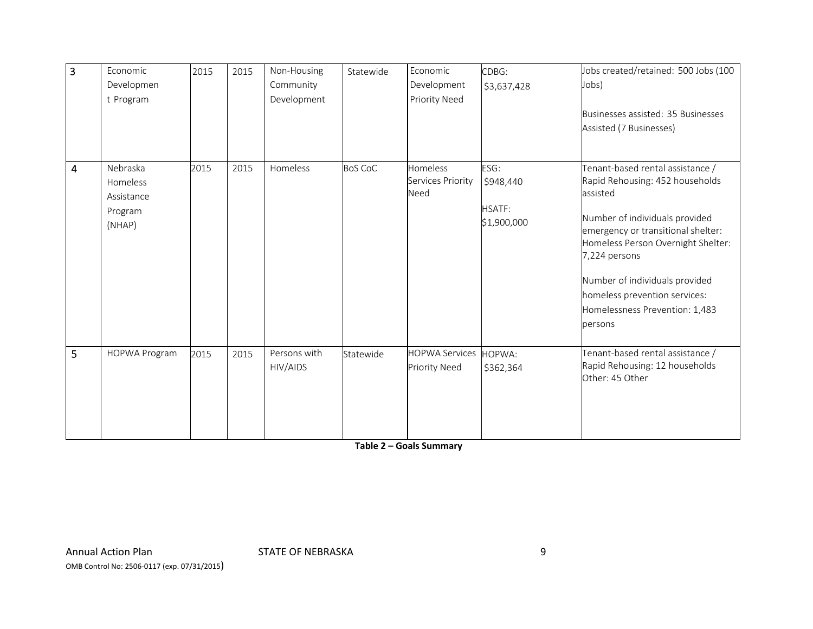| 3 | Economic<br>Developmen<br>t Program                     | 2015 | 2015 | Non-Housing<br>Community<br>Development | Statewide      | Economic<br>Development<br>Priority Need      | CDBG:<br>\$3,637,428                              | Jobs created/retained: 500 Jobs (100<br>Jobs)<br>Businesses assisted: 35 Businesses<br>Assisted (7 Businesses)                                                                                                                                                                                                                 |
|---|---------------------------------------------------------|------|------|-----------------------------------------|----------------|-----------------------------------------------|---------------------------------------------------|--------------------------------------------------------------------------------------------------------------------------------------------------------------------------------------------------------------------------------------------------------------------------------------------------------------------------------|
| 4 | Nebraska<br>Homeless<br>Assistance<br>Program<br>(NHAP) | 2015 | 2015 | Homeless                                | <b>BoS CoC</b> | Homeless<br>Services Priority<br>Need         | ESG:<br>\$948,440<br><b>HSATF:</b><br>\$1,900,000 | Tenant-based rental assistance /<br>Rapid Rehousing: 452 households<br>assisted<br>Number of individuals provided<br>emergency or transitional shelter:<br>Homeless Person Overnight Shelter:<br>7,224 persons<br>Number of individuals provided<br>homeless prevention services:<br>Homelessness Prevention: 1,483<br>persons |
| 5 | <b>HOPWA Program</b>                                    | 2015 | 2015 | Persons with<br>HIV/AIDS                | Statewide      | <b>HOPWA Services</b><br><b>Priority Need</b> | HOPWA:<br>\$362,364                               | Tenant-based rental assistance /<br>Rapid Rehousing: 12 households<br>Other: 45 Other                                                                                                                                                                                                                                          |

**Table 2 – Goals Summary**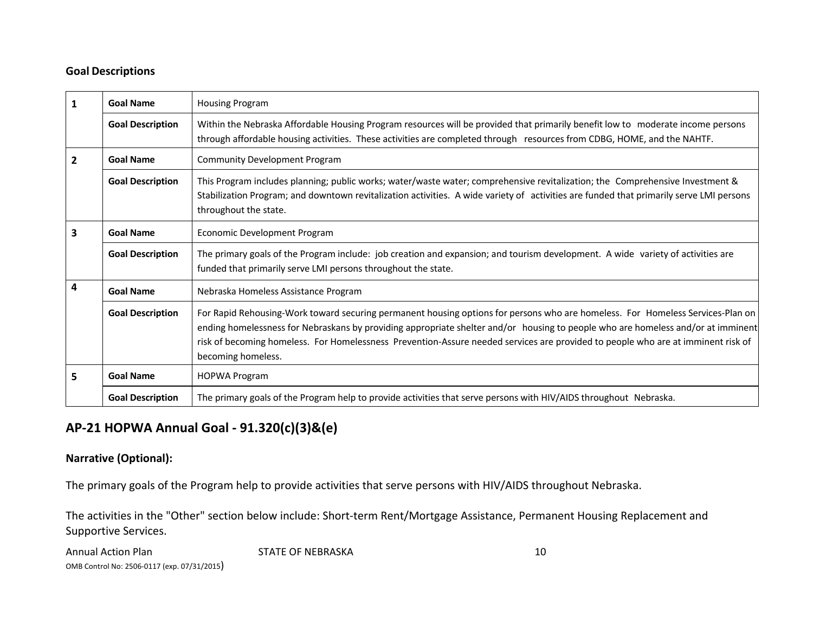#### **Goal Descriptions**

|   | <b>Goal Name</b>        | <b>Housing Program</b>                                                                                                                                                                                                                                                                                                                                                                                                       |
|---|-------------------------|------------------------------------------------------------------------------------------------------------------------------------------------------------------------------------------------------------------------------------------------------------------------------------------------------------------------------------------------------------------------------------------------------------------------------|
|   | <b>Goal Description</b> | Within the Nebraska Affordable Housing Program resources will be provided that primarily benefit low to moderate income persons<br>through affordable housing activities. These activities are completed through resources from CDBG, HOME, and the NAHTF.                                                                                                                                                                   |
| 2 | <b>Goal Name</b>        | <b>Community Development Program</b>                                                                                                                                                                                                                                                                                                                                                                                         |
|   | <b>Goal Description</b> | This Program includes planning; public works; water/waste water; comprehensive revitalization; the Comprehensive Investment &<br>Stabilization Program; and downtown revitalization activities. A wide variety of activities are funded that primarily serve LMI persons<br>throughout the state.                                                                                                                            |
| 3 | <b>Goal Name</b>        | Economic Development Program                                                                                                                                                                                                                                                                                                                                                                                                 |
|   | <b>Goal Description</b> | The primary goals of the Program include: job creation and expansion; and tourism development. A wide variety of activities are<br>funded that primarily serve LMI persons throughout the state.                                                                                                                                                                                                                             |
| 4 | <b>Goal Name</b>        | Nebraska Homeless Assistance Program                                                                                                                                                                                                                                                                                                                                                                                         |
|   | <b>Goal Description</b> | For Rapid Rehousing-Work toward securing permanent housing options for persons who are homeless. For Homeless Services-Plan on<br>ending homelessness for Nebraskans by providing appropriate shelter and/or housing to people who are homeless and/or at imminent<br>risk of becoming homeless. For Homelessness Prevention-Assure needed services are provided to people who are at imminent risk of<br>becoming homeless. |
| 5 | <b>Goal Name</b>        | <b>HOPWA Program</b>                                                                                                                                                                                                                                                                                                                                                                                                         |
|   | <b>Goal Description</b> | The primary goals of the Program help to provide activities that serve persons with HIV/AIDS throughout Nebraska.                                                                                                                                                                                                                                                                                                            |

# **AP‐21 HOPWA Annual Goal ‐ 91.320(c)(3)&(e)**

#### **Narrative (Optional):**

The primary goals of the Program help to provide activities that serve persons with HIV/AIDS throughout Nebraska.

The activities in the "Other" section below include: Short‐term Rent/Mortgage Assistance, Permanent Housing Replacement and Supportive Services.

| <b>Annual Action Plan</b>                   | STATE OF NEBRASKA |  |
|---------------------------------------------|-------------------|--|
| OMB Control No: 2506-0117 (exp. 07/31/2015) |                   |  |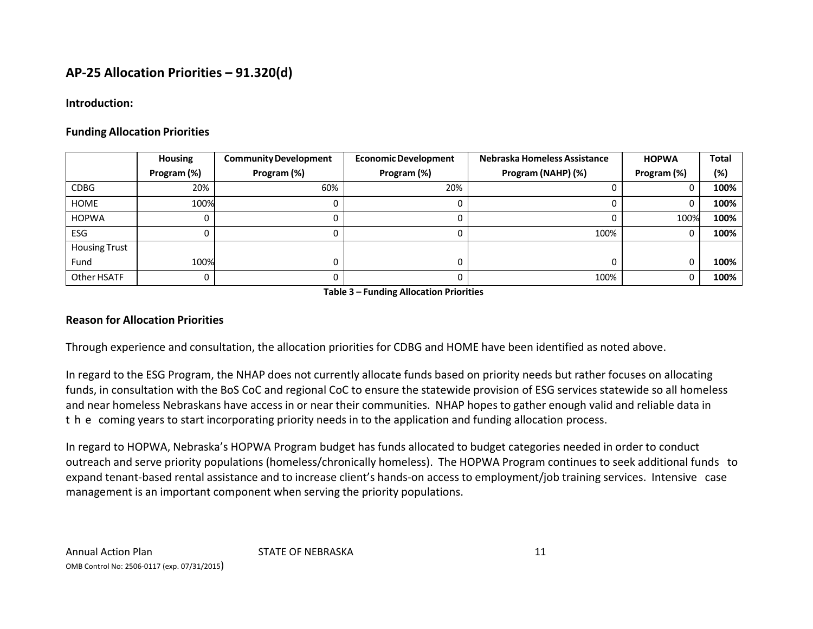#### **Introduction:**

## **Funding Allocation Priorities**

|                      | <b>Housing</b> | <b>Community Development</b> | <b>Economic Development</b> | Nebraska Homeless Assistance | <b>HOPWA</b> | <b>Total</b> |
|----------------------|----------------|------------------------------|-----------------------------|------------------------------|--------------|--------------|
|                      | Program (%)    | Program (%)                  | Program (%)                 | Program (NAHP) (%)           | Program (%)  | (%)          |
| <b>CDBG</b>          | 20%            | 60%                          | 20%                         |                              |              | 100%         |
| <b>HOME</b>          | 100%           |                              |                             |                              |              | 100%         |
| <b>HOPWA</b>         |                |                              |                             |                              | 100%         | 100%         |
| <b>ESG</b>           |                |                              |                             | 100%                         |              | 100%         |
| <b>Housing Trust</b> |                |                              |                             |                              |              |              |
| Fund                 | 100%           |                              |                             |                              |              | 100%         |
| Other HSATF          |                |                              |                             | 100%                         |              | 100%         |

**Table 3 – Funding Allocation Priorities**

## **Reason for Allocation Priorities**

Through experience and consultation, the allocation priorities for CDBG and HOME have been identified as noted above.

In regard to the ESG Program, the NHAP does not currently allocate funds based on priority needs but rather focuses on allocating funds, in consultation with the BoS CoC and regional CoC to ensure the statewide provision of ESG services statewide so all homeless and near homeless Nebraskans have access in or near their communities. NHAP hopes to gather enough valid and reliable data in t he coming years to start incorporating priority needs in to the application and funding allocation process.

In regard to HOPWA, Nebraska's HOPWA Program budget has funds allocated to budget categories needed in order to conduct outreach and serve priority populations (homeless/chronically homeless). The HOPWA Program continues to seek additional funds to expand tenant-based rental assistance and to increase client's hands-on access to employment/job training services. Intensive case management is an important component when serving the priority populations.

STATE OF NEBRASKA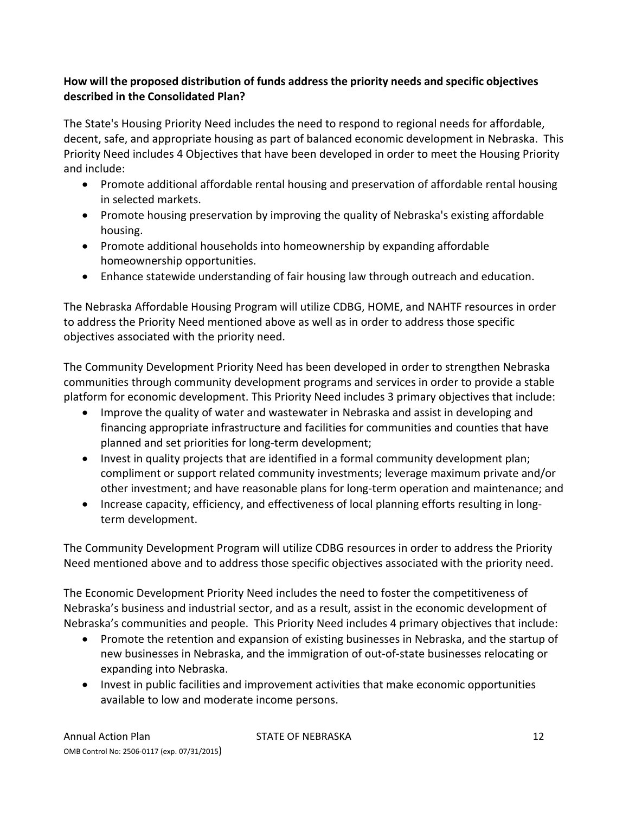## **How will the proposed distribution of funds address the priority needs and specific objectives described in the Consolidated Plan?**

The State's Housing Priority Need includes the need to respond to regional needs for affordable, decent, safe, and appropriate housing as part of balanced economic development in Nebraska. This Priority Need includes 4 Objectives that have been developed in order to meet the Housing Priority and include:

- Promote additional affordable rental housing and preservation of affordable rental housing in selected markets.
- Promote housing preservation by improving the quality of Nebraska's existing affordable housing.
- Promote additional households into homeownership by expanding affordable homeownership opportunities.
- Enhance statewide understanding of fair housing law through outreach and education.

The Nebraska Affordable Housing Program will utilize CDBG, HOME, and NAHTF resources in order to address the Priority Need mentioned above as well as in order to address those specific objectives associated with the priority need.

The Community Development Priority Need has been developed in order to strengthen Nebraska communities through community development programs and services in order to provide a stable platform for economic development. This Priority Need includes 3 primary objectives that include:

- Improve the quality of water and wastewater in Nebraska and assist in developing and financing appropriate infrastructure and facilities for communities and counties that have planned and set priorities for long‐term development;
- Invest in quality projects that are identified in a formal community development plan; compliment or support related community investments; leverage maximum private and/or other investment; and have reasonable plans for long‐term operation and maintenance; and
- Increase capacity, efficiency, and effectiveness of local planning efforts resulting in longterm development.

The Community Development Program will utilize CDBG resources in order to address the Priority Need mentioned above and to address those specific objectives associated with the priority need.

The Economic Development Priority Need includes the need to foster the competitiveness of Nebraska's business and industrial sector, and as a result, assist in the economic development of Nebraska's communities and people. This Priority Need includes 4 primary objectives that include:

- Promote the retention and expansion of existing businesses in Nebraska, and the startup of new businesses in Nebraska, and the immigration of out‐of‐state businesses relocating or expanding into Nebraska.
- Invest in public facilities and improvement activities that make economic opportunities available to low and moderate income persons.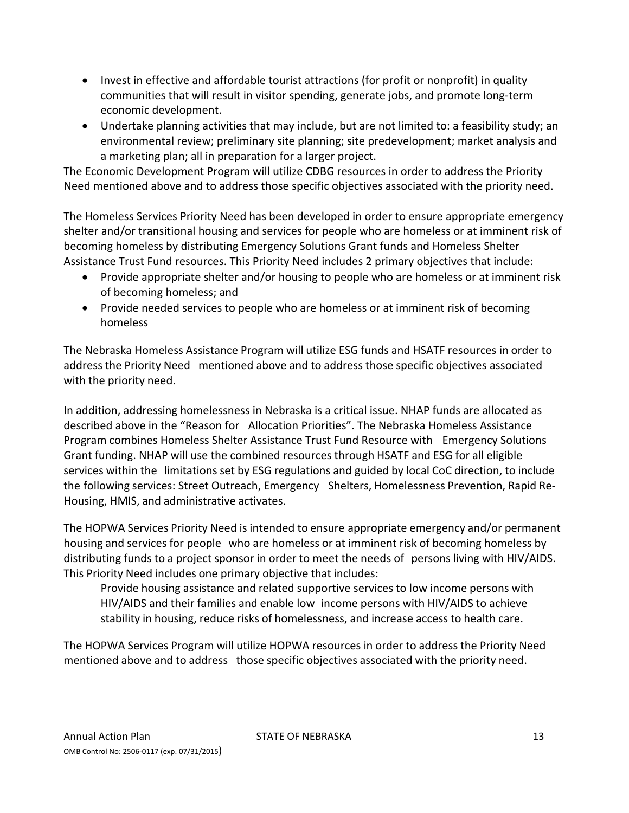- Invest in effective and affordable tourist attractions (for profit or nonprofit) in quality communities that will result in visitor spending, generate jobs, and promote long‐term economic development.
- Undertake planning activities that may include, but are not limited to: a feasibility study; an environmental review; preliminary site planning; site predevelopment; market analysis and a marketing plan; all in preparation for a larger project.

The Economic Development Program will utilize CDBG resources in order to address the Priority Need mentioned above and to address those specific objectives associated with the priority need.

The Homeless Services Priority Need has been developed in order to ensure appropriate emergency shelter and/or transitional housing and services for people who are homeless or at imminent risk of becoming homeless by distributing Emergency Solutions Grant funds and Homeless Shelter Assistance Trust Fund resources. This Priority Need includes 2 primary objectives that include:

- Provide appropriate shelter and/or housing to people who are homeless or at imminent risk of becoming homeless; and
- Provide needed services to people who are homeless or at imminent risk of becoming homeless

The Nebraska Homeless Assistance Program will utilize ESG funds and HSATF resources in order to address the Priority Need mentioned above and to address those specific objectives associated with the priority need.

In addition, addressing homelessness in Nebraska is a critical issue. NHAP funds are allocated as described above in the "Reason for Allocation Priorities". The Nebraska Homeless Assistance Program combines Homeless Shelter Assistance Trust Fund Resource with Emergency Solutions Grant funding. NHAP will use the combined resources through HSATF and ESG for all eligible services within the limitations set by ESG regulations and guided by local CoC direction, to include the following services: Street Outreach, Emergency Shelters, Homelessness Prevention, Rapid Re‐ Housing, HMIS, and administrative activates.

The HOPWA Services Priority Need is intended to ensure appropriate emergency and/or permanent housing and services for people who are homeless or at imminent risk of becoming homeless by distributing funds to a project sponsor in order to meet the needs of persons living with HIV/AIDS. This Priority Need includes one primary objective that includes:

Provide housing assistance and related supportive services to low income persons with HIV/AIDS and their families and enable low income persons with HIV/AIDS to achieve stability in housing, reduce risks of homelessness, and increase access to health care.

The HOPWA Services Program will utilize HOPWA resources in order to address the Priority Need mentioned above and to address those specific objectives associated with the priority need.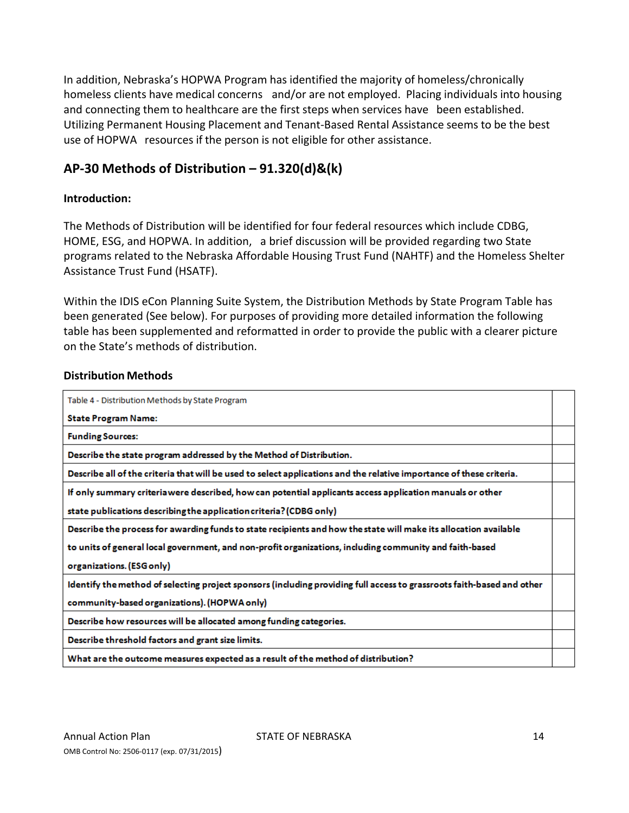In addition, Nebraska's HOPWA Program has identified the majority of homeless/chronically homeless clients have medical concerns and/or are not employed. Placing individuals into housing and connecting them to healthcare are the first steps when services have been established. Utilizing Permanent Housing Placement and Tenant‐Based Rental Assistance seems to be the best use of HOPWA resources if the person is not eligible for other assistance.

# **AP‐30 Methods of Distribution – 91.320(d)&(k)**

## **Introduction:**

The Methods of Distribution will be identified for four federal resources which include CDBG, HOME, ESG, and HOPWA. In addition, a brief discussion will be provided regarding two State programs related to the Nebraska Affordable Housing Trust Fund (NAHTF) and the Homeless Shelter Assistance Trust Fund (HSATF).

Within the IDIS eCon Planning Suite System, the Distribution Methods by State Program Table has been generated (See below). For purposes of providing more detailed information the following table has been supplemented and reformatted in order to provide the public with a clearer picture on the State's methods of distribution.

#### **Distribution Methods**

| Table 4 - Distribution Methods by State Program                                                                        |  |
|------------------------------------------------------------------------------------------------------------------------|--|
| <b>State Program Name:</b>                                                                                             |  |
| <b>Funding Sources:</b>                                                                                                |  |
| Describe the state program addressed by the Method of Distribution.                                                    |  |
| Describe all of the criteria that will be used to select applications and the relative importance of these criteria.   |  |
| If only summary criteria were described, how can potential applicants access application manuals or other              |  |
| state publications describing the application criteria? (CDBG only)                                                    |  |
| Describe the process for awarding funds to state recipients and how the state will make its allocation available       |  |
| to units of general local government, and non-profit organizations, including community and faith-based                |  |
| organizations. (ESG only)                                                                                              |  |
| Identify the method of selecting project sponsors (including providing full access to grassroots faith-based and other |  |
| community-based organizations). (HOPWA only)                                                                           |  |
| Describe how resources will be allocated among funding categories.                                                     |  |
| Describe threshold factors and grant size limits.                                                                      |  |
| What are the outcome measures expected as a result of the method of distribution?                                      |  |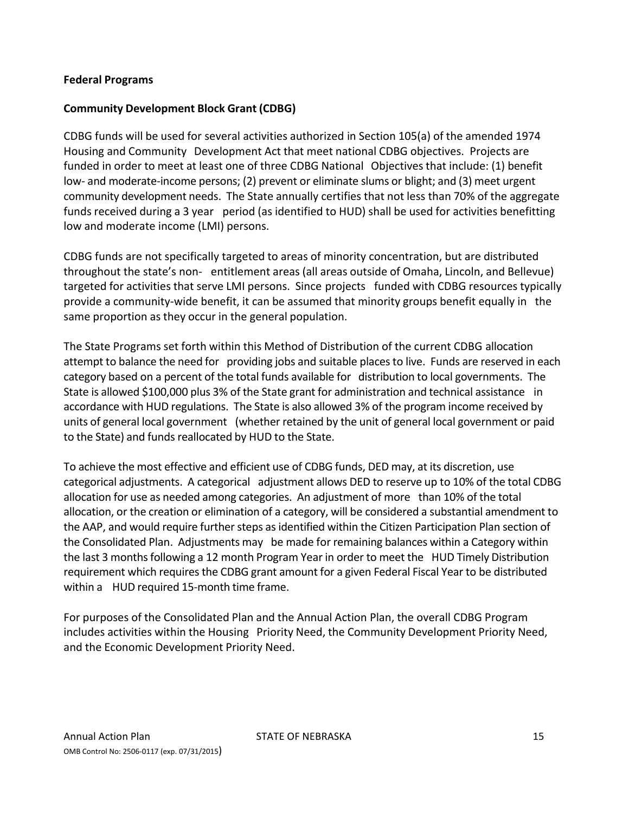#### **Federal Programs**

#### **Community Development Block Grant (CDBG)**

CDBG funds will be used for several activities authorized in Section 105(a) of the amended 1974 Housing and Community Development Act that meet national CDBG objectives. Projects are funded in order to meet at least one of three CDBG National Objectivesthat include: (1) benefit low- and moderate-income persons; (2) prevent or eliminate slums or blight; and (3) meet urgent community development needs. The State annually certifies that not less than 70% of the aggregate funds received during a 3 year period (as identified to HUD) shall be used for activities benefitting low and moderate income (LMI) persons.

CDBG funds are not specifically targeted to areas of minority concentration, but are distributed throughout the state's non‐ entitlement areas (all areas outside of Omaha, Lincoln, and Bellevue) targeted for activities that serve LMI persons. Since projects funded with CDBG resources typically provide a community‐wide benefit, it can be assumed that minority groups benefit equally in the same proportion as they occur in the general population.

The State Programs set forth within this Method of Distribution of the current CDBG allocation attempt to balance the need for providing jobs and suitable placesto live. Funds are reserved in each category based on a percent of the total funds available for distribution to local governments. The State is allowed \$100,000 plus 3% of the State grant for administration and technical assistance in accordance with HUD regulations. The State is also allowed 3% of the program income received by units of general local government (whether retained by the unit of general local government or paid to the State) and funds reallocated by HUD to the State.

To achieve the most effective and efficient use of CDBG funds, DED may, at its discretion, use categorical adjustments. A categorical adjustment allows DED to reserve up to 10% of the total CDBG allocation for use as needed among categories. An adjustment of more than 10% of the total allocation, or the creation or elimination of a category, will be considered a substantial amendment to the AAP, and would require further steps as identified within the Citizen Participation Plan section of the Consolidated Plan. Adjustments may be made for remaining balances within a Category within the last 3 monthsfollowing a 12 month Program Year in order to meet the HUD Timely Distribution requirement which requiresthe CDBG grant amount for a given Federal Fiscal Year to be distributed within a HUD required 15-month time frame.

For purposes of the Consolidated Plan and the Annual Action Plan, the overall CDBG Program includes activities within the Housing Priority Need, the Community Development Priority Need, and the Economic Development Priority Need.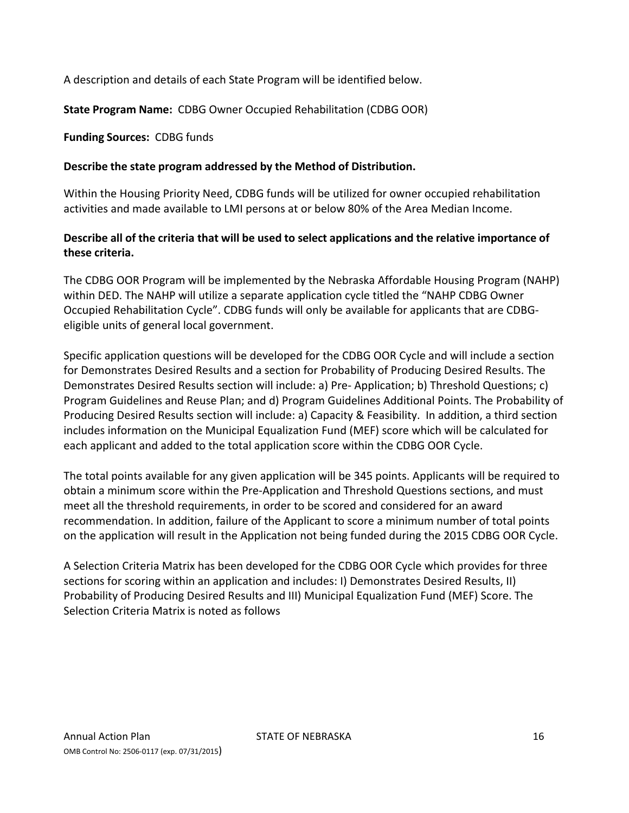A description and details of each State Program will be identified below.

**State Program Name:** CDBG Owner Occupied Rehabilitation (CDBG OOR)

#### **Funding Sources:** CDBG funds

## **Describe the state program addressed by the Method of Distribution.**

Within the Housing Priority Need, CDBG funds will be utilized for owner occupied rehabilitation activities and made available to LMI persons at or below 80% of the Area Median Income.

## **Describe all of the criteria that will be used to select applications and the relative importance of these criteria.**

The CDBG OOR Program will be implemented by the Nebraska Affordable Housing Program (NAHP) within DED. The NAHP will utilize a separate application cycle titled the "NAHP CDBG Owner Occupied Rehabilitation Cycle". CDBG funds will only be available for applicants that are CDBG‐ eligible units of general local government.

Specific application questions will be developed for the CDBG OOR Cycle and will include a section for Demonstrates Desired Results and a section for Probability of Producing Desired Results. The Demonstrates Desired Results section will include: a) Pre‐ Application; b) Threshold Questions; c) Program Guidelines and Reuse Plan; and d) Program Guidelines Additional Points. The Probability of Producing Desired Results section will include: a) Capacity & Feasibility. In addition, a third section includes information on the Municipal Equalization Fund (MEF) score which will be calculated for each applicant and added to the total application score within the CDBG OOR Cycle.

The total points available for any given application will be 345 points. Applicants will be required to obtain a minimum score within the Pre‐Application and Threshold Questions sections, and must meet all the threshold requirements, in order to be scored and considered for an award recommendation. In addition, failure of the Applicant to score a minimum number of total points on the application will result in the Application not being funded during the 2015 CDBG OOR Cycle.

A Selection Criteria Matrix has been developed for the CDBG OOR Cycle which provides for three sections for scoring within an application and includes: I) Demonstrates Desired Results, II) Probability of Producing Desired Results and III) Municipal Equalization Fund (MEF) Score. The Selection Criteria Matrix is noted as follows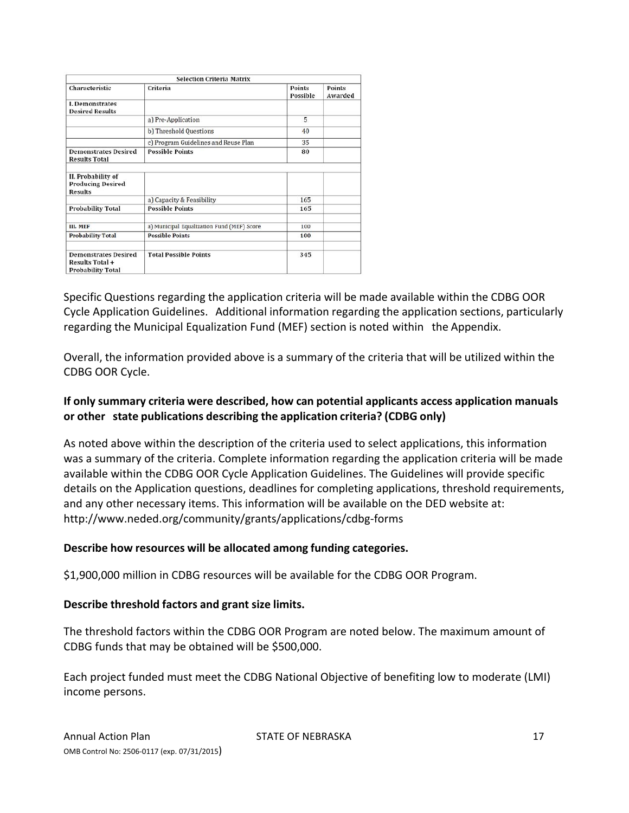|                                                                                   | <b>Selection Criteria Matrix</b>           |                    |                   |
|-----------------------------------------------------------------------------------|--------------------------------------------|--------------------|-------------------|
| Characteristic                                                                    | Criteria                                   | Points<br>Possible | Points<br>Awarded |
| <b>L</b> Demonstrates<br><b>Desired Results</b>                                   |                                            |                    |                   |
|                                                                                   | a) Pre-Application                         | 5                  |                   |
|                                                                                   | b) Threshold Questions                     | 40                 |                   |
|                                                                                   | c) Program Guidelines and Reuse Plan       | 35                 |                   |
| <b>Demonstrates Desired</b><br><b>Results Total</b>                               | <b>Possible Points</b>                     | 80                 |                   |
| II. Probability of<br><b>Producing Desired</b><br><b>Results</b>                  |                                            |                    |                   |
|                                                                                   | a) Capacity & Feasibility                  | 165                |                   |
| <b>Probability Total</b>                                                          | <b>Possible Points</b>                     | 165                |                   |
| III. MEF                                                                          | a) Municipal Equalization Fund (MEF) Score | 100                |                   |
| <b>Probability Total</b>                                                          | <b>Possible Points</b>                     | 100                |                   |
| <b>Demonstrates Desired</b><br><b>Results Total +</b><br><b>Probability Total</b> | <b>Total Possible Points</b>               | 345                |                   |

Specific Questions regarding the application criteria will be made available within the CDBG OOR Cycle Application Guidelines. Additional information regarding the application sections, particularly regarding the Municipal Equalization Fund (MEF) section is noted within the Appendix.

Overall, the information provided above is a summary of the criteria that will be utilized within the CDBG OOR Cycle.

## **If only summary criteria were described, how can potential applicants access application manuals or other state publications describing the application criteria? (CDBG only)**

As noted above within the description of the criteria used to select applications, this information was a summary of the criteria. Complete information regarding the application criteria will be made available within the CDBG OOR Cycle Application Guidelines. The Guidelines will provide specific details on the Application questions, deadlines for completing applications, threshold requirements, and any other necessary items. This information will be available on the DED website at: http://www.neded.org/community/grants/applications/cdbg‐forms

#### **Describe how resources will be allocated among funding categories.**

\$1,900,000 million in CDBG resources will be available for the CDBG OOR Program.

#### **Describe threshold factors and grant size limits.**

The threshold factors within the CDBG OOR Program are noted below. The maximum amount of CDBG funds that may be obtained will be \$500,000.

Each project funded must meet the CDBG National Objective of benefiting low to moderate (LMI) income persons.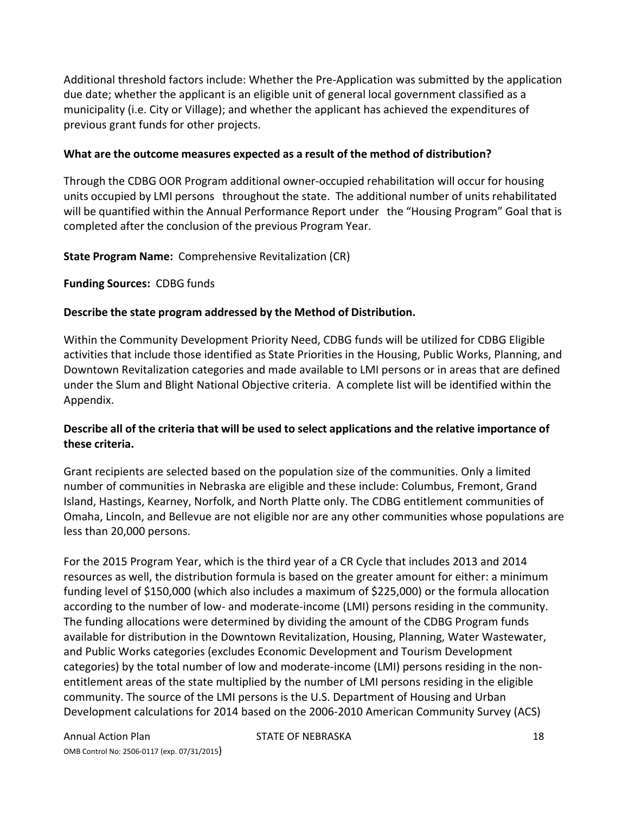Additional threshold factors include: Whether the Pre‐Application was submitted by the application due date; whether the applicant is an eligible unit of general local government classified as a municipality (i.e. City or Village); and whether the applicant has achieved the expenditures of previous grant funds for other projects.

#### **What are the outcome measures expected as a result of the method of distribution?**

Through the CDBG OOR Program additional owner‐occupied rehabilitation will occur for housing units occupied by LMI persons throughout the state. The additional number of units rehabilitated will be quantified within the Annual Performance Report under the "Housing Program" Goal that is completed after the conclusion of the previous Program Year.

**State Program Name:** Comprehensive Revitalization (CR)

**Funding Sources:** CDBG funds

#### **Describe the state program addressed by the Method of Distribution.**

Within the Community Development Priority Need, CDBG funds will be utilized for CDBG Eligible activities that include those identified as State Priorities in the Housing, Public Works, Planning, and Downtown Revitalization categories and made available to LMI persons or in areas that are defined under the Slum and Blight National Objective criteria. A complete list will be identified within the Appendix.

## **Describe all of the criteria that will be used to select applications and the relative importance of these criteria.**

Grant recipients are selected based on the population size of the communities. Only a limited number of communities in Nebraska are eligible and these include: Columbus, Fremont, Grand Island, Hastings, Kearney, Norfolk, and North Platte only. The CDBG entitlement communities of Omaha, Lincoln, and Bellevue are not eligible nor are any other communities whose populations are less than 20,000 persons.

For the 2015 Program Year, which is the third year of a CR Cycle that includes 2013 and 2014 resources as well, the distribution formula is based on the greater amount for either: a minimum funding level of \$150,000 (which also includes a maximum of \$225,000) or the formula allocation according to the number of low‐ and moderate‐income (LMI) persons residing in the community. The funding allocations were determined by dividing the amount of the CDBG Program funds available for distribution in the Downtown Revitalization, Housing, Planning, Water Wastewater, and Public Works categories (excludes Economic Development and Tourism Development categories) by the total number of low and moderate‐income (LMI) persons residing in the non‐ entitlement areas of the state multiplied by the number of LMI persons residing in the eligible community. The source of the LMI persons is the U.S. Department of Housing and Urban Development calculations for 2014 based on the 2006‐2010 American Community Survey (ACS)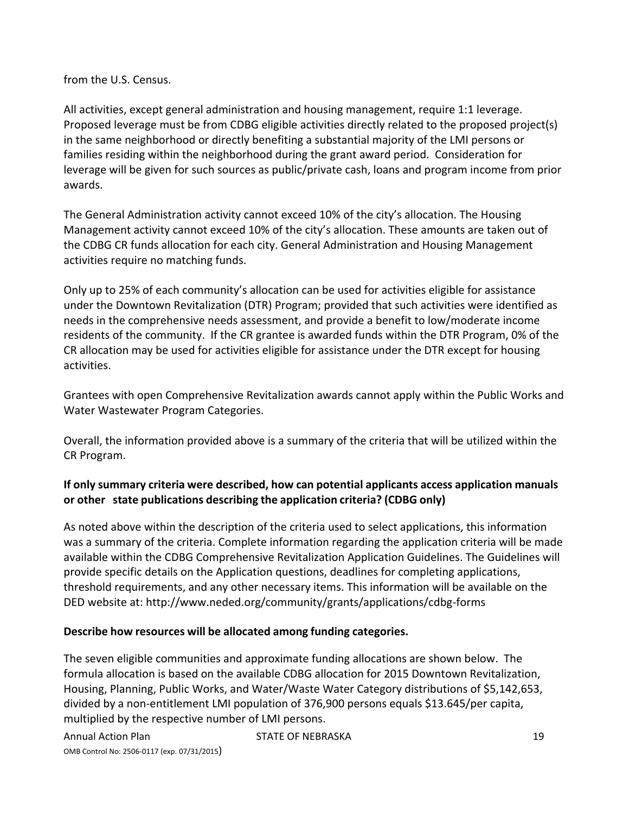from the U.S. Census.

All activities, except general administration and housing management, require 1:1 leverage. Proposed leverage must be from CDBG eligible activities directly related to the proposed project(s) in the same neighborhood or directly benefiting a substantial majority of the LMI persons or families residing within the neighborhood during the grant award period. Consideration for leverage will be given for such sources as public/private cash, loans and program income from prior awards.

The General Administration activity cannot exceed 10% of the city's allocation. The Housing Management activity cannot exceed 10% of the city's allocation. These amounts are taken out of the CDBG CR funds allocation for each city. General Administration and Housing Management activities require no matching funds.

Only up to 25% of each community's allocation can be used for activities eligible for assistance under the Downtown Revitalization (DTR) Program; provided that such activities were identified as needs in the comprehensive needs assessment, and provide a benefit to low/moderate income residents of the community. If the CR grantee is awarded funds within the DTR Program, 0% of the CR allocation may be used for activities eligible for assistance under the DTR except for housing activities.

Grantees with open Comprehensive Revitalization awards cannot apply within the Public Works and Water Wastewater Program Categories.

Overall, the information provided above is a summary of the criteria that will be utilized within the CR Program.

## **If only summary criteria were described, how can potential applicants access application manuals or other state publications describing the application criteria? (CDBG only)**

As noted above within the description of the criteria used to select applications, this information was a summary of the criteria. Complete information regarding the application criteria will be made available within the CDBG Comprehensive Revitalization Application Guidelines. The Guidelines will provide specific details on the Application questions, deadlines for completing applications, threshold requirements, and any other necessary items. This information will be available on the DED website at: http://www.neded.org/community/grants/applications/cdbg‐forms

## **Describe how resources will be allocated among funding categories.**

The seven eligible communities and approximate funding allocations are shown below. The formula allocation is based on the available CDBG allocation for 2015 Downtown Revitalization, Housing, Planning, Public Works, and Water/Waste Water Category distributions of \$5,142,653, divided by a non‐entitlement LMI population of 376,900 persons equals \$13.645/per capita, multiplied by the respective number of LMI persons.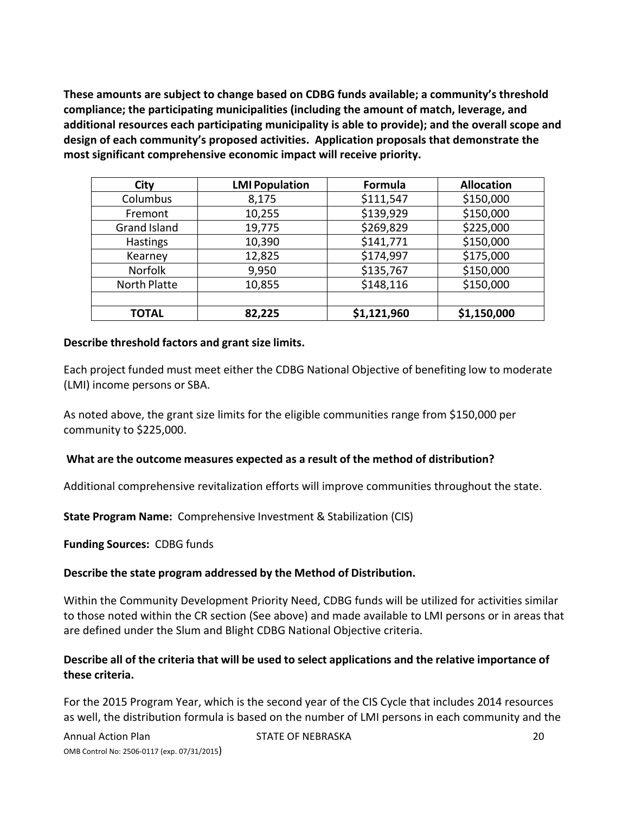**These amounts are subject to change based on CDBG funds available; a community's threshold compliance; the participating municipalities (including the amount of match, leverage, and additional resources each participating municipality is able to provide); and the overall scope and design of each community's proposed activities. Application proposals that demonstrate the most significant comprehensive economic impact will receive priority.**

| City                | <b>LMI Population</b> | Formula     | <b>Allocation</b> |
|---------------------|-----------------------|-------------|-------------------|
| Columbus            | 8,175                 | \$111,547   | \$150,000         |
| Fremont             | 10,255                | \$139,929   | \$150,000         |
| <b>Grand Island</b> | 19,775                | \$269,829   | \$225,000         |
| Hastings            | 10,390                | \$141,771   | \$150,000         |
| Kearney             | 12,825                | \$174,997   | \$175,000         |
| <b>Norfolk</b>      | 9,950                 | \$135,767   | \$150,000         |
| <b>North Platte</b> | 10,855                | \$148,116   | \$150,000         |
|                     |                       |             |                   |
| <b>TOTAL</b>        | 82,225                | \$1,121,960 | \$1,150,000       |

#### **Describe threshold factors and grant size limits.**

Each project funded must meet either the CDBG National Objective of benefiting low to moderate (LMI) income persons or SBA.

As noted above, the grant size limits for the eligible communities range from \$150,000 per community to \$225,000.

#### **What are the outcome measures expected as a result of the method of distribution?**

Additional comprehensive revitalization efforts will improve communities throughout the state.

**State Program Name:** Comprehensive Investment & Stabilization (CIS)

**Funding Sources:** CDBG funds

#### **Describe the state program addressed by the Method of Distribution.**

Within the Community Development Priority Need, CDBG funds will be utilized for activities similar to those noted within the CR section (See above) and made available to LMI persons or in areas that are defined under the Slum and Blight CDBG National Objective criteria.

## **Describe all of the criteria that will be used to select applications and the relative importance of these criteria.**

For the 2015 Program Year, which is the second year of the CIS Cycle that includes 2014 resources as well, the distribution formula is based on the number of LMI persons in each community and the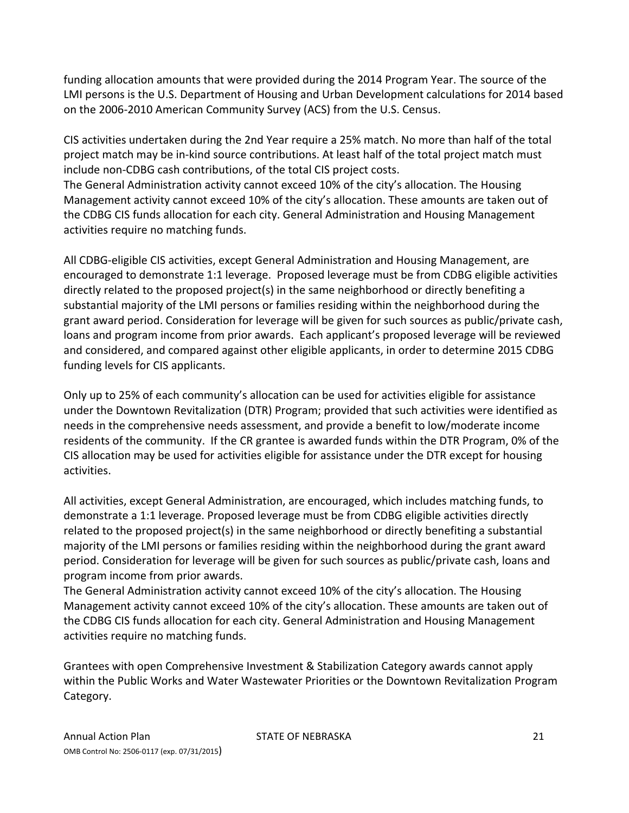funding allocation amounts that were provided during the 2014 Program Year. The source of the LMI persons is the U.S. Department of Housing and Urban Development calculations for 2014 based on the 2006‐2010 American Community Survey (ACS) from the U.S. Census.

CIS activities undertaken during the 2nd Year require a 25% match. No more than half of the total project match may be in‐kind source contributions. At least half of the total project match must include non‐CDBG cash contributions, of the total CIS project costs.

The General Administration activity cannot exceed 10% of the city's allocation. The Housing Management activity cannot exceed 10% of the city's allocation. These amounts are taken out of the CDBG CIS funds allocation for each city. General Administration and Housing Management activities require no matching funds.

All CDBG‐eligible CIS activities, except General Administration and Housing Management, are encouraged to demonstrate 1:1 leverage. Proposed leverage must be from CDBG eligible activities directly related to the proposed project(s) in the same neighborhood or directly benefiting a substantial majority of the LMI persons or families residing within the neighborhood during the grant award period. Consideration for leverage will be given for such sources as public/private cash, loans and program income from prior awards. Each applicant's proposed leverage will be reviewed and considered, and compared against other eligible applicants, in order to determine 2015 CDBG funding levels for CIS applicants.

Only up to 25% of each community's allocation can be used for activities eligible for assistance under the Downtown Revitalization (DTR) Program; provided that such activities were identified as needs in the comprehensive needs assessment, and provide a benefit to low/moderate income residents of the community. If the CR grantee is awarded funds within the DTR Program, 0% of the CIS allocation may be used for activities eligible for assistance under the DTR except for housing activities.

All activities, except General Administration, are encouraged, which includes matching funds, to demonstrate a 1:1 leverage. Proposed leverage must be from CDBG eligible activities directly related to the proposed project(s) in the same neighborhood or directly benefiting a substantial majority of the LMI persons or families residing within the neighborhood during the grant award period. Consideration for leverage will be given for such sources as public/private cash, loans and program income from prior awards.

The General Administration activity cannot exceed 10% of the city's allocation. The Housing Management activity cannot exceed 10% of the city's allocation. These amounts are taken out of the CDBG CIS funds allocation for each city. General Administration and Housing Management activities require no matching funds.

Grantees with open Comprehensive Investment & Stabilization Category awards cannot apply within the Public Works and Water Wastewater Priorities or the Downtown Revitalization Program Category.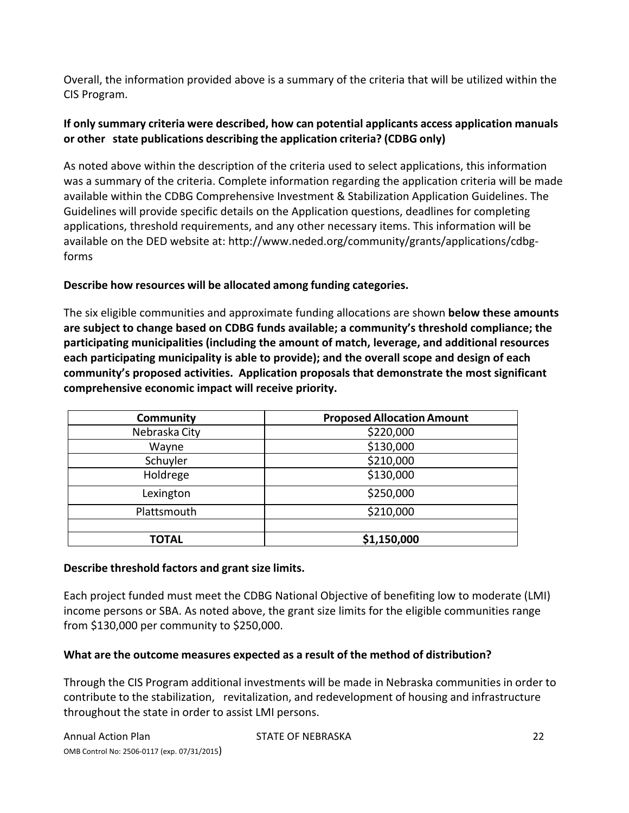Overall, the information provided above is a summary of the criteria that will be utilized within the CIS Program.

## **If only summary criteria were described, how can potential applicants access application manuals or other state publications describing the application criteria? (CDBG only)**

As noted above within the description of the criteria used to select applications, this information was a summary of the criteria. Complete information regarding the application criteria will be made available within the CDBG Comprehensive Investment & Stabilization Application Guidelines. The Guidelines will provide specific details on the Application questions, deadlines for completing applications, threshold requirements, and any other necessary items. This information will be available on the DED website at: http://www.neded.org/community/grants/applications/cdbg‐ forms

## **Describe how resources will be allocated among funding categories.**

The six eligible communities and approximate funding allocations are shown **below these amounts are subject to change based on CDBG funds available; a community's threshold compliance; the participating municipalities (including the amount of match, leverage, and additional resources each participating municipality is able to provide); and the overall scope and design of each community's proposed activities. Application proposals that demonstrate the most significant comprehensive economic impact will receive priority.** 

| <b>Community</b> | <b>Proposed Allocation Amount</b> |
|------------------|-----------------------------------|
| Nebraska City    | \$220,000                         |
| Wayne            | \$130,000                         |
| Schuyler         | \$210,000                         |
| Holdrege         | \$130,000                         |
| Lexington        | \$250,000                         |
| Plattsmouth      | \$210,000                         |
|                  |                                   |
| TOTAL            | \$1,150,000                       |

#### **Describe threshold factors and grant size limits.**

Each project funded must meet the CDBG National Objective of benefiting low to moderate (LMI) income persons or SBA. As noted above, the grant size limits for the eligible communities range from \$130,000 per community to \$250,000.

## **What are the outcome measures expected as a result of the method of distribution?**

Through the CIS Program additional investments will be made in Nebraska communities in order to contribute to the stabilization, revitalization, and redevelopment of housing and infrastructure throughout the state in order to assist LMI persons.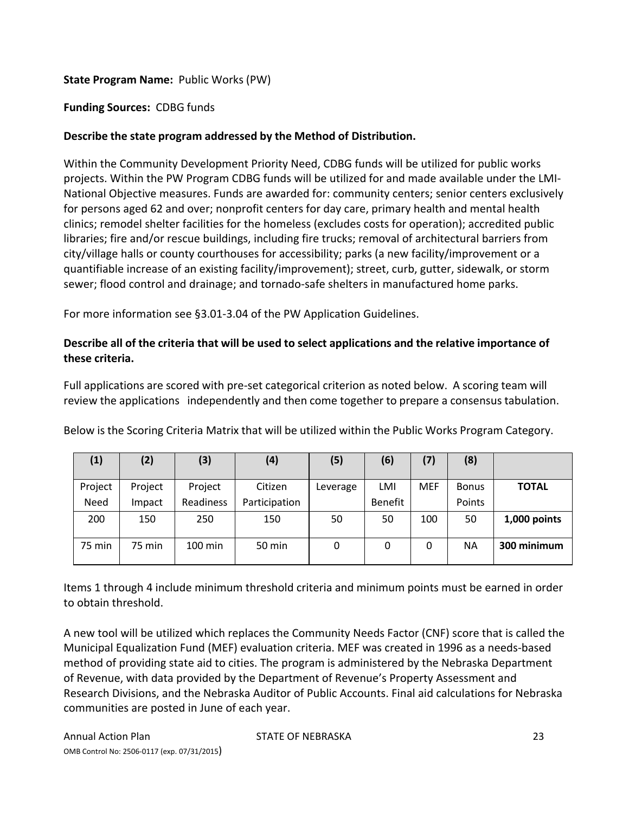## **State Program Name:** Public Works (PW)

## **Funding Sources:** CDBG funds

## **Describe the state program addressed by the Method of Distribution.**

Within the Community Development Priority Need, CDBG funds will be utilized for public works projects. Within the PW Program CDBG funds will be utilized for and made available under the LMI‐ National Objective measures. Funds are awarded for: community centers; senior centers exclusively for persons aged 62 and over; nonprofit centers for day care, primary health and mental health clinics; remodel shelter facilities for the homeless (excludes costs for operation); accredited public libraries; fire and/or rescue buildings, including fire trucks; removal of architectural barriers from city/village halls or county courthouses for accessibility; parks (a new facility/improvement or a quantifiable increase of an existing facility/improvement); street, curb, gutter, sidewalk, or storm sewer; flood control and drainage; and tornado‐safe shelters in manufactured home parks.

For more information see §3.01‐3.04 of the PW Application Guidelines.

## **Describe all of the criteria that will be used to select applications and the relative importance of these criteria.**

Full applications are scored with pre‐set categorical criterion as noted below. A scoring team will review the applications independently and then come together to prepare a consensus tabulation.

| Below is the Scoring Criteria Matrix that will be utilized within the Public Works Program Category. |  |  |
|------------------------------------------------------------------------------------------------------|--|--|
|                                                                                                      |  |  |
|                                                                                                      |  |  |

| $\left( 1\right)$ | (2)     | (3)               | (4)           | (5)      | (6)     | (7)        | (8)          |              |
|-------------------|---------|-------------------|---------------|----------|---------|------------|--------------|--------------|
| Project           | Project | Project           | Citizen       | Leverage | LMI     | <b>MEF</b> | <b>Bonus</b> | <b>TOTAL</b> |
| Need              | Impact  | Readiness         | Participation |          | Benefit |            | Points       |              |
| 200               | 150     | 250               | 150           | 50       | 50      | 100        | 50           | 1,000 points |
| <b>75 min</b>     | 75 min  | $100 \text{ min}$ | 50 min        | 0        | 0       | 0          | ΝA           | 300 minimum  |

Items 1 through 4 include minimum threshold criteria and minimum points must be earned in order to obtain threshold.

A new tool will be utilized which replaces the Community Needs Factor (CNF) score that is called the Municipal Equalization Fund (MEF) evaluation criteria. MEF was created in 1996 as a needs‐based method of providing state aid to cities. The program is administered by the Nebraska Department of Revenue, with data provided by the Department of Revenue's Property Assessment and Research Divisions, and the Nebraska Auditor of Public Accounts. Final aid calculations for Nebraska communities are posted in June of each year.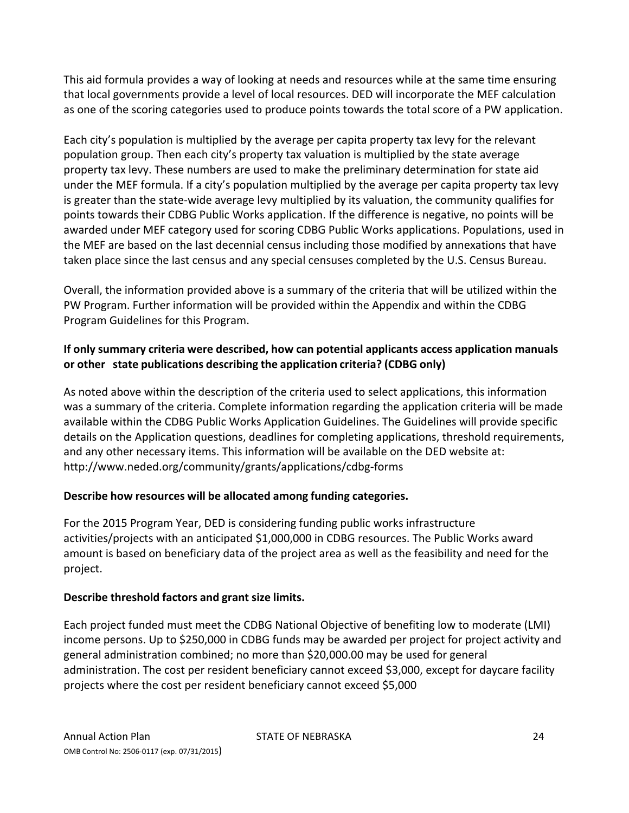This aid formula provides a way of looking at needs and resources while at the same time ensuring that local governments provide a level of local resources. DED will incorporate the MEF calculation as one of the scoring categories used to produce points towards the total score of a PW application.

Each city's population is multiplied by the average per capita property tax levy for the relevant population group. Then each city's property tax valuation is multiplied by the state average property tax levy. These numbers are used to make the preliminary determination for state aid under the MEF formula. If a city's population multiplied by the average per capita property tax levy is greater than the state‐wide average levy multiplied by its valuation, the community qualifies for points towards their CDBG Public Works application. If the difference is negative, no points will be awarded under MEF category used for scoring CDBG Public Works applications. Populations, used in the MEF are based on the last decennial census including those modified by annexations that have taken place since the last census and any special censuses completed by the U.S. Census Bureau.

Overall, the information provided above is a summary of the criteria that will be utilized within the PW Program. Further information will be provided within the Appendix and within the CDBG Program Guidelines for this Program.

## **If only summary criteria were described, how can potential applicants access application manuals or other state publications describing the application criteria? (CDBG only)**

As noted above within the description of the criteria used to select applications, this information was a summary of the criteria. Complete information regarding the application criteria will be made available within the CDBG Public Works Application Guidelines. The Guidelines will provide specific details on the Application questions, deadlines for completing applications, threshold requirements, and any other necessary items. This information will be available on the DED website at: http://www.neded.org/community/grants/applications/cdbg‐forms

## **Describe how resources will be allocated among funding categories.**

For the 2015 Program Year, DED is considering funding public works infrastructure activities/projects with an anticipated \$1,000,000 in CDBG resources. The Public Works award amount is based on beneficiary data of the project area as well as the feasibility and need for the project.

## **Describe threshold factors and grant size limits.**

Each project funded must meet the CDBG National Objective of benefiting low to moderate (LMI) income persons. Up to \$250,000 in CDBG funds may be awarded per project for project activity and general administration combined; no more than \$20,000.00 may be used for general administration. The cost per resident beneficiary cannot exceed \$3,000, except for daycare facility projects where the cost per resident beneficiary cannot exceed \$5,000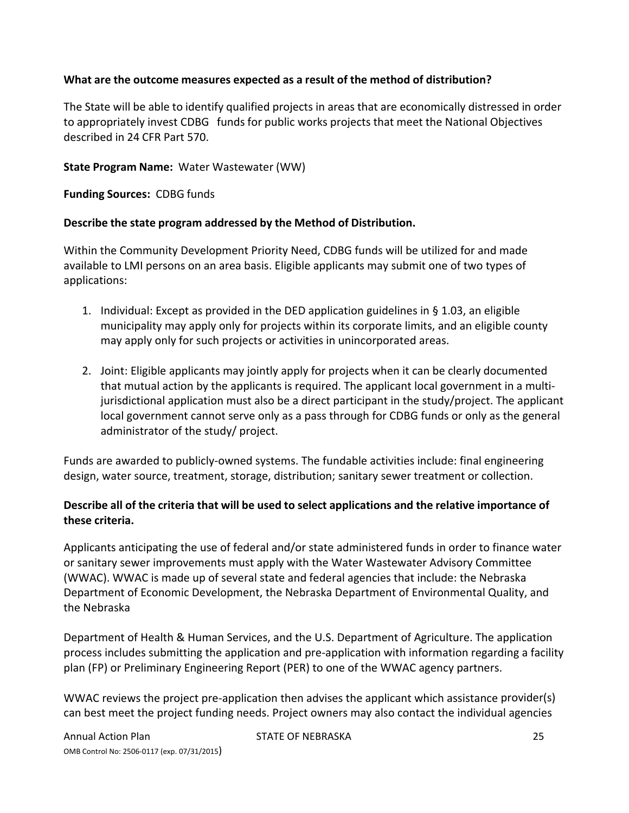## **What are the outcome measures expected as a result of the method of distribution?**

The State will be able to identify qualified projects in areas that are economically distressed in order to appropriately invest CDBG funds for public works projects that meet the National Objectives described in 24 CFR Part 570.

#### **State Program Name:** Water Wastewater (WW)

**Funding Sources:** CDBG funds

#### **Describe the state program addressed by the Method of Distribution.**

Within the Community Development Priority Need, CDBG funds will be utilized for and made available to LMI persons on an area basis. Eligible applicants may submit one of two types of applications:

- 1. Individual: Except as provided in the DED application guidelines in  $\S$  1.03, an eligible municipality may apply only for projects within its corporate limits, and an eligible county may apply only for such projects or activities in unincorporated areas.
- 2. Joint: Eligible applicants may jointly apply for projects when it can be clearly documented that mutual action by the applicants is required. The applicant local government in a multi‐ jurisdictional application must also be a direct participant in the study/project. The applicant local government cannot serve only as a pass through for CDBG funds or only as the general administrator of the study/ project.

Funds are awarded to publicly‐owned systems. The fundable activities include: final engineering design, water source, treatment, storage, distribution; sanitary sewer treatment or collection.

## **Describe all of the criteria that will be used to select applications and the relative importance of these criteria.**

Applicants anticipating the use of federal and/or state administered funds in order to finance water or sanitary sewer improvements must apply with the Water Wastewater Advisory Committee (WWAC). WWAC is made up of several state and federal agencies that include: the Nebraska Department of Economic Development, the Nebraska Department of Environmental Quality, and the Nebraska

Department of Health & Human Services, and the U.S. Department of Agriculture. The application process includes submitting the application and pre‐application with information regarding a facility plan (FP) or Preliminary Engineering Report (PER) to one of the WWAC agency partners.

WWAC reviews the project pre‐application then advises the applicant which assistance provider(s) can best meet the project funding needs. Project owners may also contact the individual agencies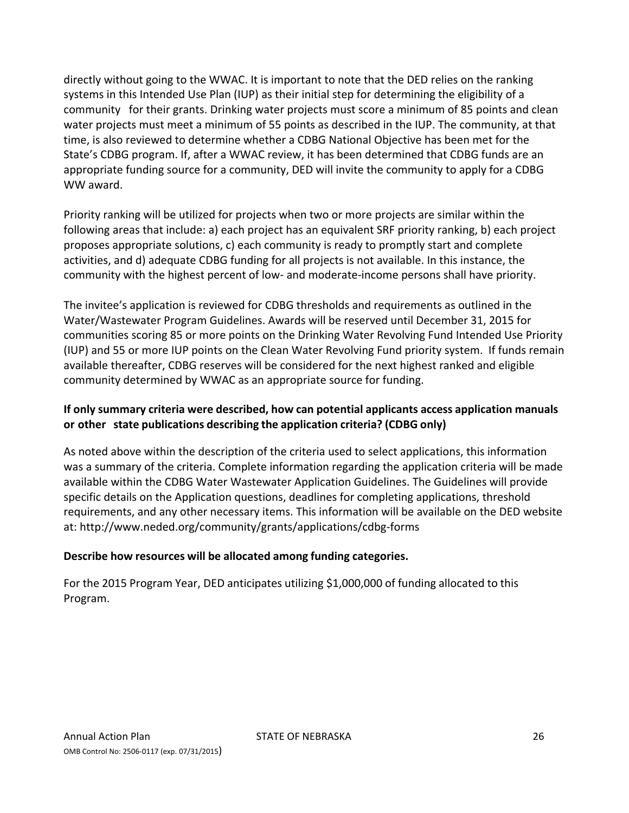directly without going to the WWAC. It is important to note that the DED relies on the ranking systems in this Intended Use Plan (IUP) as their initial step for determining the eligibility of a community for their grants. Drinking water projects must score a minimum of 85 points and clean water projects must meet a minimum of 55 points as described in the IUP. The community, at that time, is also reviewed to determine whether a CDBG National Objective has been met for the State's CDBG program. If, after a WWAC review, it has been determined that CDBG funds are an appropriate funding source for a community, DED will invite the community to apply for a CDBG WW award.

Priority ranking will be utilized for projects when two or more projects are similar within the following areas that include: a) each project has an equivalent SRF priority ranking, b) each project proposes appropriate solutions, c) each community is ready to promptly start and complete activities, and d) adequate CDBG funding for all projects is not available. In this instance, the community with the highest percent of low‐ and moderate‐income persons shall have priority.

The invitee's application is reviewed for CDBG thresholds and requirements as outlined in the Water/Wastewater Program Guidelines. Awards will be reserved until December 31, 2015 for communities scoring 85 or more points on the Drinking Water Revolving Fund Intended Use Priority (IUP) and 55 or more IUP points on the Clean Water Revolving Fund priority system. If funds remain available thereafter, CDBG reserves will be considered for the next highest ranked and eligible community determined by WWAC as an appropriate source for funding.

## **If only summary criteria were described, how can potential applicants access application manuals or other state publications describing the application criteria? (CDBG only)**

As noted above within the description of the criteria used to select applications, this information was a summary of the criteria. Complete information regarding the application criteria will be made available within the CDBG Water Wastewater Application Guidelines. The Guidelines will provide specific details on the Application questions, deadlines for completing applications, threshold requirements, and any other necessary items. This information will be available on the DED website at: http://www.neded.org/community/grants/applications/cdbg‐forms

## **Describe how resources will be allocated among funding categories.**

For the 2015 Program Year, DED anticipates utilizing \$1,000,000 of funding allocated to this Program.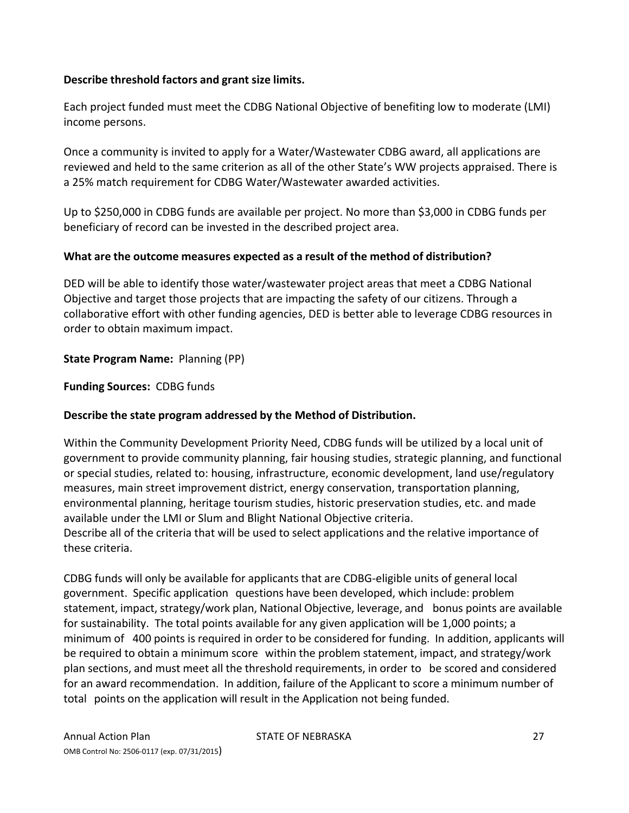#### **Describe threshold factors and grant size limits.**

Each project funded must meet the CDBG National Objective of benefiting low to moderate (LMI) income persons.

Once a community is invited to apply for a Water/Wastewater CDBG award, all applications are reviewed and held to the same criterion as all of the other State's WW projects appraised. There is a 25% match requirement for CDBG Water/Wastewater awarded activities.

Up to \$250,000 in CDBG funds are available per project. No more than \$3,000 in CDBG funds per beneficiary of record can be invested in the described project area.

#### **What are the outcome measures expected as a result of the method of distribution?**

DED will be able to identify those water/wastewater project areas that meet a CDBG National Objective and target those projects that are impacting the safety of our citizens. Through a collaborative effort with other funding agencies, DED is better able to leverage CDBG resources in order to obtain maximum impact.

#### **State Program Name:** Planning (PP)

**Funding Sources:** CDBG funds

#### **Describe the state program addressed by the Method of Distribution.**

Within the Community Development Priority Need, CDBG funds will be utilized by a local unit of government to provide community planning, fair housing studies, strategic planning, and functional or special studies, related to: housing, infrastructure, economic development, land use/regulatory measures, main street improvement district, energy conservation, transportation planning, environmental planning, heritage tourism studies, historic preservation studies, etc. and made available under the LMI or Slum and Blight National Objective criteria.

Describe all of the criteria that will be used to select applications and the relative importance of these criteria.

CDBG funds will only be available for applicants that are CDBG‐eligible units of general local government. Specific application questions have been developed, which include: problem statement, impact, strategy/work plan, National Objective, leverage, and bonus points are available for sustainability. The total points available for any given application will be 1,000 points; a minimum of 400 points is required in order to be considered for funding. In addition, applicants will be required to obtain a minimum score within the problem statement, impact, and strategy/work plan sections, and must meet all the threshold requirements, in order to be scored and considered for an award recommendation. In addition, failure of the Applicant to score a minimum number of total points on the application will result in the Application not being funded.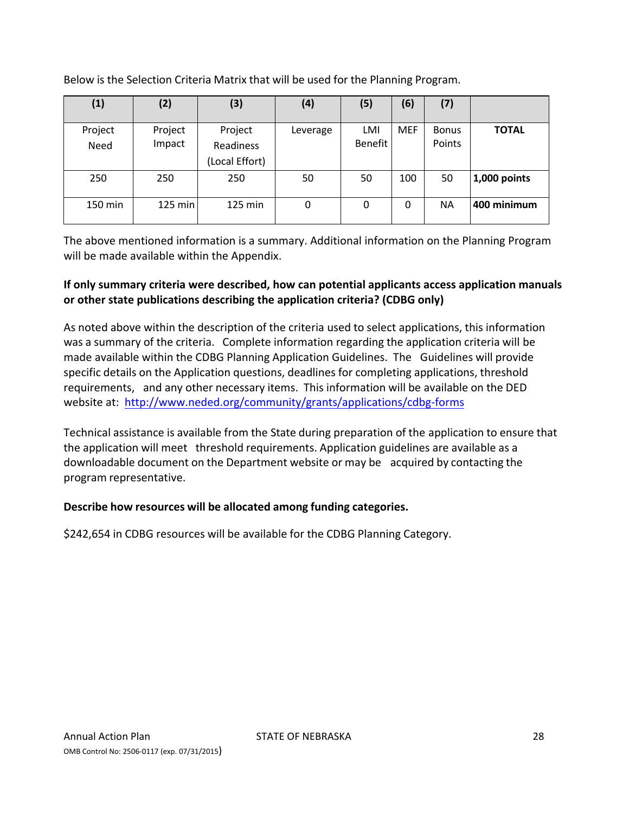Below is the Selection Criteria Matrix that will be used for the Planning Program.

| (1)             | (2)               | (3)                                    | (4)      | (5)            | (6)        | (7)                    |              |
|-----------------|-------------------|----------------------------------------|----------|----------------|------------|------------------------|--------------|
| Project<br>Need | Project<br>Impact | Project<br>Readiness<br>(Local Effort) | Leverage | LMI<br>Benefit | <b>MEF</b> | <b>Bonus</b><br>Points | <b>TOTAL</b> |
| 250             | 250               | 250                                    | 50       | 50             | 100        | 50                     | 1,000 points |
| 150 min         | $125$ min         | 125 min                                | 0        | 0              | 0          | ΝA                     | 400 minimum  |

The above mentioned information is a summary. Additional information on the Planning Program will be made available within the Appendix.

## **If only summary criteria were described, how can potential applicants access application manuals or other state publications describing the application criteria? (CDBG only)**

As noted above within the description of the criteria used to select applications, this information was a summary of the criteria. Complete information regarding the application criteria will be made available within the CDBG Planning Application Guidelines. The Guidelines will provide specific details on the Application questions, deadlines for completing applications, threshold requirements, and any other necessary items. This information will be available on the DED website at: http://www.neded.org/community/grants/applications/cdbg‐forms

Technical assistance is available from the State during preparation of the application to ensure that the application will meet threshold requirements. Application guidelines are available as a downloadable document on the Department website or may be acquired by contacting the program representative.

#### **Describe how resources will be allocated among funding categories.**

\$242,654 in CDBG resources will be available for the CDBG Planning Category.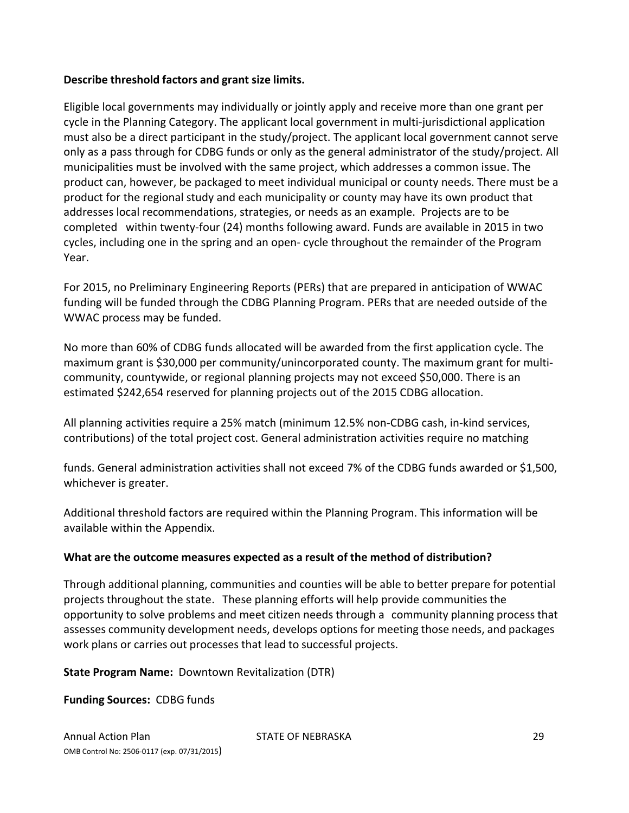## **Describe threshold factors and grant size limits.**

Eligible local governments may individually or jointly apply and receive more than one grant per cycle in the Planning Category. The applicant local government in multi-jurisdictional application must also be a direct participant in the study/project. The applicant local government cannot serve only as a pass through for CDBG funds or only as the general administrator of the study/project. All municipalities must be involved with the same project, which addresses a common issue. The product can, however, be packaged to meet individual municipal or county needs. There must be a product for the regional study and each municipality or county may have its own product that addresses local recommendations, strategies, or needs as an example. Projects are to be completed within twenty‐four (24) months following award. Funds are available in 2015 in two cycles, including one in the spring and an open‐ cycle throughout the remainder of the Program Year.

For 2015, no Preliminary Engineering Reports (PERs) that are prepared in anticipation of WWAC funding will be funded through the CDBG Planning Program. PERs that are needed outside of the WWAC process may be funded.

No more than 60% of CDBG funds allocated will be awarded from the first application cycle. The maximum grant is \$30,000 per community/unincorporated county. The maximum grant for multi‐ community, countywide, or regional planning projects may not exceed \$50,000. There is an estimated \$242,654 reserved for planning projects out of the 2015 CDBG allocation.

All planning activities require a 25% match (minimum 12.5% non‐CDBG cash, in‐kind services, contributions) of the total project cost. General administration activities require no matching

funds. General administration activities shall not exceed 7% of the CDBG funds awarded or \$1,500, whichever is greater.

Additional threshold factors are required within the Planning Program. This information will be available within the Appendix.

#### **What are the outcome measures expected as a result of the method of distribution?**

Through additional planning, communities and counties will be able to better prepare for potential projects throughout the state. These planning efforts will help provide communities the opportunity to solve problems and meet citizen needs through a community planning process that assesses community development needs, develops options for meeting those needs, and packages work plans or carries out processes that lead to successful projects.

**State Program Name:** Downtown Revitalization (DTR)

**Funding Sources:** CDBG funds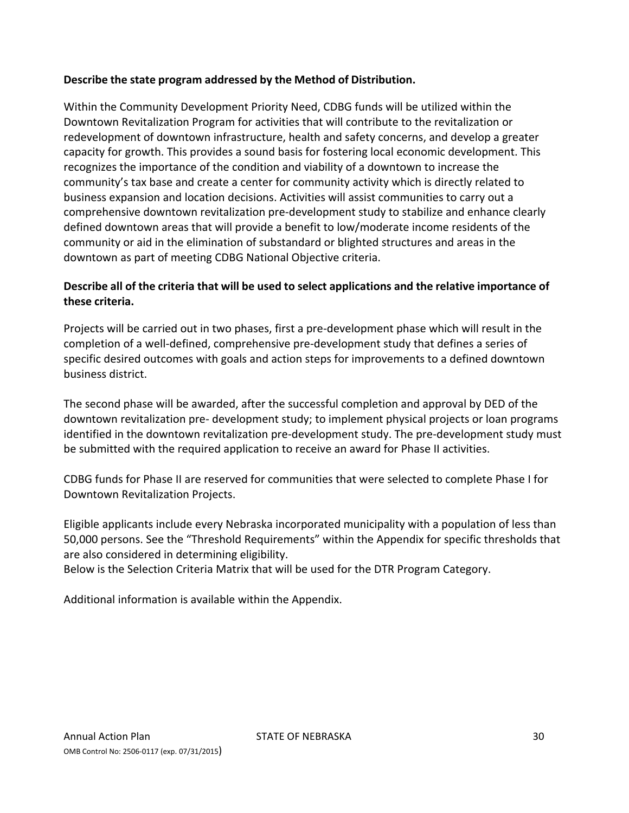## **Describe the state program addressed by the Method of Distribution.**

Within the Community Development Priority Need, CDBG funds will be utilized within the Downtown Revitalization Program for activities that will contribute to the revitalization or redevelopment of downtown infrastructure, health and safety concerns, and develop a greater capacity for growth. This provides a sound basis for fostering local economic development. This recognizes the importance of the condition and viability of a downtown to increase the community's tax base and create a center for community activity which is directly related to business expansion and location decisions. Activities will assist communities to carry out a comprehensive downtown revitalization pre‐development study to stabilize and enhance clearly defined downtown areas that will provide a benefit to low/moderate income residents of the community or aid in the elimination of substandard or blighted structures and areas in the downtown as part of meeting CDBG National Objective criteria.

## **Describe all of the criteria that will be used to select applications and the relative importance of these criteria.**

Projects will be carried out in two phases, first a pre‐development phase which will result in the completion of a well‐defined, comprehensive pre‐development study that defines a series of specific desired outcomes with goals and action steps for improvements to a defined downtown business district.

The second phase will be awarded, after the successful completion and approval by DED of the downtown revitalization pre‐ development study; to implement physical projects or loan programs identified in the downtown revitalization pre-development study. The pre-development study must be submitted with the required application to receive an award for Phase II activities.

CDBG funds for Phase II are reserved for communities that were selected to complete Phase I for Downtown Revitalization Projects.

Eligible applicants include every Nebraska incorporated municipality with a population of less than 50,000 persons. See the "Threshold Requirements" within the Appendix for specific thresholds that are also considered in determining eligibility.

Below is the Selection Criteria Matrix that will be used for the DTR Program Category.

Additional information is available within the Appendix.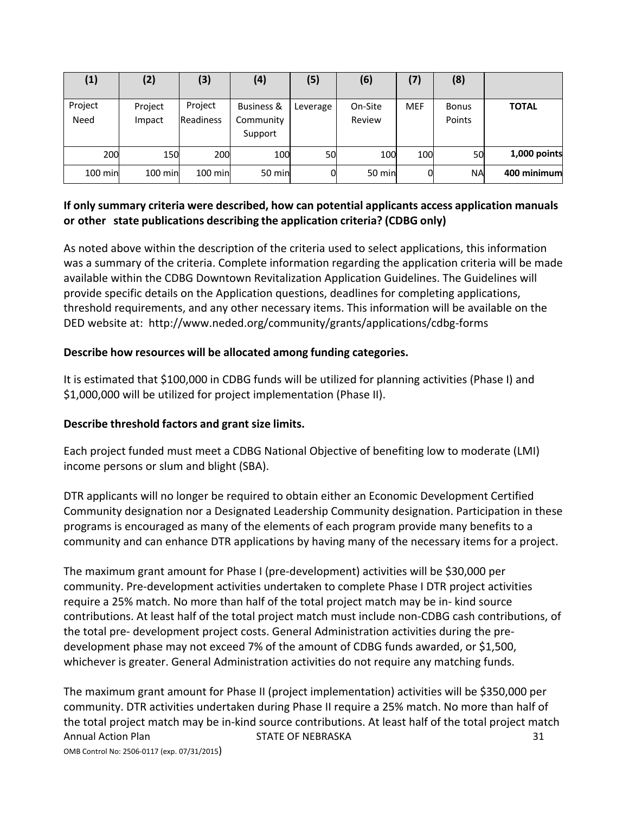| (1)             | (2)               | (3)                         | (4)                                           | (5)      | (6)               | (7)        | (8)                    |              |
|-----------------|-------------------|-----------------------------|-----------------------------------------------|----------|-------------------|------------|------------------------|--------------|
| Project<br>Need | Project<br>Impact | Project<br><b>Readiness</b> | <b>Business &amp;</b><br>Community<br>Support | Leverage | On-Site<br>Review | <b>MEF</b> | <b>Bonus</b><br>Points | <b>TOTAL</b> |
| 200             | 150               | 200                         | 100                                           | 50       | 100               | 100        | 50                     | 1,000 points |
| $100$ min       | 100 min           | 100 min                     | 50 min                                        |          | 50 min            |            | <b>NA</b>              | 400 minimum  |

## **If only summary criteria were described, how can potential applicants access application manuals or other state publications describing the application criteria? (CDBG only)**

As noted above within the description of the criteria used to select applications, this information was a summary of the criteria. Complete information regarding the application criteria will be made available within the CDBG Downtown Revitalization Application Guidelines. The Guidelines will provide specific details on the Application questions, deadlines for completing applications, threshold requirements, and any other necessary items. This information will be available on the DED website at: http://www.neded.org/community/grants/applications/cdbg‐forms

## **Describe how resources will be allocated among funding categories.**

It is estimated that \$100,000 in CDBG funds will be utilized for planning activities (Phase I) and \$1,000,000 will be utilized for project implementation (Phase II).

#### **Describe threshold factors and grant size limits.**

Each project funded must meet a CDBG National Objective of benefiting low to moderate (LMI) income persons or slum and blight (SBA).

DTR applicants will no longer be required to obtain either an Economic Development Certified Community designation nor a Designated Leadership Community designation. Participation in these programs is encouraged as many of the elements of each program provide many benefits to a community and can enhance DTR applications by having many of the necessary items for a project.

The maximum grant amount for Phase I (pre‐development) activities will be \$30,000 per community. Pre‐development activities undertaken to complete Phase I DTR project activities require a 25% match. No more than half of the total project match may be in‐ kind source contributions. At least half of the total project match must include non‐CDBG cash contributions, of the total pre‐ development project costs. General Administration activities during the pre‐ development phase may not exceed 7% of the amount of CDBG funds awarded, or \$1,500, whichever is greater. General Administration activities do not require any matching funds.

Annual Action Plan STATE OF NEBRASKA 31 OMB Control No: 2506‐0117 (exp. 07/31/2015) The maximum grant amount for Phase II (project implementation) activities will be \$350,000 per community. DTR activities undertaken during Phase II require a 25% match. No more than half of the total project match may be in‐kind source contributions. At least half of the total project match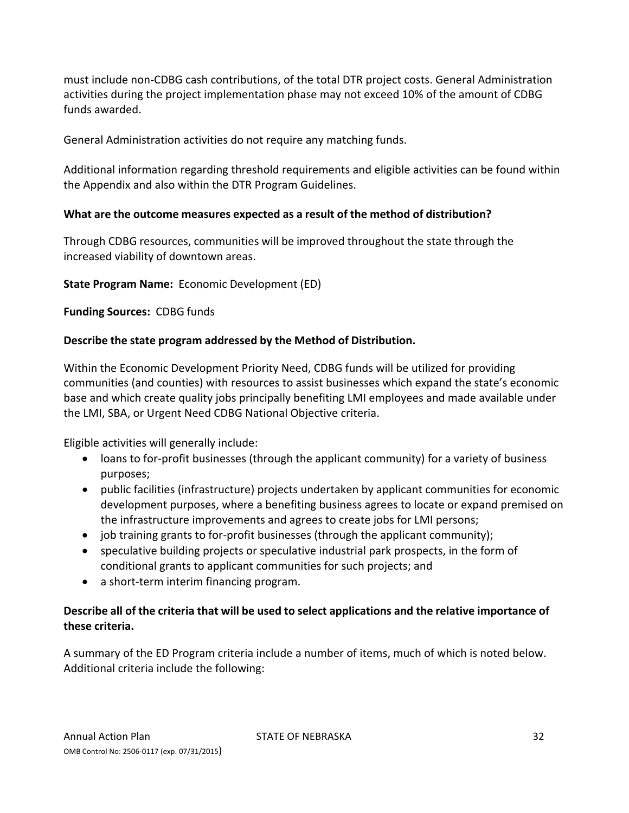must include non‐CDBG cash contributions, of the total DTR project costs. General Administration activities during the project implementation phase may not exceed 10% of the amount of CDBG funds awarded.

General Administration activities do not require any matching funds.

Additional information regarding threshold requirements and eligible activities can be found within the Appendix and also within the DTR Program Guidelines.

## **What are the outcome measures expected as a result of the method of distribution?**

Through CDBG resources, communities will be improved throughout the state through the increased viability of downtown areas.

## **State Program Name:** Economic Development (ED)

**Funding Sources:** CDBG funds

## **Describe the state program addressed by the Method of Distribution.**

Within the Economic Development Priority Need, CDBG funds will be utilized for providing communities (and counties) with resources to assist businesses which expand the state's economic base and which create quality jobs principally benefiting LMI employees and made available under the LMI, SBA, or Urgent Need CDBG National Objective criteria.

Eligible activities will generally include:

- loans to for‐profit businesses (through the applicant community) for a variety of business purposes;
- public facilities (infrastructure) projects undertaken by applicant communities for economic development purposes, where a benefiting business agrees to locate or expand premised on the infrastructure improvements and agrees to create jobs for LMI persons;
- job training grants to for‐profit businesses (through the applicant community);
- speculative building projects or speculative industrial park prospects, in the form of conditional grants to applicant communities for such projects; and
- a short-term interim financing program.

## **Describe all of the criteria that will be used to select applications and the relative importance of these criteria.**

A summary of the ED Program criteria include a number of items, much of which is noted below. Additional criteria include the following: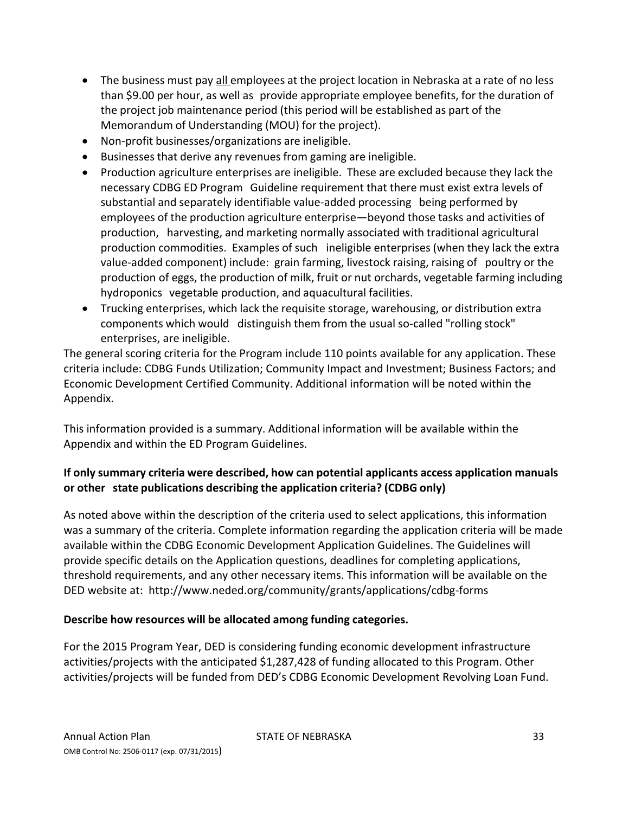- The business must pay all employees at the project location in Nebraska at a rate of no less than \$9.00 per hour, as well as provide appropriate employee benefits, for the duration of the project job maintenance period (this period will be established as part of the Memorandum of Understanding (MOU) for the project).
- Non-profit businesses/organizations are ineligible.
- Businesses that derive any revenues from gaming are ineligible.
- Production agriculture enterprises are ineligible. These are excluded because they lack the necessary CDBG ED Program Guideline requirement that there must exist extra levels of substantial and separately identifiable value-added processing being performed by employees of the production agriculture enterprise—beyond those tasks and activities of production, harvesting, and marketing normally associated with traditional agricultural production commodities. Examples of such ineligible enterprises (when they lack the extra value‐added component) include: grain farming, livestock raising, raising of poultry or the production of eggs, the production of milk, fruit or nut orchards, vegetable farming including hydroponics vegetable production, and aquacultural facilities.
- Trucking enterprises, which lack the requisite storage, warehousing, or distribution extra components which would distinguish them from the usual so‐called "rolling stock" enterprises, are ineligible.

The general scoring criteria for the Program include 110 points available for any application. These criteria include: CDBG Funds Utilization; Community Impact and Investment; Business Factors; and Economic Development Certified Community. Additional information will be noted within the Appendix.

This information provided is a summary. Additional information will be available within the Appendix and within the ED Program Guidelines.

# **If only summary criteria were described, how can potential applicants access application manuals or other state publications describing the application criteria? (CDBG only)**

As noted above within the description of the criteria used to select applications, this information was a summary of the criteria. Complete information regarding the application criteria will be made available within the CDBG Economic Development Application Guidelines. The Guidelines will provide specific details on the Application questions, deadlines for completing applications, threshold requirements, and any other necessary items. This information will be available on the DED website at: http://www.neded.org/community/grants/applications/cdbg‐forms

## **Describe how resources will be allocated among funding categories.**

For the 2015 Program Year, DED is considering funding economic development infrastructure activities/projects with the anticipated \$1,287,428 of funding allocated to this Program. Other activities/projects will be funded from DED's CDBG Economic Development Revolving Loan Fund.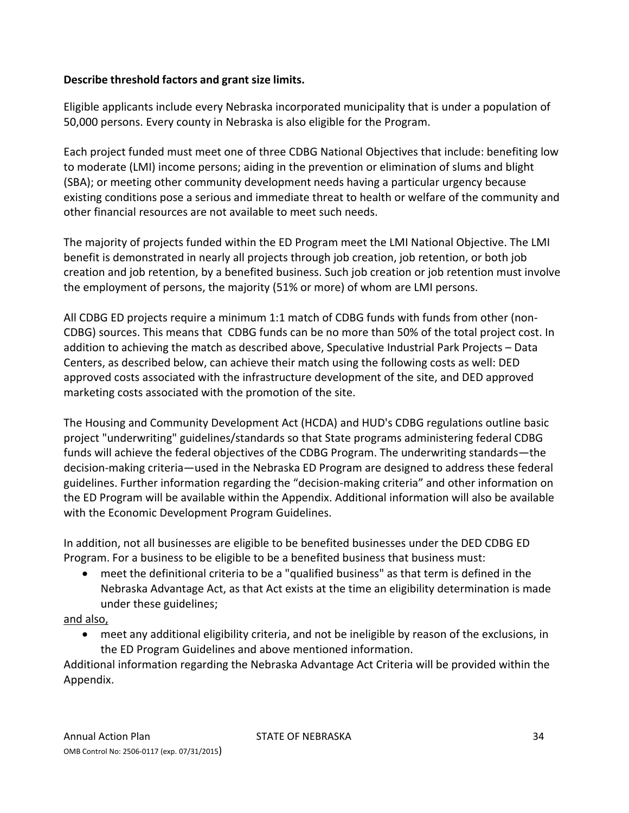## **Describe threshold factors and grant size limits.**

Eligible applicants include every Nebraska incorporated municipality that is under a population of 50,000 persons. Every county in Nebraska is also eligible for the Program.

Each project funded must meet one of three CDBG National Objectives that include: benefiting low to moderate (LMI) income persons; aiding in the prevention or elimination of slums and blight (SBA); or meeting other community development needs having a particular urgency because existing conditions pose a serious and immediate threat to health or welfare of the community and other financial resources are not available to meet such needs.

The majority of projects funded within the ED Program meet the LMI National Objective. The LMI benefit is demonstrated in nearly all projects through job creation, job retention, or both job creation and job retention, by a benefited business. Such job creation or job retention must involve the employment of persons, the majority (51% or more) of whom are LMI persons.

All CDBG ED projects require a minimum 1:1 match of CDBG funds with funds from other (non‐ CDBG) sources. This means that CDBG funds can be no more than 50% of the total project cost. In addition to achieving the match as described above, Speculative Industrial Park Projects – Data Centers, as described below, can achieve their match using the following costs as well: DED approved costs associated with the infrastructure development of the site, and DED approved marketing costs associated with the promotion of the site.

The Housing and Community Development Act (HCDA) and HUD's CDBG regulations outline basic project "underwriting" guidelines/standards so that State programs administering federal CDBG funds will achieve the federal objectives of the CDBG Program. The underwriting standards—the decision‐making criteria—used in the Nebraska ED Program are designed to address these federal guidelines. Further information regarding the "decision‐making criteria" and other information on the ED Program will be available within the Appendix. Additional information will also be available with the Economic Development Program Guidelines.

In addition, not all businesses are eligible to be benefited businesses under the DED CDBG ED Program. For a business to be eligible to be a benefited business that business must:

 meet the definitional criteria to be a "qualified business" as that term is defined in the Nebraska Advantage Act, as that Act exists at the time an eligibility determination is made under these guidelines;

#### and also,

 meet any additional eligibility criteria, and not be ineligible by reason of the exclusions, in the ED Program Guidelines and above mentioned information.

Additional information regarding the Nebraska Advantage Act Criteria will be provided within the Appendix.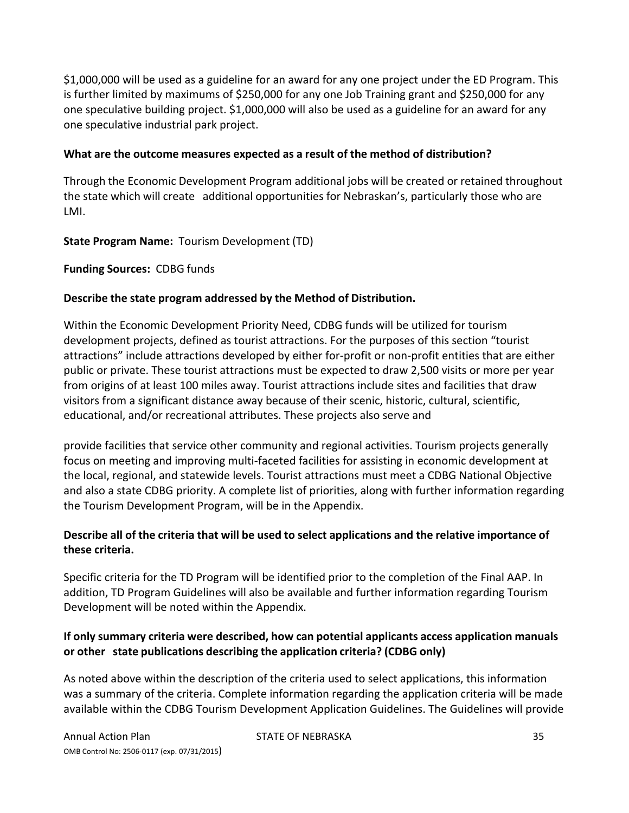\$1,000,000 will be used as a guideline for an award for any one project under the ED Program. This is further limited by maximums of \$250,000 for any one Job Training grant and \$250,000 for any one speculative building project. \$1,000,000 will also be used as a guideline for an award for any one speculative industrial park project.

#### **What are the outcome measures expected as a result of the method of distribution?**

Through the Economic Development Program additional jobs will be created or retained throughout the state which will create additional opportunities for Nebraskan's, particularly those who are LMI.

#### **State Program Name:** Tourism Development (TD)

**Funding Sources:** CDBG funds

#### **Describe the state program addressed by the Method of Distribution.**

Within the Economic Development Priority Need, CDBG funds will be utilized for tourism development projects, defined as tourist attractions. For the purposes of this section "tourist attractions" include attractions developed by either for‐profit or non‐profit entities that are either public or private. These tourist attractions must be expected to draw 2,500 visits or more per year from origins of at least 100 miles away. Tourist attractions include sites and facilities that draw visitors from a significant distance away because of their scenic, historic, cultural, scientific, educational, and/or recreational attributes. These projects also serve and

provide facilities that service other community and regional activities. Tourism projects generally focus on meeting and improving multi‐faceted facilities for assisting in economic development at the local, regional, and statewide levels. Tourist attractions must meet a CDBG National Objective and also a state CDBG priority. A complete list of priorities, along with further information regarding the Tourism Development Program, will be in the Appendix.

#### **Describe all of the criteria that will be used to select applications and the relative importance of these criteria.**

Specific criteria for the TD Program will be identified prior to the completion of the Final AAP. In addition, TD Program Guidelines will also be available and further information regarding Tourism Development will be noted within the Appendix.

#### **If only summary criteria were described, how can potential applicants access application manuals or other state publications describing the application criteria? (CDBG only)**

As noted above within the description of the criteria used to select applications, this information was a summary of the criteria. Complete information regarding the application criteria will be made available within the CDBG Tourism Development Application Guidelines. The Guidelines will provide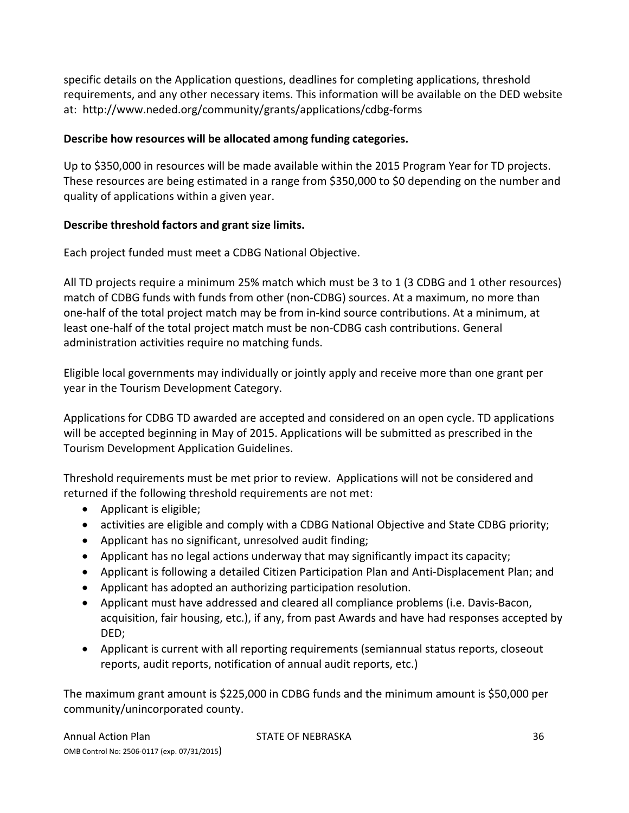specific details on the Application questions, deadlines for completing applications, threshold requirements, and any other necessary items. This information will be available on the DED website at: http://www.neded.org/community/grants/applications/cdbg‐forms

## **Describe how resources will be allocated among funding categories.**

Up to \$350,000 in resources will be made available within the 2015 Program Year for TD projects. These resources are being estimated in a range from \$350,000 to \$0 depending on the number and quality of applications within a given year.

## **Describe threshold factors and grant size limits.**

Each project funded must meet a CDBG National Objective.

All TD projects require a minimum 25% match which must be 3 to 1 (3 CDBG and 1 other resources) match of CDBG funds with funds from other (non‐CDBG) sources. At a maximum, no more than one‐half of the total project match may be from in‐kind source contributions. At a minimum, at least one‐half of the total project match must be non‐CDBG cash contributions. General administration activities require no matching funds.

Eligible local governments may individually or jointly apply and receive more than one grant per year in the Tourism Development Category.

Applications for CDBG TD awarded are accepted and considered on an open cycle. TD applications will be accepted beginning in May of 2015. Applications will be submitted as prescribed in the Tourism Development Application Guidelines.

Threshold requirements must be met prior to review. Applications will not be considered and returned if the following threshold requirements are not met:

- Applicant is eligible;
- activities are eligible and comply with a CDBG National Objective and State CDBG priority;
- Applicant has no significant, unresolved audit finding;
- Applicant has no legal actions underway that may significantly impact its capacity;
- Applicant is following a detailed Citizen Participation Plan and Anti-Displacement Plan; and
- Applicant has adopted an authorizing participation resolution.
- Applicant must have addressed and cleared all compliance problems (i.e. Davis-Bacon, acquisition, fair housing, etc.), if any, from past Awards and have had responses accepted by DED;
- Applicant is current with all reporting requirements (semiannual status reports, closeout reports, audit reports, notification of annual audit reports, etc.)

The maximum grant amount is \$225,000 in CDBG funds and the minimum amount is \$50,000 per community/unincorporated county.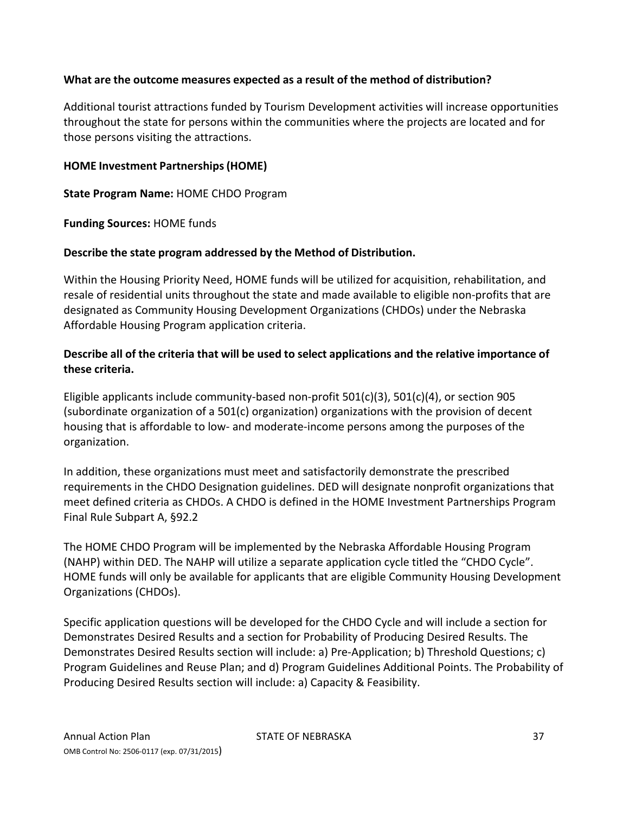## **What are the outcome measures expected as a result of the method of distribution?**

Additional tourist attractions funded by Tourism Development activities will increase opportunities throughout the state for persons within the communities where the projects are located and for those persons visiting the attractions.

#### **HOME Investment Partnerships(HOME)**

**State Program Name:** HOME CHDO Program

**Funding Sources:** HOME funds

#### **Describe the state program addressed by the Method of Distribution.**

Within the Housing Priority Need, HOME funds will be utilized for acquisition, rehabilitation, and resale of residential units throughout the state and made available to eligible non‐profits that are designated as Community Housing Development Organizations (CHDOs) under the Nebraska Affordable Housing Program application criteria.

## **Describe all of the criteria that will be used to select applications and the relative importance of these criteria.**

Eligible applicants include community-based non-profit  $501(c)(3)$ ,  $501(c)(4)$ , or section 905 (subordinate organization of a 501(c) organization) organizations with the provision of decent housing that is affordable to low‐ and moderate‐income persons among the purposes of the organization.

In addition, these organizations must meet and satisfactorily demonstrate the prescribed requirements in the CHDO Designation guidelines. DED will designate nonprofit organizations that meet defined criteria as CHDOs. A CHDO is defined in the HOME Investment Partnerships Program Final Rule Subpart A, §92.2

The HOME CHDO Program will be implemented by the Nebraska Affordable Housing Program (NAHP) within DED. The NAHP will utilize a separate application cycle titled the "CHDO Cycle". HOME funds will only be available for applicants that are eligible Community Housing Development Organizations (CHDOs).

Specific application questions will be developed for the CHDO Cycle and will include a section for Demonstrates Desired Results and a section for Probability of Producing Desired Results. The Demonstrates Desired Results section will include: a) Pre‐Application; b) Threshold Questions; c) Program Guidelines and Reuse Plan; and d) Program Guidelines Additional Points. The Probability of Producing Desired Results section will include: a) Capacity & Feasibility.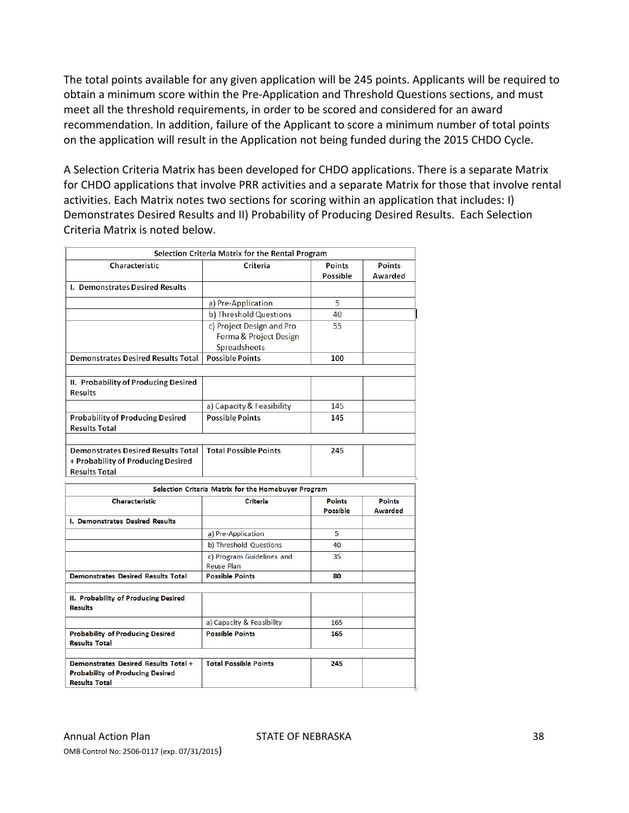The total points available for any given application will be 245 points. Applicants will be required to obtain a minimum score within the Pre‐Application and Threshold Questions sections, and must meet all the threshold requirements, in order to be scored and considered for an award recommendation. In addition, failure of the Applicant to score a minimum number of total points on the application will result in the Application not being funded during the 2015 CHDO Cycle.

A Selection Criteria Matrix has been developed for CHDO applications. There is a separate Matrix for CHDO applications that involve PRR activities and a separate Matrix for those that involve rental activities. Each Matrix notes two sections for scoring within an application that includes: I) Demonstrates Desired Results and II) Probability of Producing Desired Results. Each Selection Criteria Matrix is noted below.

| Selection Criteria Matrix for the Rental Program                                                        |                                                     |                                  |                          |  |  |
|---------------------------------------------------------------------------------------------------------|-----------------------------------------------------|----------------------------------|--------------------------|--|--|
| Characteristic                                                                                          | Criteria                                            | Points<br>Possible               | Points<br>Awarded        |  |  |
| I. Demonstrates Desired Results                                                                         |                                                     |                                  |                          |  |  |
|                                                                                                         | a) Pre-Application                                  | 5                                |                          |  |  |
|                                                                                                         | b) Threshold Questions                              | 40                               |                          |  |  |
|                                                                                                         | c) Project Design and Pro<br>Forma & Project Design | 55                               |                          |  |  |
|                                                                                                         | Spreadsheets                                        |                                  |                          |  |  |
| <b>Demonstrates Desired Results Total</b>                                                               | <b>Possible Points</b>                              | 100                              |                          |  |  |
| II. Probability of Producing Desired<br><b>Results</b>                                                  |                                                     |                                  |                          |  |  |
|                                                                                                         | a) Capacity & Feasibility                           | 145                              |                          |  |  |
| <b>Probability of Producing Desired</b><br><b>Results Total</b>                                         | <b>Possible Points</b>                              | 145                              |                          |  |  |
|                                                                                                         |                                                     |                                  |                          |  |  |
| <b>Demonstrates Desired Results Total</b><br>+ Probability of Producing Desired<br><b>Results Total</b> | <b>Total Possible Points</b>                        | 245                              |                          |  |  |
|                                                                                                         |                                                     |                                  |                          |  |  |
|                                                                                                         | Selection Criteria Matrix for the Homebuyer Program |                                  |                          |  |  |
| <b>Characteristic</b>                                                                                   | <b>Criteria</b>                                     | <b>Points</b><br><b>Possible</b> | <b>Points</b><br>Awarded |  |  |
| I. Demonstrates Desired Results                                                                         |                                                     |                                  |                          |  |  |
|                                                                                                         | a) Pre-Application                                  | 5                                |                          |  |  |
|                                                                                                         | b) Threshold Questions                              | 40                               |                          |  |  |
|                                                                                                         | c) Program Guidelines and<br><b>Reuse Plan</b>      | 35                               |                          |  |  |
| <b>Demonstrates Desired Results Total</b>                                                               | <b>Possible Points</b>                              | 80                               |                          |  |  |
|                                                                                                         |                                                     |                                  |                          |  |  |
| II. Probability of Producing Desired<br><b>Results</b>                                                  |                                                     |                                  |                          |  |  |
|                                                                                                         | a) Capacity & Feasibility                           | 165                              |                          |  |  |
| <b>Probability of Producing Desired</b><br><b>Results Total</b>                                         | <b>Possible Points</b>                              | 165                              |                          |  |  |
| Demonstrates Desired Results Total +                                                                    | <b>Total Possible Points</b>                        | 245                              |                          |  |  |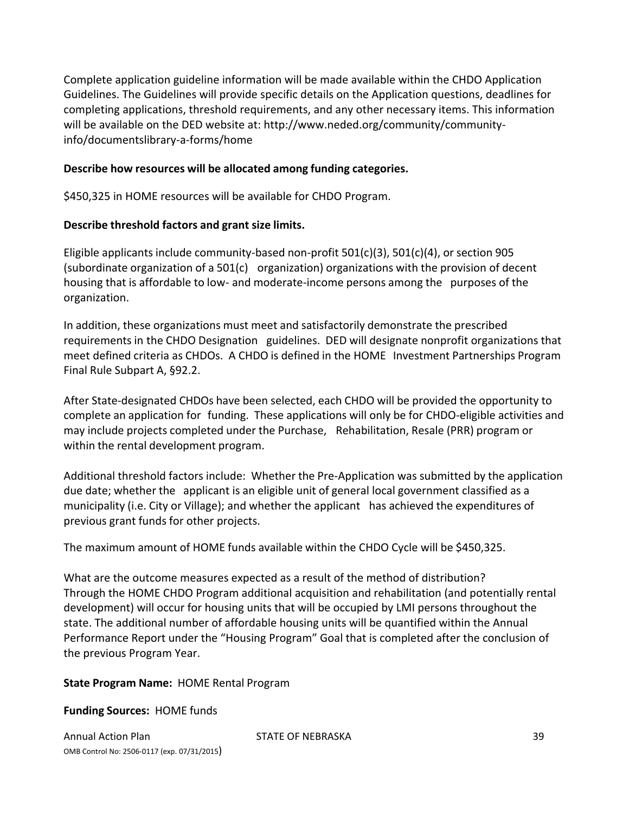Complete application guideline information will be made available within the CHDO Application Guidelines. The Guidelines will provide specific details on the Application questions, deadlines for completing applications, threshold requirements, and any other necessary items. This information will be available on the DED website at: http://www.neded.org/community/communityinfo/documentslibrary‐a‐forms/home

#### **Describe how resources will be allocated among funding categories.**

\$450,325 in HOME resources will be available for CHDO Program.

#### **Describe threshold factors and grant size limits.**

Eligible applicants include community-based non-profit  $501(c)(3)$ ,  $501(c)(4)$ , or section 905 (subordinate organization of a 501(c) organization) organizations with the provision of decent housing that is affordable to low‐ and moderate‐income persons among the purposes of the organization.

In addition, these organizations must meet and satisfactorily demonstrate the prescribed requirements in the CHDO Designation guidelines. DED will designate nonprofit organizations that meet defined criteria as CHDOs. A CHDO is defined in the HOME Investment Partnerships Program Final Rule Subpart A, §92.2.

After State‐designated CHDOs have been selected, each CHDO will be provided the opportunity to complete an application for funding. These applications will only be for CHDO‐eligible activities and may include projects completed under the Purchase, Rehabilitation, Resale (PRR) program or within the rental development program.

Additional threshold factors include: Whether the Pre‐Application was submitted by the application due date; whether the applicant is an eligible unit of general local government classified as a municipality (i.e. City or Village); and whether the applicant has achieved the expenditures of previous grant funds for other projects.

The maximum amount of HOME funds available within the CHDO Cycle will be \$450,325.

What are the outcome measures expected as a result of the method of distribution? Through the HOME CHDO Program additional acquisition and rehabilitation (and potentially rental development) will occur for housing units that will be occupied by LMI persons throughout the state. The additional number of affordable housing units will be quantified within the Annual Performance Report under the "Housing Program" Goal that is completed after the conclusion of the previous Program Year.

#### **State Program Name:** HOME Rental Program

#### **Funding Sources:** HOME funds

Annual Action Plan STATE OF NEBRASKA 39 OMB Control No: 2506‐0117 (exp. 07/31/2015)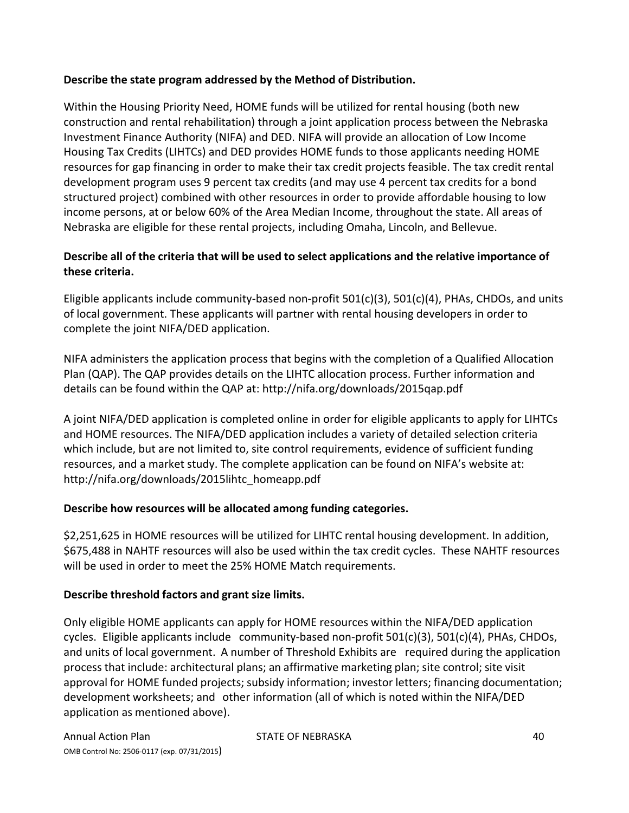## **Describe the state program addressed by the Method of Distribution.**

Within the Housing Priority Need, HOME funds will be utilized for rental housing (both new construction and rental rehabilitation) through a joint application process between the Nebraska Investment Finance Authority (NIFA) and DED. NIFA will provide an allocation of Low Income Housing Tax Credits (LIHTCs) and DED provides HOME funds to those applicants needing HOME resources for gap financing in order to make their tax credit projects feasible. The tax credit rental development program uses 9 percent tax credits (and may use 4 percent tax credits for a bond structured project) combined with other resources in order to provide affordable housing to low income persons, at or below 60% of the Area Median Income, throughout the state. All areas of Nebraska are eligible for these rental projects, including Omaha, Lincoln, and Bellevue.

## **Describe all of the criteria that will be used to select applications and the relative importance of these criteria.**

Eligible applicants include community‐based non‐profit 501(c)(3), 501(c)(4), PHAs, CHDOs, and units of local government. These applicants will partner with rental housing developers in order to complete the joint NIFA/DED application.

NIFA administers the application process that begins with the completion of a Qualified Allocation Plan (QAP). The QAP provides details on the LIHTC allocation process. Further information and details can be found within the QAP at: http://nifa.org/downloads/2015qap.pdf

A joint NIFA/DED application is completed online in order for eligible applicants to apply for LIHTCs and HOME resources. The NIFA/DED application includes a variety of detailed selection criteria which include, but are not limited to, site control requirements, evidence of sufficient funding resources, and a market study. The complete application can be found on NIFA's website at: http://nifa.org/downloads/2015lihtc\_homeapp.pdf

## **Describe how resources will be allocated among funding categories.**

\$2,251,625 in HOME resources will be utilized for LIHTC rental housing development. In addition, \$675,488 in NAHTF resources will also be used within the tax credit cycles. These NAHTF resources will be used in order to meet the 25% HOME Match requirements.

#### **Describe threshold factors and grant size limits.**

Only eligible HOME applicants can apply for HOME resources within the NIFA/DED application cycles. Eligible applicants include community-based non-profit 501(c)(3), 501(c)(4), PHAs, CHDOs, and units of local government. A number of Threshold Exhibits are required during the application process that include: architectural plans; an affirmative marketing plan; site control; site visit approval for HOME funded projects; subsidy information; investor letters; financing documentation; development worksheets; and other information (all of which is noted within the NIFA/DED application as mentioned above).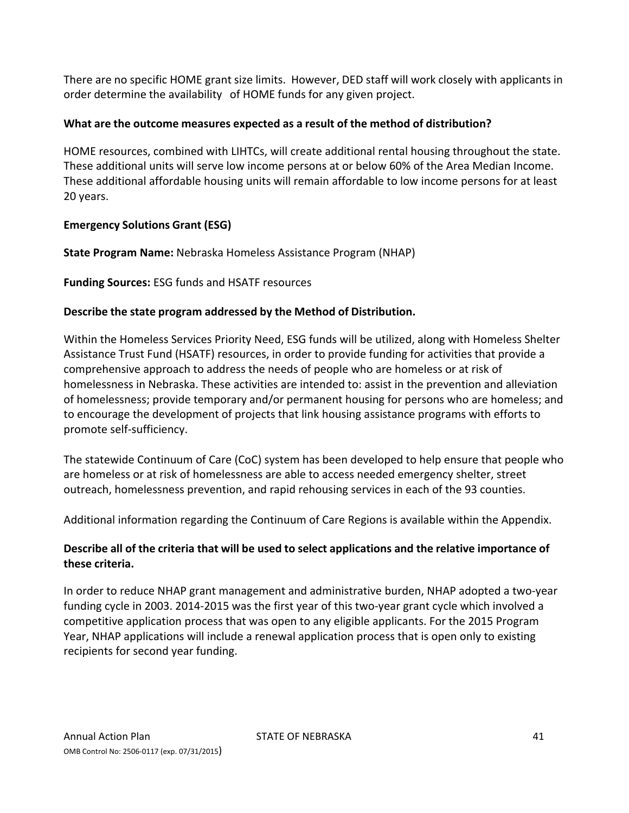There are no specific HOME grant size limits. However, DED staff will work closely with applicants in order determine the availability of HOME funds for any given project.

## **What are the outcome measures expected as a result of the method of distribution?**

HOME resources, combined with LIHTCs, will create additional rental housing throughout the state. These additional units will serve low income persons at or below 60% of the Area Median Income. These additional affordable housing units will remain affordable to low income persons for at least 20 years.

## **Emergency Solutions Grant (ESG)**

**State Program Name:** Nebraska Homeless Assistance Program (NHAP)

**Funding Sources:** ESG funds and HSATF resources

#### **Describe the state program addressed by the Method of Distribution.**

Within the Homeless Services Priority Need, ESG funds will be utilized, along with Homeless Shelter Assistance Trust Fund (HSATF) resources, in order to provide funding for activities that provide a comprehensive approach to address the needs of people who are homeless or at risk of homelessness in Nebraska. These activities are intended to: assist in the prevention and alleviation of homelessness; provide temporary and/or permanent housing for persons who are homeless; and to encourage the development of projects that link housing assistance programs with efforts to promote self‐sufficiency.

The statewide Continuum of Care (CoC) system has been developed to help ensure that people who are homeless or at risk of homelessness are able to access needed emergency shelter, street outreach, homelessness prevention, and rapid rehousing services in each of the 93 counties.

Additional information regarding the Continuum of Care Regions is available within the Appendix.

## **Describe all of the criteria that will be used to select applications and the relative importance of these criteria.**

In order to reduce NHAP grant management and administrative burden, NHAP adopted a two‐year funding cycle in 2003. 2014-2015 was the first year of this two-year grant cycle which involved a competitive application process that was open to any eligible applicants. For the 2015 Program Year, NHAP applications will include a renewal application process that is open only to existing recipients for second year funding.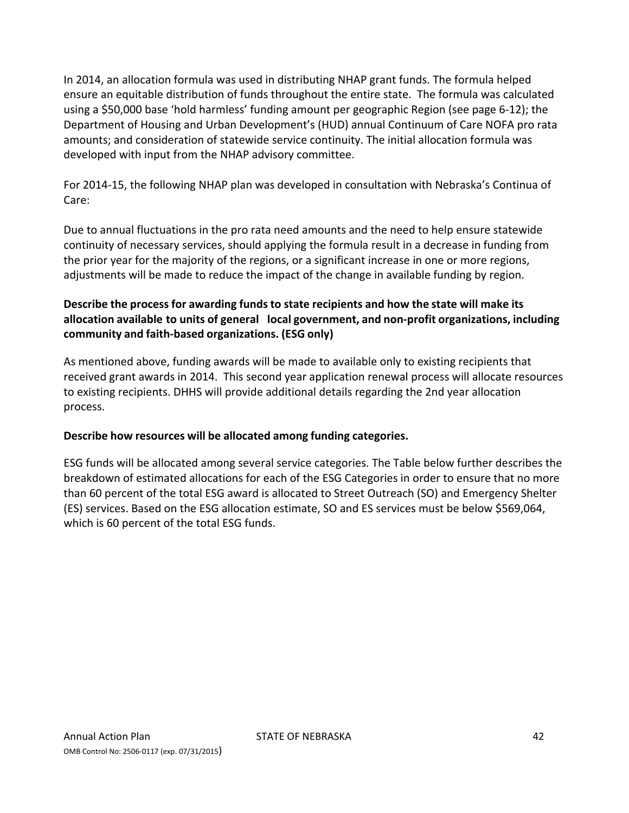In 2014, an allocation formula was used in distributing NHAP grant funds. The formula helped ensure an equitable distribution of funds throughout the entire state. The formula was calculated using a \$50,000 base 'hold harmless' funding amount per geographic Region (see page 6‐12); the Department of Housing and Urban Development's (HUD) annual Continuum of Care NOFA pro rata amounts; and consideration of statewide service continuity. The initial allocation formula was developed with input from the NHAP advisory committee.

For 2014‐15, the following NHAP plan was developed in consultation with Nebraska's Continua of Care:

Due to annual fluctuations in the pro rata need amounts and the need to help ensure statewide continuity of necessary services, should applying the formula result in a decrease in funding from the prior year for the majority of the regions, or a significant increase in one or more regions, adjustments will be made to reduce the impact of the change in available funding by region.

## **Describe the process for awarding funds to state recipients and how the state will make its allocation available to units of general local government, and non‐profit organizations, including community and faith‐based organizations. (ESG only)**

As mentioned above, funding awards will be made to available only to existing recipients that received grant awards in 2014. This second year application renewal process will allocate resources to existing recipients. DHHS will provide additional details regarding the 2nd year allocation process.

#### **Describe how resources will be allocated among funding categories.**

ESG funds will be allocated among several service categories. The Table below further describes the breakdown of estimated allocations for each of the ESG Categories in order to ensure that no more than 60 percent of the total ESG award is allocated to Street Outreach (SO) and Emergency Shelter (ES) services. Based on the ESG allocation estimate, SO and ES services must be below \$569,064, which is 60 percent of the total ESG funds.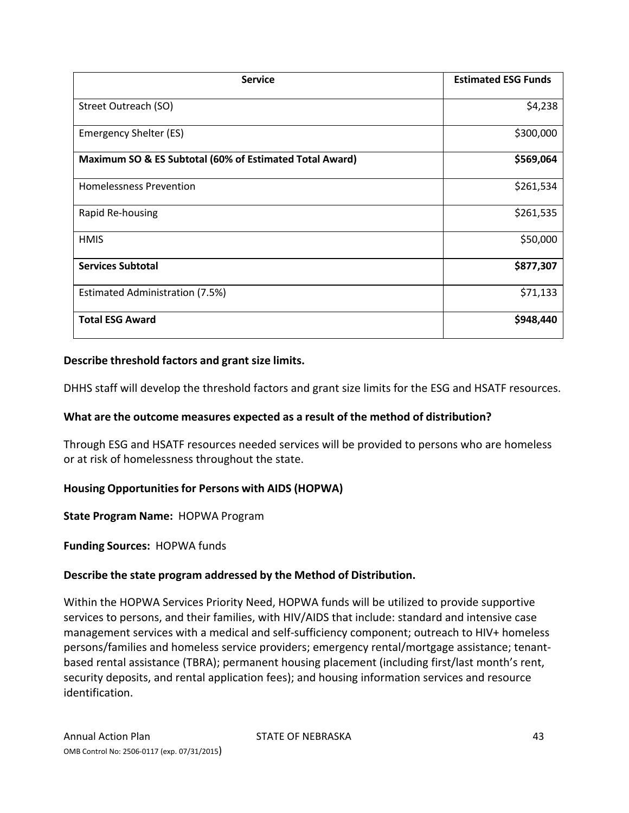| <b>Service</b>                                          | <b>Estimated ESG Funds</b> |
|---------------------------------------------------------|----------------------------|
| Street Outreach (SO)                                    | \$4,238                    |
| Emergency Shelter (ES)                                  | \$300,000                  |
| Maximum SO & ES Subtotal (60% of Estimated Total Award) | \$569,064                  |
| <b>Homelessness Prevention</b>                          | \$261,534                  |
| Rapid Re-housing                                        | \$261,535                  |
| <b>HMIS</b>                                             | \$50,000                   |
| <b>Services Subtotal</b>                                | \$877,307                  |
| Estimated Administration (7.5%)                         | \$71,133                   |
| <b>Total ESG Award</b>                                  | \$948,440                  |

#### **Describe threshold factors and grant size limits.**

DHHS staff will develop the threshold factors and grant size limits for the ESG and HSATF resources.

#### **What are the outcome measures expected as a result of the method of distribution?**

Through ESG and HSATF resources needed services will be provided to persons who are homeless or at risk of homelessness throughout the state.

#### **Housing Opportunitiesfor Persons with AIDS (HOPWA)**

**State Program Name:** HOPWA Program

#### **Funding Sources:** HOPWA funds

#### **Describe the state program addressed by the Method of Distribution.**

Within the HOPWA Services Priority Need, HOPWA funds will be utilized to provide supportive services to persons, and their families, with HIV/AIDS that include: standard and intensive case management services with a medical and self-sufficiency component; outreach to HIV+ homeless persons/families and homeless service providers; emergency rental/mortgage assistance; tenant‐ based rental assistance (TBRA); permanent housing placement (including first/last month's rent, security deposits, and rental application fees); and housing information services and resource identification.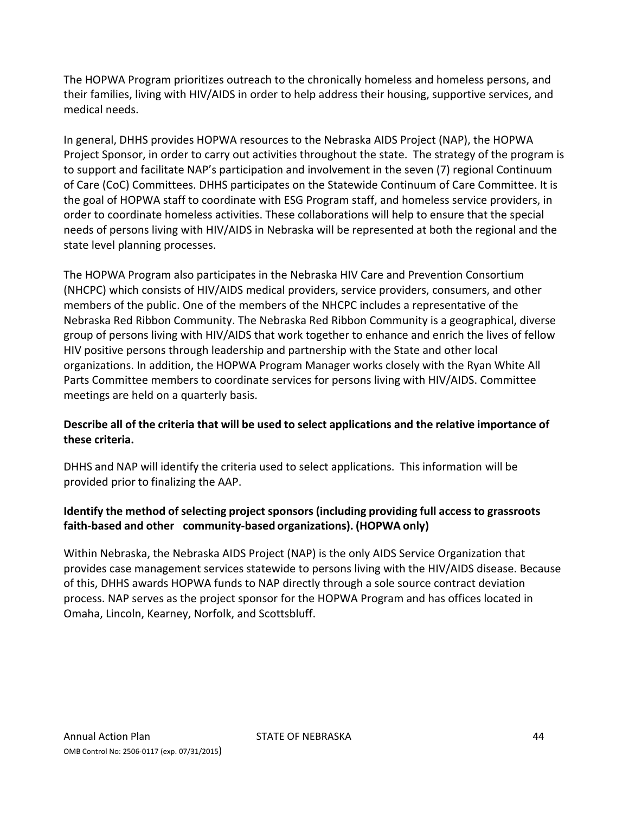The HOPWA Program prioritizes outreach to the chronically homeless and homeless persons, and their families, living with HIV/AIDS in order to help address their housing, supportive services, and medical needs.

In general, DHHS provides HOPWA resources to the Nebraska AIDS Project (NAP), the HOPWA Project Sponsor, in order to carry out activities throughout the state. The strategy of the program is to support and facilitate NAP's participation and involvement in the seven (7) regional Continuum of Care (CoC) Committees. DHHS participates on the Statewide Continuum of Care Committee. It is the goal of HOPWA staff to coordinate with ESG Program staff, and homeless service providers, in order to coordinate homeless activities. These collaborations will help to ensure that the special needs of persons living with HIV/AIDS in Nebraska will be represented at both the regional and the state level planning processes.

The HOPWA Program also participates in the Nebraska HIV Care and Prevention Consortium (NHCPC) which consists of HIV/AIDS medical providers, service providers, consumers, and other members of the public. One of the members of the NHCPC includes a representative of the Nebraska Red Ribbon Community. The Nebraska Red Ribbon Community is a geographical, diverse group of persons living with HIV/AIDS that work together to enhance and enrich the lives of fellow HIV positive persons through leadership and partnership with the State and other local organizations. In addition, the HOPWA Program Manager works closely with the Ryan White All Parts Committee members to coordinate services for persons living with HIV/AIDS. Committee meetings are held on a quarterly basis.

## **Describe all of the criteria that will be used to select applications and the relative importance of these criteria.**

DHHS and NAP will identify the criteria used to select applications. This information will be provided prior to finalizing the AAP.

## **Identify the method ofselecting project sponsors (including providing full access to grassroots faith‐based and other community‐based organizations). (HOPWA only)**

Within Nebraska, the Nebraska AIDS Project (NAP) is the only AIDS Service Organization that provides case management services statewide to persons living with the HIV/AIDS disease. Because of this, DHHS awards HOPWA funds to NAP directly through a sole source contract deviation process. NAP serves as the project sponsor for the HOPWA Program and has offices located in Omaha, Lincoln, Kearney, Norfolk, and Scottsbluff.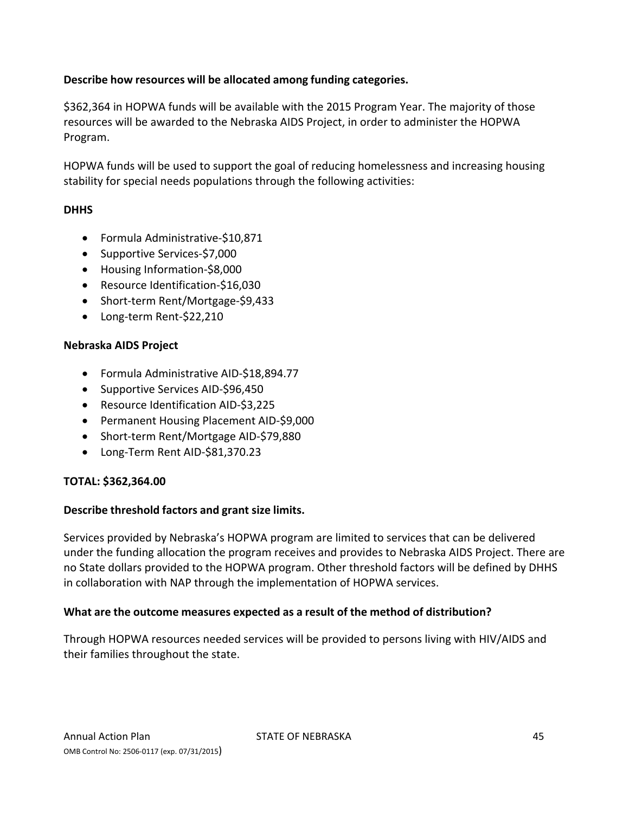## **Describe how resources will be allocated among funding categories.**

\$362,364 in HOPWA funds will be available with the 2015 Program Year. The majority of those resources will be awarded to the Nebraska AIDS Project, in order to administer the HOPWA Program.

HOPWA funds will be used to support the goal of reducing homelessness and increasing housing stability for special needs populations through the following activities:

#### **DHHS**

- Formula Administrative-\$10,871
- Supportive Services-\$7,000
- Housing Information-\$8,000
- Resource Identification-\$16,030
- Short-term Rent/Mortgage-\$9,433
- Long-term Rent-\$22,210

#### **Nebraska AIDS Project**

- Formula Administrative AID‐\$18,894.77
- Supportive Services AID-\$96,450
- Resource Identification AID-\$3,225
- Permanent Housing Placement AID-\$9,000
- Short-term Rent/Mortgage AID-\$79,880
- Long‐Term Rent AID‐\$81,370.23

#### **TOTAL: \$362,364.00**

#### **Describe threshold factors and grant size limits.**

Services provided by Nebraska's HOPWA program are limited to services that can be delivered under the funding allocation the program receives and provides to Nebraska AIDS Project. There are no State dollars provided to the HOPWA program. Other threshold factors will be defined by DHHS in collaboration with NAP through the implementation of HOPWA services.

#### **What are the outcome measures expected as a result of the method of distribution?**

Through HOPWA resources needed services will be provided to persons living with HIV/AIDS and their families throughout the state.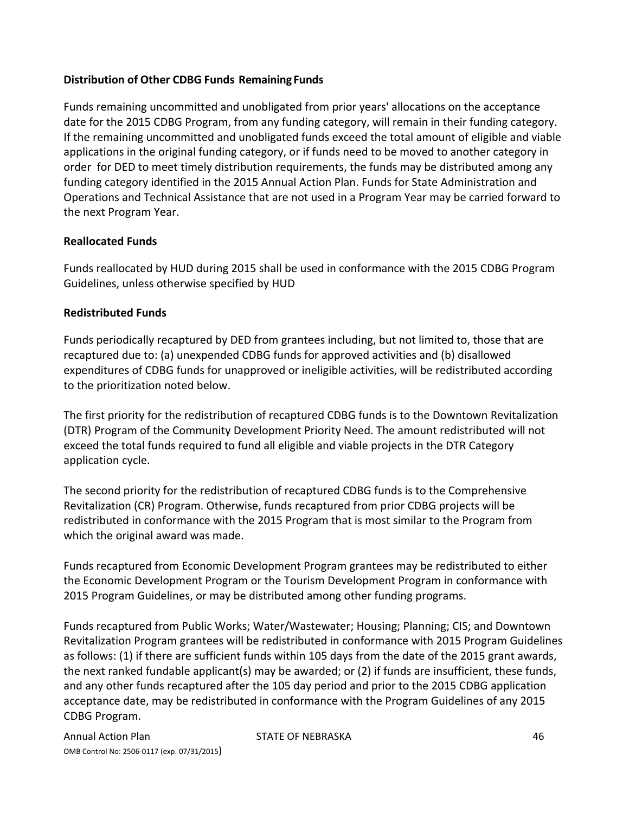#### **Distribution of Other CDBG Funds Remaining Funds**

Funds remaining uncommitted and unobligated from prior years' allocations on the acceptance date for the 2015 CDBG Program, from any funding category, will remain in their funding category. If the remaining uncommitted and unobligated funds exceed the total amount of eligible and viable applications in the original funding category, or if funds need to be moved to another category in order for DED to meet timely distribution requirements, the funds may be distributed among any funding category identified in the 2015 Annual Action Plan. Funds for State Administration and Operations and Technical Assistance that are not used in a Program Year may be carried forward to the next Program Year.

#### **Reallocated Funds**

Funds reallocated by HUD during 2015 shall be used in conformance with the 2015 CDBG Program Guidelines, unless otherwise specified by HUD

#### **Redistributed Funds**

Funds periodically recaptured by DED from grantees including, but not limited to, those that are recaptured due to: (a) unexpended CDBG funds for approved activities and (b) disallowed expenditures of CDBG funds for unapproved or ineligible activities, will be redistributed according to the prioritization noted below.

The first priority for the redistribution of recaptured CDBG funds is to the Downtown Revitalization (DTR) Program of the Community Development Priority Need. The amount redistributed will not exceed the total funds required to fund all eligible and viable projects in the DTR Category application cycle.

The second priority for the redistribution of recaptured CDBG funds is to the Comprehensive Revitalization (CR) Program. Otherwise, funds recaptured from prior CDBG projects will be redistributed in conformance with the 2015 Program that is most similar to the Program from which the original award was made.

Funds recaptured from Economic Development Program grantees may be redistributed to either the Economic Development Program or the Tourism Development Program in conformance with 2015 Program Guidelines, or may be distributed among other funding programs.

Funds recaptured from Public Works; Water/Wastewater; Housing; Planning; CIS; and Downtown Revitalization Program grantees will be redistributed in conformance with 2015 Program Guidelines as follows: (1) if there are sufficient funds within 105 days from the date of the 2015 grant awards, the next ranked fundable applicant(s) may be awarded; or (2) if funds are insufficient, these funds, and any other funds recaptured after the 105 day period and prior to the 2015 CDBG application acceptance date, may be redistributed in conformance with the Program Guidelines of any 2015 CDBG Program.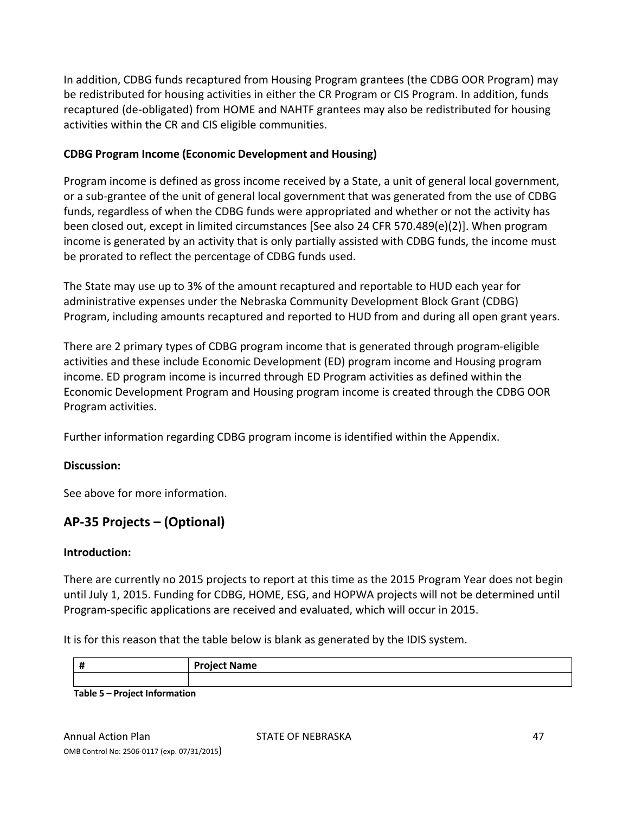In addition, CDBG funds recaptured from Housing Program grantees (the CDBG OOR Program) may be redistributed for housing activities in either the CR Program or CIS Program. In addition, funds recaptured (de‐obligated) from HOME and NAHTF grantees may also be redistributed for housing activities within the CR and CIS eligible communities.

## **CDBG Program Income (Economic Development and Housing)**

Program income is defined as gross income received by a State, a unit of general local government, or a sub‐grantee of the unit of general local government that was generated from the use of CDBG funds, regardless of when the CDBG funds were appropriated and whether or not the activity has been closed out, except in limited circumstances [See also 24 CFR 570.489(e)(2)]. When program income is generated by an activity that is only partially assisted with CDBG funds, the income must be prorated to reflect the percentage of CDBG funds used.

The State may use up to 3% of the amount recaptured and reportable to HUD each year for administrative expenses under the Nebraska Community Development Block Grant (CDBG) Program, including amounts recaptured and reported to HUD from and during all open grant years.

There are 2 primary types of CDBG program income that is generated through program‐eligible activities and these include Economic Development (ED) program income and Housing program income. ED program income is incurred through ED Program activities as defined within the Economic Development Program and Housing program income is created through the CDBG OOR Program activities.

Further information regarding CDBG program income is identified within the Appendix.

## **Discussion:**

See above for more information.

# **AP‐35 Projects – (Optional)**

## **Introduction:**

There are currently no 2015 projects to report at this time as the 2015 Program Year does not begin until July 1, 2015. Funding for CDBG, HOME, ESG, and HOPWA projects will not be determined until Program‐specific applications are received and evaluated, which will occur in 2015.

It is for this reason that the table below is blank as generated by the IDIS system.

| - 11<br>п                                                                                                             | <b>Project Name</b> |
|-----------------------------------------------------------------------------------------------------------------------|---------------------|
|                                                                                                                       |                     |
| the contract of the contract of the contract of the contract of the contract of the contract of the contract of<br>__ |                     |

**Table 5 – Project Information**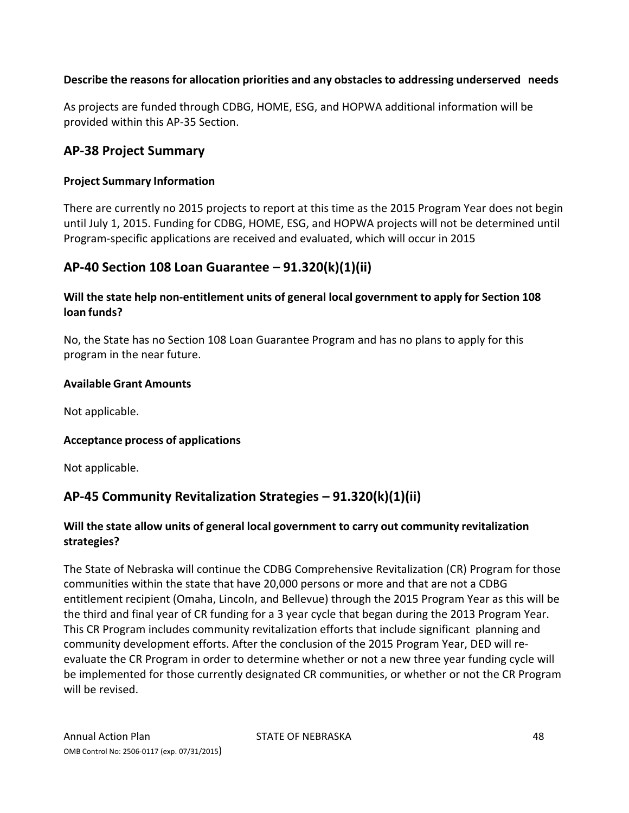## **Describe the reasonsfor allocation priorities and any obstacles to addressing underserved needs**

As projects are funded through CDBG, HOME, ESG, and HOPWA additional information will be provided within this AP‐35 Section.

## **AP‐38 Project Summary**

#### **Project Summary Information**

There are currently no 2015 projects to report at this time as the 2015 Program Year does not begin until July 1, 2015. Funding for CDBG, HOME, ESG, and HOPWA projects will not be determined until Program‐specific applications are received and evaluated, which will occur in 2015

## **AP‐40 Section 108 Loan Guarantee – 91.320(k)(1)(ii)**

## **Will the state help non‐entitlement units of general local government to apply for Section 108 loan funds?**

No, the State has no Section 108 Loan Guarantee Program and has no plans to apply for this program in the near future.

#### **Available Grant Amounts**

Not applicable.

#### **Acceptance process of applications**

Not applicable.

# **AP‐45 Community Revitalization Strategies – 91.320(k)(1)(ii)**

## **Will the state allow units of general local government to carry out community revitalization strategies?**

The State of Nebraska will continue the CDBG Comprehensive Revitalization (CR) Program for those communities within the state that have 20,000 persons or more and that are not a CDBG entitlement recipient (Omaha, Lincoln, and Bellevue) through the 2015 Program Year as this will be the third and final year of CR funding for a 3 year cycle that began during the 2013 Program Year. This CR Program includes community revitalization efforts that include significant planning and community development efforts. After the conclusion of the 2015 Program Year, DED will re‐ evaluate the CR Program in order to determine whether or not a new three year funding cycle will be implemented for those currently designated CR communities, or whether or not the CR Program will be revised.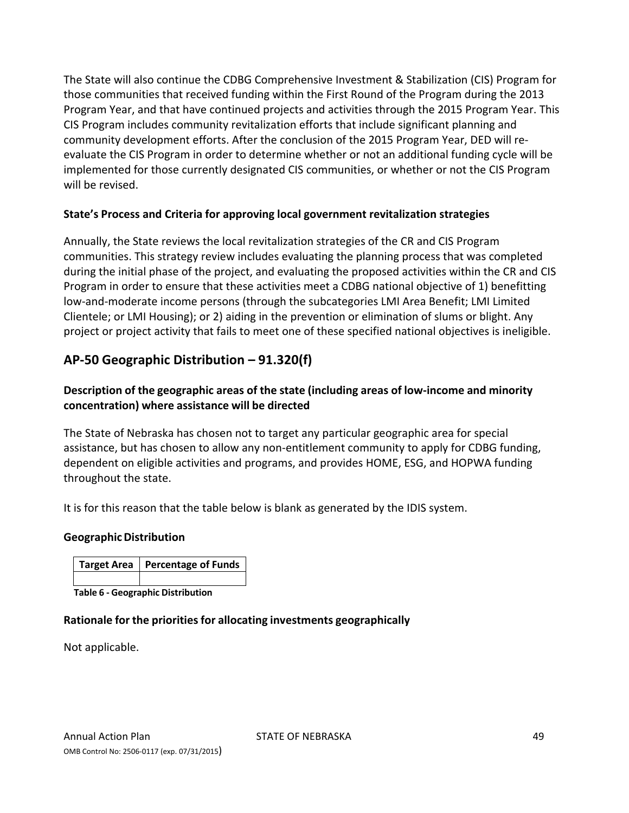The State will also continue the CDBG Comprehensive Investment & Stabilization (CIS) Program for those communities that received funding within the First Round of the Program during the 2013 Program Year, and that have continued projects and activities through the 2015 Program Year. This CIS Program includes community revitalization efforts that include significant planning and community development efforts. After the conclusion of the 2015 Program Year, DED will re‐ evaluate the CIS Program in order to determine whether or not an additional funding cycle will be implemented for those currently designated CIS communities, or whether or not the CIS Program will be revised.

## **State's Process and Criteria for approving local government revitalization strategies**

Annually, the State reviews the local revitalization strategies of the CR and CIS Program communities. This strategy review includes evaluating the planning process that was completed during the initial phase of the project, and evaluating the proposed activities within the CR and CIS Program in order to ensure that these activities meet a CDBG national objective of 1) benefitting low‐and‐moderate income persons (through the subcategories LMI Area Benefit; LMI Limited Clientele; or LMI Housing); or 2) aiding in the prevention or elimination of slums or blight. Any project or project activity that fails to meet one of these specified national objectives is ineligible.

# **AP‐50 Geographic Distribution – 91.320(f)**

## **Description of the geographic areas of the state (including areas of low‐income and minority concentration) where assistance will be directed**

The State of Nebraska has chosen not to target any particular geographic area for special assistance, but has chosen to allow any non‐entitlement community to apply for CDBG funding, dependent on eligible activities and programs, and provides HOME, ESG, and HOPWA funding throughout the state.

It is for this reason that the table below is blank as generated by the IDIS system.

#### **Geographic Distribution**

| Target Area   Percentage of Funds |
|-----------------------------------|
|                                   |

**Table 6 ‐ Geographic Distribution**

#### **Rationale for the priorities for allocating investments geographically**

Not applicable.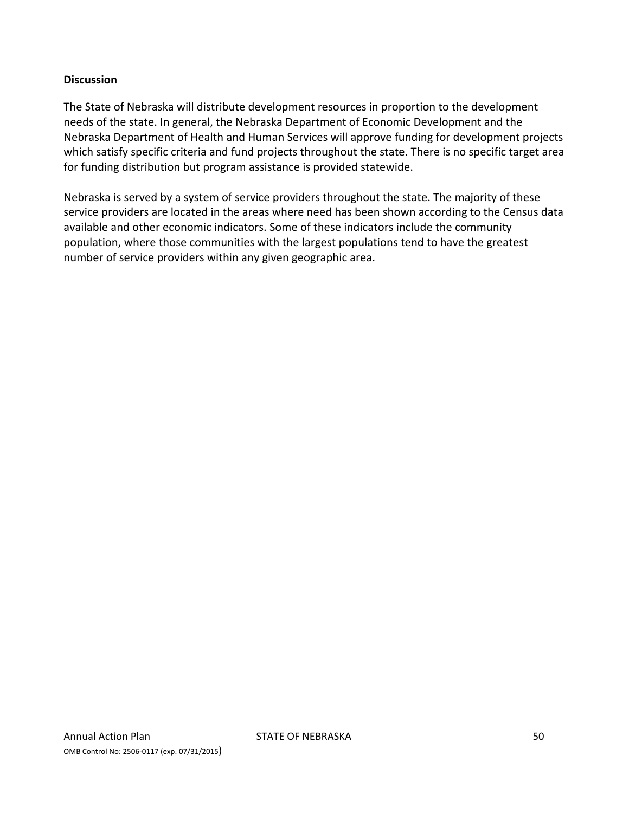#### **Discussion**

The State of Nebraska will distribute development resources in proportion to the development needs of the state. In general, the Nebraska Department of Economic Development and the Nebraska Department of Health and Human Services will approve funding for development projects which satisfy specific criteria and fund projects throughout the state. There is no specific target area for funding distribution but program assistance is provided statewide.

Nebraska is served by a system of service providers throughout the state. The majority of these service providers are located in the areas where need has been shown according to the Census data available and other economic indicators. Some of these indicators include the community population, where those communities with the largest populations tend to have the greatest number of service providers within any given geographic area.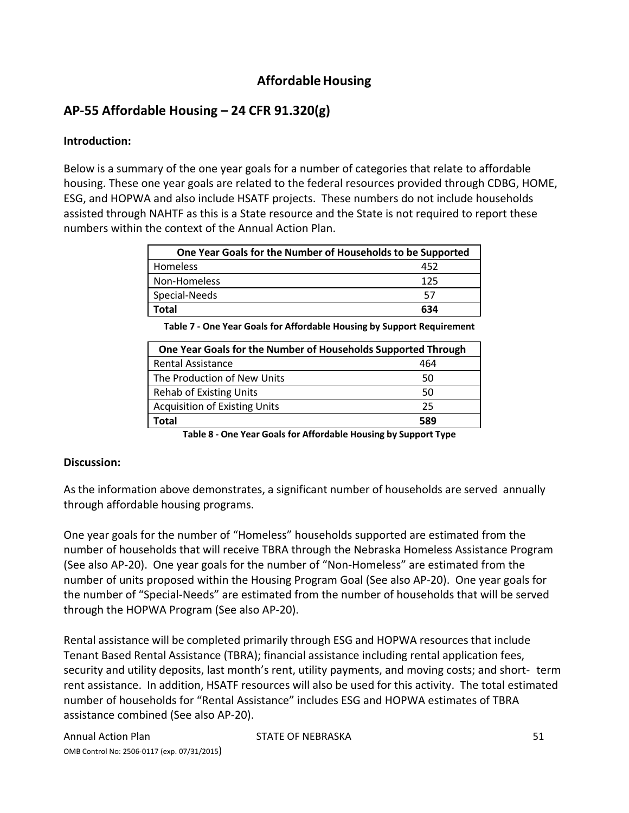# **AffordableHousing**

# **AP‐55 Affordable Housing – 24 CFR 91.320(g)**

## **Introduction:**

Below is a summary of the one year goals for a number of categories that relate to affordable housing. These one year goals are related to the federal resources provided through CDBG, HOME, ESG, and HOPWA and also include HSATF projects. These numbers do not include households assisted through NAHTF as this is a State resource and the State is not required to report these numbers within the context of the Annual Action Plan.

| One Year Goals for the Number of Households to be Supported |     |  |  |  |
|-------------------------------------------------------------|-----|--|--|--|
| <b>Homeless</b>                                             | 452 |  |  |  |
| Non-Homeless                                                | 125 |  |  |  |
| Special-Needs                                               | 57  |  |  |  |
| Total                                                       | 634 |  |  |  |

| One Year Goals for the Number of Households Supported Through |     |
|---------------------------------------------------------------|-----|
| <b>Rental Assistance</b>                                      | 464 |
| The Production of New Units                                   | 50  |
| <b>Rehab of Existing Units</b>                                | 50  |
| <b>Acquisition of Existing Units</b>                          | 25  |
| Total                                                         | 589 |

**Table 8 ‐ One Year Goals for Affordable Housing by Support Type**

## **Discussion:**

As the information above demonstrates, a significant number of households are served annually through affordable housing programs.

One year goals for the number of "Homeless" households supported are estimated from the number of households that will receive TBRA through the Nebraska Homeless Assistance Program (See also AP‐20). One year goals for the number of "Non‐Homeless" are estimated from the number of units proposed within the Housing Program Goal (See also AP‐20). One year goals for the number of "Special‐Needs" are estimated from the number of households that will be served through the HOPWA Program (See also AP‐20).

Rental assistance will be completed primarily through ESG and HOPWA resources that include Tenant Based Rental Assistance (TBRA); financial assistance including rental application fees, security and utility deposits, last month's rent, utility payments, and moving costs; and short‐ term rent assistance. In addition, HSATF resources will also be used for this activity. The total estimated number of households for "Rental Assistance" includes ESG and HOPWA estimates of TBRA assistance combined (See also AP‐20).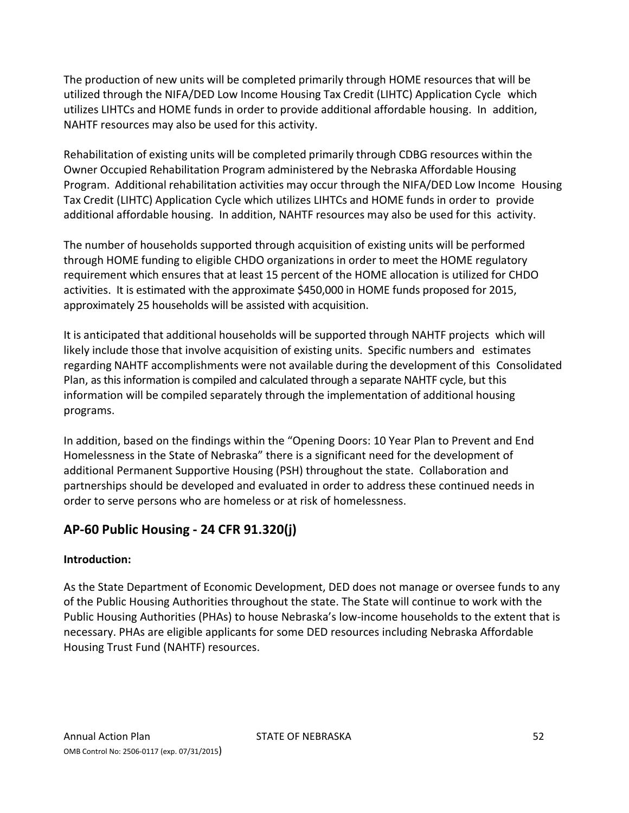The production of new units will be completed primarily through HOME resources that will be utilized through the NIFA/DED Low Income Housing Tax Credit (LIHTC) Application Cycle which utilizes LIHTCs and HOME funds in order to provide additional affordable housing. In addition, NAHTF resources may also be used for this activity.

Rehabilitation of existing units will be completed primarily through CDBG resources within the Owner Occupied Rehabilitation Program administered by the Nebraska Affordable Housing Program. Additional rehabilitation activities may occur through the NIFA/DED Low Income Housing Tax Credit (LIHTC) Application Cycle which utilizes LIHTCs and HOME funds in order to provide additional affordable housing. In addition, NAHTF resources may also be used for this activity.

The number of households supported through acquisition of existing units will be performed through HOME funding to eligible CHDO organizations in order to meet the HOME regulatory requirement which ensures that at least 15 percent of the HOME allocation is utilized for CHDO activities. It is estimated with the approximate \$450,000 in HOME funds proposed for 2015, approximately 25 households will be assisted with acquisition.

It is anticipated that additional households will be supported through NAHTF projects which will likely include those that involve acquisition of existing units. Specific numbers and estimates regarding NAHTF accomplishments were not available during the development of this Consolidated Plan, asthisinformation is compiled and calculated through a separate NAHTF cycle, but this information will be compiled separately through the implementation of additional housing programs.

In addition, based on the findings within the "Opening Doors: 10 Year Plan to Prevent and End Homelessness in the State of Nebraska" there is a significant need for the development of additional Permanent Supportive Housing (PSH) throughout the state. Collaboration and partnerships should be developed and evaluated in order to address these continued needs in order to serve persons who are homeless or at risk of homelessness.

# **AP‐60 Public Housing ‐ 24 CFR 91.320(j)**

# **Introduction:**

As the State Department of Economic Development, DED does not manage or oversee funds to any of the Public Housing Authorities throughout the state. The State will continue to work with the Public Housing Authorities (PHAs) to house Nebraska's low‐income households to the extent that is necessary. PHAs are eligible applicants for some DED resources including Nebraska Affordable Housing Trust Fund (NAHTF) resources.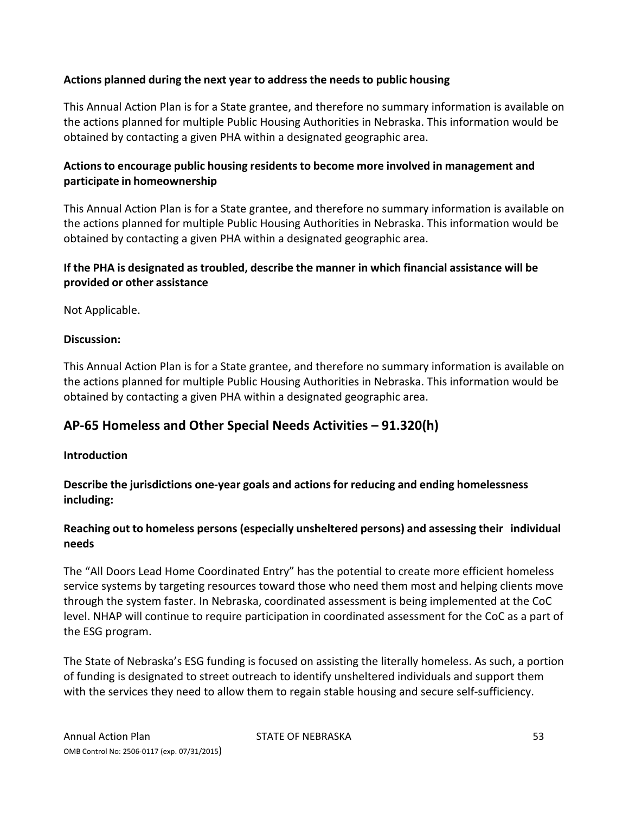## **Actions planned during the next year to address the needs to public housing**

This Annual Action Plan is for a State grantee, and therefore no summary information is available on the actions planned for multiple Public Housing Authorities in Nebraska. This information would be obtained by contacting a given PHA within a designated geographic area.

## **Actionsto encourage public housing residents to become more involved in management and participate in homeownership**

This Annual Action Plan is for a State grantee, and therefore no summary information is available on the actions planned for multiple Public Housing Authorities in Nebraska. This information would be obtained by contacting a given PHA within a designated geographic area.

## **If the PHA is designated as troubled, describe the manner in which financial assistance will be provided or other assistance**

Not Applicable.

#### **Discussion:**

This Annual Action Plan is for a State grantee, and therefore no summary information is available on the actions planned for multiple Public Housing Authorities in Nebraska. This information would be obtained by contacting a given PHA within a designated geographic area.

# **AP‐65 Homeless and Other Special Needs Activities – 91.320(h)**

#### **Introduction**

**Describe the jurisdictions one‐year goals and actions for reducing and ending homelessness including:**

## **Reaching out to homeless persons (especially unsheltered persons) and assessing their individual needs**

The "All Doors Lead Home Coordinated Entry" has the potential to create more efficient homeless service systems by targeting resources toward those who need them most and helping clients move through the system faster. In Nebraska, coordinated assessment is being implemented at the CoC level. NHAP will continue to require participation in coordinated assessment for the CoC as a part of the ESG program.

The State of Nebraska's ESG funding is focused on assisting the literally homeless. As such, a portion of funding is designated to street outreach to identify unsheltered individuals and support them with the services they need to allow them to regain stable housing and secure self-sufficiency.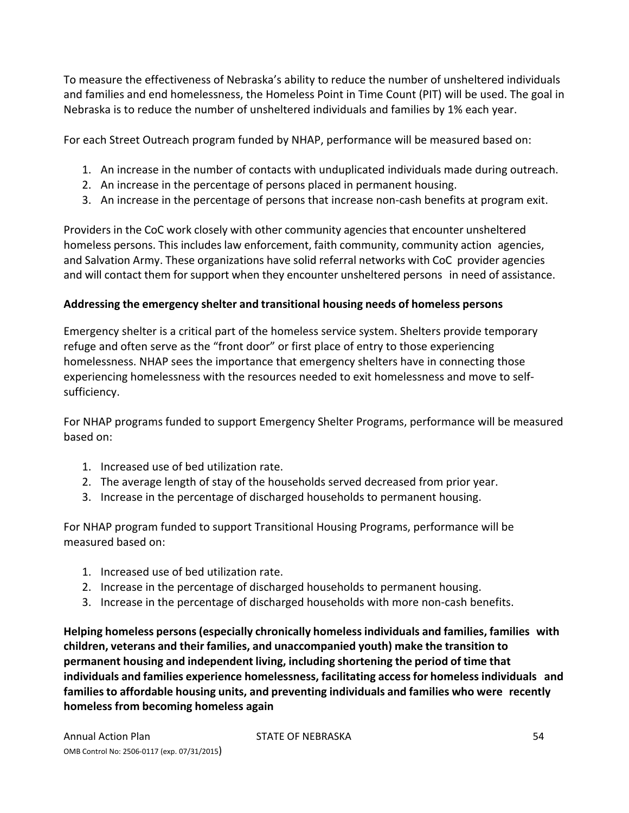To measure the effectiveness of Nebraska's ability to reduce the number of unsheltered individuals and families and end homelessness, the Homeless Point in Time Count (PIT) will be used. The goal in Nebraska is to reduce the number of unsheltered individuals and families by 1% each year.

For each Street Outreach program funded by NHAP, performance will be measured based on:

- 1. An increase in the number of contacts with unduplicated individuals made during outreach.
- 2. An increase in the percentage of persons placed in permanent housing.
- 3. An increase in the percentage of persons that increase non‐cash benefits at program exit.

Providers in the CoC work closely with other community agencies that encounter unsheltered homeless persons. This includes law enforcement, faith community, community action agencies, and Salvation Army. These organizations have solid referral networks with CoC provider agencies and will contact them for support when they encounter unsheltered persons in need of assistance.

#### **Addressing the emergency shelter and transitional housing needs of homeless persons**

Emergency shelter is a critical part of the homeless service system. Shelters provide temporary refuge and often serve as the "front door" or first place of entry to those experiencing homelessness. NHAP sees the importance that emergency shelters have in connecting those experiencing homelessness with the resources needed to exit homelessness and move to self‐ sufficiency.

For NHAP programs funded to support Emergency Shelter Programs, performance will be measured based on:

- 1. Increased use of bed utilization rate.
- 2. The average length of stay of the households served decreased from prior year.
- 3. Increase in the percentage of discharged households to permanent housing.

For NHAP program funded to support Transitional Housing Programs, performance will be measured based on:

- 1. Increased use of bed utilization rate.
- 2. Increase in the percentage of discharged households to permanent housing.
- 3. Increase in the percentage of discharged households with more non‐cash benefits.

**Helping homeless persons (especially chronically homeless individuals and families, families with children, veterans and their families, and unaccompanied youth) make the transition to permanent housing and independent living, including shortening the period of time that individuals and families experience homelessness, facilitating accessfor homeless individuals and families to affordable housing units, and preventing individuals and families who were recently homeless from becoming homeless again**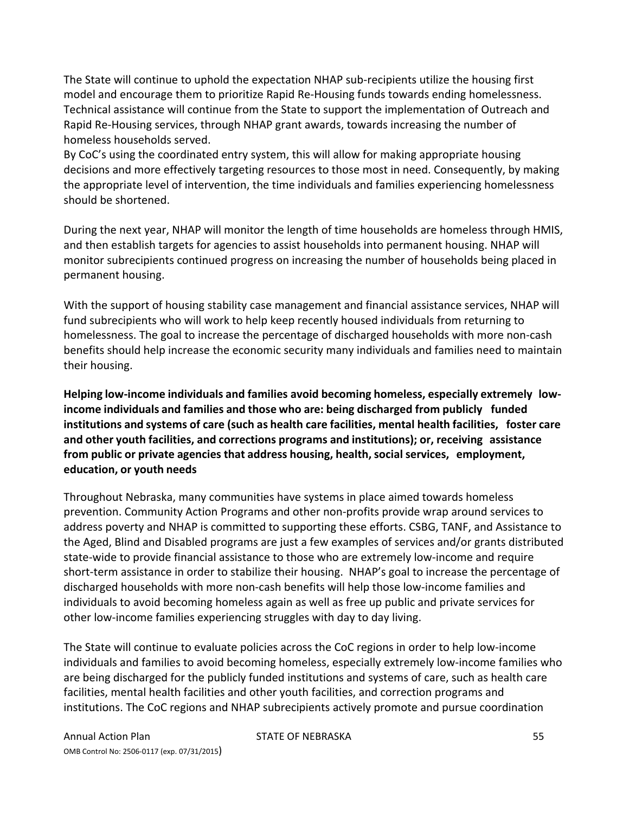The State will continue to uphold the expectation NHAP sub-recipients utilize the housing first model and encourage them to prioritize Rapid Re‐Housing funds towards ending homelessness. Technical assistance will continue from the State to support the implementation of Outreach and Rapid Re‐Housing services, through NHAP grant awards, towards increasing the number of homeless households served.

By CoC's using the coordinated entry system, this will allow for making appropriate housing decisions and more effectively targeting resources to those most in need. Consequently, by making the appropriate level of intervention, the time individuals and families experiencing homelessness should be shortened.

During the next year, NHAP will monitor the length of time households are homeless through HMIS, and then establish targets for agencies to assist households into permanent housing. NHAP will monitor subrecipients continued progress on increasing the number of households being placed in permanent housing.

With the support of housing stability case management and financial assistance services, NHAP will fund subrecipients who will work to help keep recently housed individuals from returning to homelessness. The goal to increase the percentage of discharged households with more non‐cash benefits should help increase the economic security many individuals and families need to maintain their housing.

**Helping low‐income individuals and families avoid becoming homeless, especially extremely low‐ income individuals and families and those who are: being discharged from publicly funded institutions and systems of care (such as health care facilities, mental health facilities, foster care and other youth facilities, and corrections programs and institutions); or, receiving assistance from public or private agencies that address housing, health,social services, employment, education, or youth needs**

Throughout Nebraska, many communities have systems in place aimed towards homeless prevention. Community Action Programs and other non‐profits provide wrap around services to address poverty and NHAP is committed to supporting these efforts. CSBG, TANF, and Assistance to the Aged, Blind and Disabled programs are just a few examples of services and/or grants distributed state‐wide to provide financial assistance to those who are extremely low‐income and require short-term assistance in order to stabilize their housing. NHAP's goal to increase the percentage of discharged households with more non‐cash benefits will help those low‐income families and individuals to avoid becoming homeless again as well as free up public and private services for other low‐income families experiencing struggles with day to day living.

The State will continue to evaluate policies across the CoC regions in order to help low‐income individuals and families to avoid becoming homeless, especially extremely low-income families who are being discharged for the publicly funded institutions and systems of care, such as health care facilities, mental health facilities and other youth facilities, and correction programs and institutions. The CoC regions and NHAP subrecipients actively promote and pursue coordination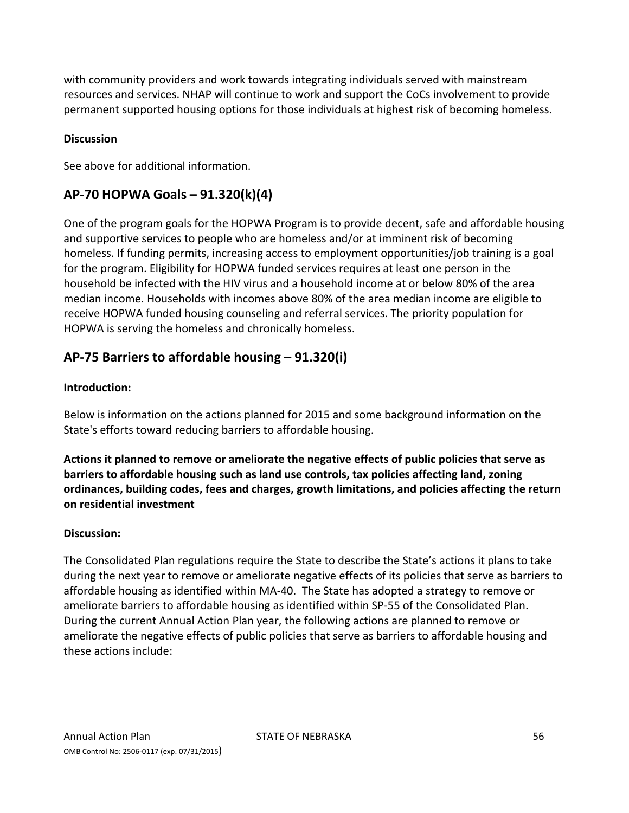with community providers and work towards integrating individuals served with mainstream resources and services. NHAP will continue to work and support the CoCs involvement to provide permanent supported housing options for those individuals at highest risk of becoming homeless.

## **Discussion**

See above for additional information.

# **AP‐70 HOPWA Goals – 91.320(k)(4)**

One of the program goals for the HOPWA Program is to provide decent, safe and affordable housing and supportive services to people who are homeless and/or at imminent risk of becoming homeless. If funding permits, increasing access to employment opportunities/job training is a goal for the program. Eligibility for HOPWA funded services requires at least one person in the household be infected with the HIV virus and a household income at or below 80% of the area median income. Households with incomes above 80% of the area median income are eligible to receive HOPWA funded housing counseling and referral services. The priority population for HOPWA is serving the homeless and chronically homeless.

# **AP‐75 Barriers to affordable housing – 91.320(i)**

## **Introduction:**

Below is information on the actions planned for 2015 and some background information on the State's efforts toward reducing barriers to affordable housing.

**Actions it planned to remove or ameliorate the negative effects of public policies that serve as barriers to affordable housing such as land use controls, tax policies affecting land, zoning ordinances, building codes, fees and charges, growth limitations, and policies affecting the return on residential investment**

#### **Discussion:**

The Consolidated Plan regulations require the State to describe the State's actions it plans to take during the next year to remove or ameliorate negative effects of its policies that serve as barriers to affordable housing as identified within MA‐40. The State has adopted a strategy to remove or ameliorate barriers to affordable housing as identified within SP‐55 of the Consolidated Plan. During the current Annual Action Plan year, the following actions are planned to remove or ameliorate the negative effects of public policies that serve as barriers to affordable housing and these actions include: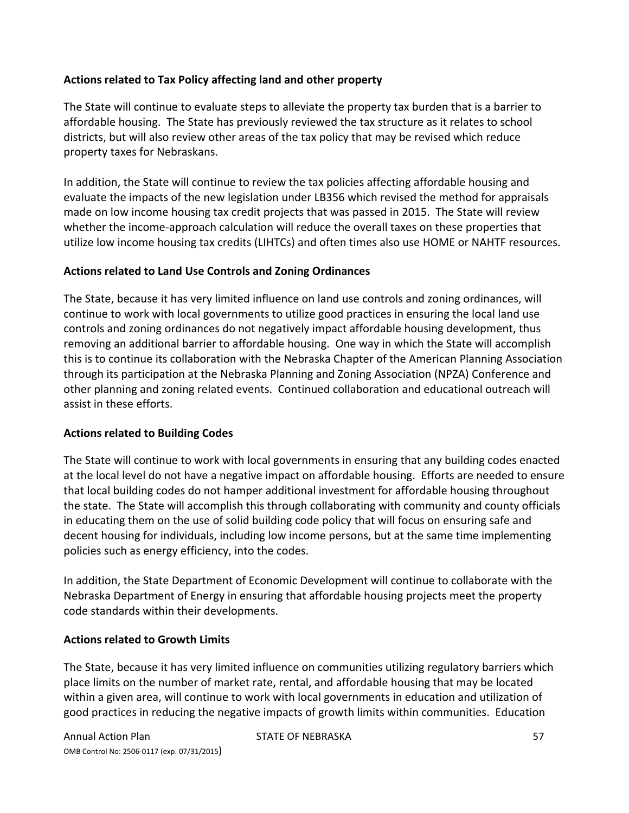## **Actions related to Tax Policy affecting land and other property**

The State will continue to evaluate steps to alleviate the property tax burden that is a barrier to affordable housing. The State has previously reviewed the tax structure as it relates to school districts, but will also review other areas of the tax policy that may be revised which reduce property taxes for Nebraskans.

In addition, the State will continue to review the tax policies affecting affordable housing and evaluate the impacts of the new legislation under LB356 which revised the method for appraisals made on low income housing tax credit projects that was passed in 2015. The State will review whether the income-approach calculation will reduce the overall taxes on these properties that utilize low income housing tax credits (LIHTCs) and often times also use HOME or NAHTF resources.

#### **Actions related to Land Use Controls and Zoning Ordinances**

The State, because it has very limited influence on land use controls and zoning ordinances, will continue to work with local governments to utilize good practices in ensuring the local land use controls and zoning ordinances do not negatively impact affordable housing development, thus removing an additional barrier to affordable housing. One way in which the State will accomplish this is to continue its collaboration with the Nebraska Chapter of the American Planning Association through its participation at the Nebraska Planning and Zoning Association (NPZA) Conference and other planning and zoning related events. Continued collaboration and educational outreach will assist in these efforts.

#### **Actions related to Building Codes**

The State will continue to work with local governments in ensuring that any building codes enacted at the local level do not have a negative impact on affordable housing. Efforts are needed to ensure that local building codes do not hamper additional investment for affordable housing throughout the state. The State will accomplish this through collaborating with community and county officials in educating them on the use of solid building code policy that will focus on ensuring safe and decent housing for individuals, including low income persons, but at the same time implementing policies such as energy efficiency, into the codes.

In addition, the State Department of Economic Development will continue to collaborate with the Nebraska Department of Energy in ensuring that affordable housing projects meet the property code standards within their developments.

#### **Actions related to Growth Limits**

The State, because it has very limited influence on communities utilizing regulatory barriers which place limits on the number of market rate, rental, and affordable housing that may be located within a given area, will continue to work with local governments in education and utilization of good practices in reducing the negative impacts of growth limits within communities. Education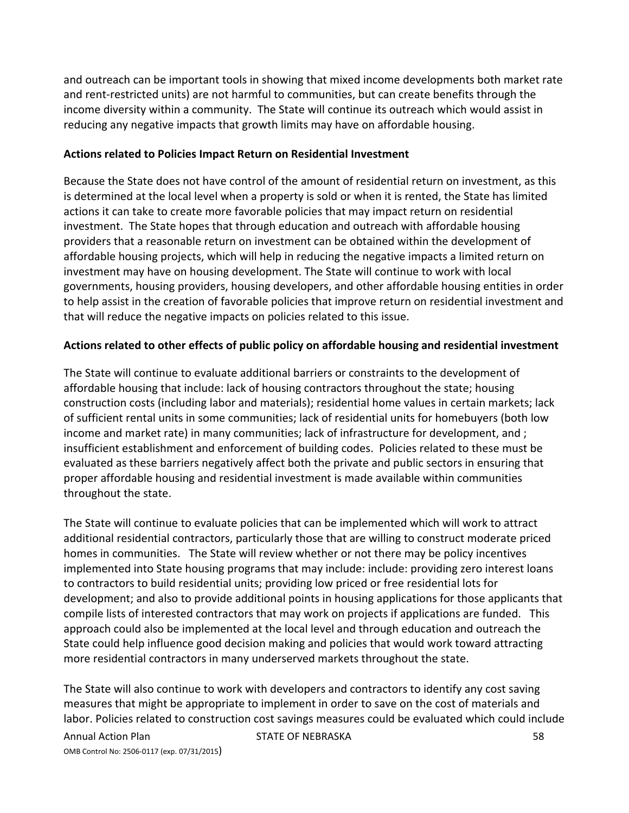and outreach can be important tools in showing that mixed income developments both market rate and rent-restricted units) are not harmful to communities, but can create benefits through the income diversity within a community. The State will continue its outreach which would assist in reducing any negative impacts that growth limits may have on affordable housing.

#### **Actions related to Policies Impact Return on Residential Investment**

Because the State does not have control of the amount of residential return on investment, as this is determined at the local level when a property is sold or when it is rented, the State has limited actions it can take to create more favorable policies that may impact return on residential investment. The State hopes that through education and outreach with affordable housing providers that a reasonable return on investment can be obtained within the development of affordable housing projects, which will help in reducing the negative impacts a limited return on investment may have on housing development. The State will continue to work with local governments, housing providers, housing developers, and other affordable housing entities in order to help assist in the creation of favorable policies that improve return on residential investment and that will reduce the negative impacts on policies related to this issue.

#### **Actions related to other effects of public policy on affordable housing and residential investment**

The State will continue to evaluate additional barriers or constraints to the development of affordable housing that include: lack of housing contractors throughout the state; housing construction costs (including labor and materials); residential home values in certain markets; lack of sufficient rental units in some communities; lack of residential units for homebuyers (both low income and market rate) in many communities; lack of infrastructure for development, and ; insufficient establishment and enforcement of building codes. Policies related to these must be evaluated as these barriers negatively affect both the private and public sectors in ensuring that proper affordable housing and residential investment is made available within communities throughout the state.

The State will continue to evaluate policies that can be implemented which will work to attract additional residential contractors, particularly those that are willing to construct moderate priced homes in communities. The State will review whether or not there may be policy incentives implemented into State housing programs that may include: include: providing zero interest loans to contractors to build residential units; providing low priced or free residential lots for development; and also to provide additional points in housing applications for those applicants that compile lists of interested contractors that may work on projects if applications are funded. This approach could also be implemented at the local level and through education and outreach the State could help influence good decision making and policies that would work toward attracting more residential contractors in many underserved markets throughout the state.

The State will also continue to work with developers and contractors to identify any cost saving measures that might be appropriate to implement in order to save on the cost of materials and labor. Policies related to construction cost savings measures could be evaluated which could include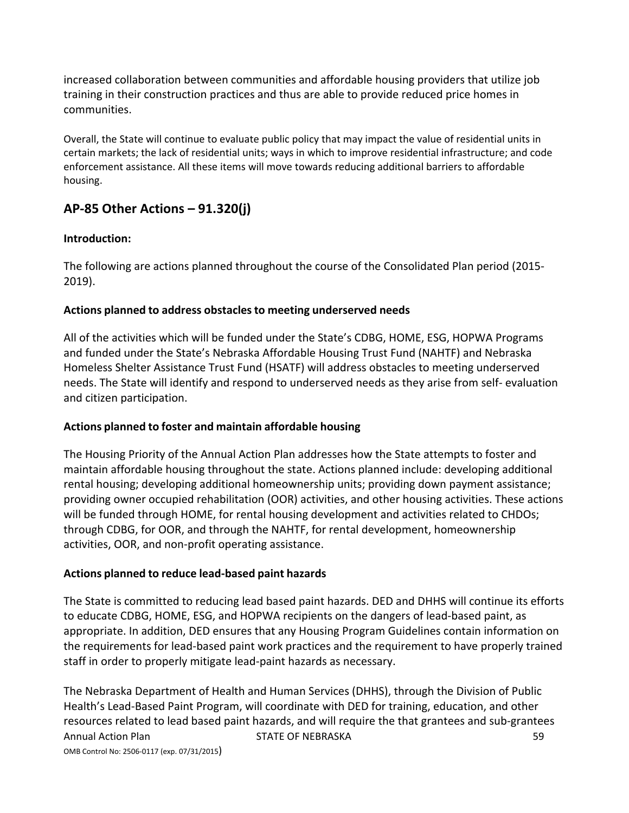increased collaboration between communities and affordable housing providers that utilize job training in their construction practices and thus are able to provide reduced price homes in communities.

Overall, the State will continue to evaluate public policy that may impact the value of residential units in certain markets; the lack of residential units; ways in which to improve residential infrastructure; and code enforcement assistance. All these items will move towards reducing additional barriers to affordable housing.

# **AP‐85 Other Actions – 91.320(j)**

#### **Introduction:**

The following are actions planned throughout the course of the Consolidated Plan period (2015‐ 2019).

#### **Actions planned to address obstaclesto meeting underserved needs**

All of the activities which will be funded under the State's CDBG, HOME, ESG, HOPWA Programs and funded under the State's Nebraska Affordable Housing Trust Fund (NAHTF) and Nebraska Homeless Shelter Assistance Trust Fund (HSATF) will address obstacles to meeting underserved needs. The State will identify and respond to underserved needs as they arise from self‐ evaluation and citizen participation.

#### **Actions planned to foster and maintain affordable housing**

The Housing Priority of the Annual Action Plan addresses how the State attempts to foster and maintain affordable housing throughout the state. Actions planned include: developing additional rental housing; developing additional homeownership units; providing down payment assistance; providing owner occupied rehabilitation (OOR) activities, and other housing activities. These actions will be funded through HOME, for rental housing development and activities related to CHDOs; through CDBG, for OOR, and through the NAHTF, for rental development, homeownership activities, OOR, and non‐profit operating assistance.

#### **Actions planned to reduce lead‐based paint hazards**

The State is committed to reducing lead based paint hazards. DED and DHHS will continue its efforts to educate CDBG, HOME, ESG, and HOPWA recipients on the dangers of lead‐based paint, as appropriate. In addition, DED ensures that any Housing Program Guidelines contain information on the requirements for lead‐based paint work practices and the requirement to have properly trained staff in order to properly mitigate lead‐paint hazards as necessary.

Annual Action Plan State of NEBRASKA 59 STATE OF NEBRASKA OMB Control No: 2506‐0117 (exp. 07/31/2015) The Nebraska Department of Health and Human Services (DHHS), through the Division of Public Health's Lead‐Based Paint Program, will coordinate with DED for training, education, and other resources related to lead based paint hazards, and will require the that grantees and sub‐grantees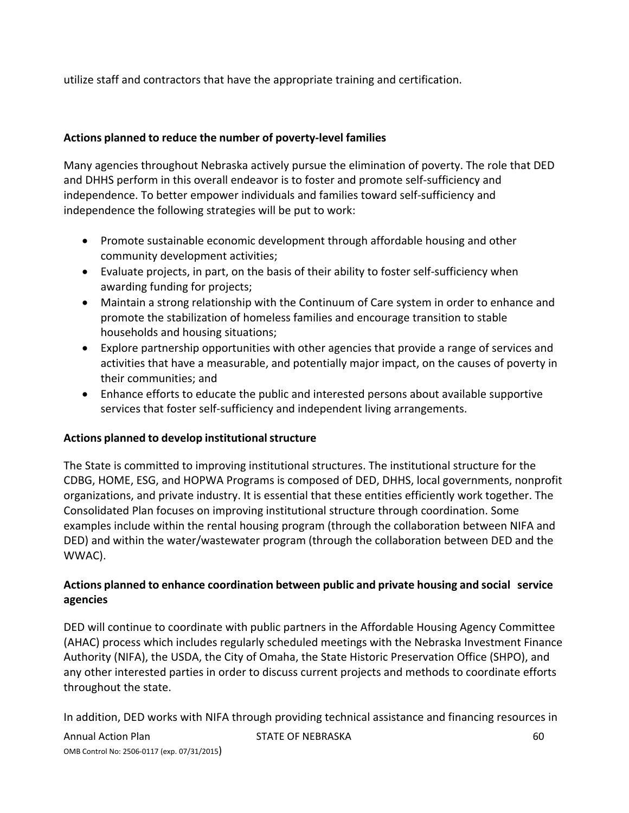utilize staff and contractors that have the appropriate training and certification.

## **Actions planned to reduce the number of poverty‐level families**

Many agencies throughout Nebraska actively pursue the elimination of poverty. The role that DED and DHHS perform in this overall endeavor is to foster and promote self‐sufficiency and independence. To better empower individuals and families toward self‐sufficiency and independence the following strategies will be put to work:

- Promote sustainable economic development through affordable housing and other community development activities;
- Evaluate projects, in part, on the basis of their ability to foster self‐sufficiency when awarding funding for projects;
- Maintain a strong relationship with the Continuum of Care system in order to enhance and promote the stabilization of homeless families and encourage transition to stable households and housing situations;
- Explore partnership opportunities with other agencies that provide a range of services and activities that have a measurable, and potentially major impact, on the causes of poverty in their communities; and
- Enhance efforts to educate the public and interested persons about available supportive services that foster self‐sufficiency and independent living arrangements.

## **Actions planned to develop institutionalstructure**

The State is committed to improving institutional structures. The institutional structure for the CDBG, HOME, ESG, and HOPWA Programs is composed of DED, DHHS, local governments, nonprofit organizations, and private industry. It is essential that these entities efficiently work together. The Consolidated Plan focuses on improving institutional structure through coordination. Some examples include within the rental housing program (through the collaboration between NIFA and DED) and within the water/wastewater program (through the collaboration between DED and the WWAC).

## **Actions planned to enhance coordination between public and private housing and social service agencies**

DED will continue to coordinate with public partners in the Affordable Housing Agency Committee (AHAC) process which includes regularly scheduled meetings with the Nebraska Investment Finance Authority (NIFA), the USDA, the City of Omaha, the State Historic Preservation Office (SHPO), and any other interested parties in order to discuss current projects and methods to coordinate efforts throughout the state.

In addition, DED works with NIFA through providing technical assistance and financing resources in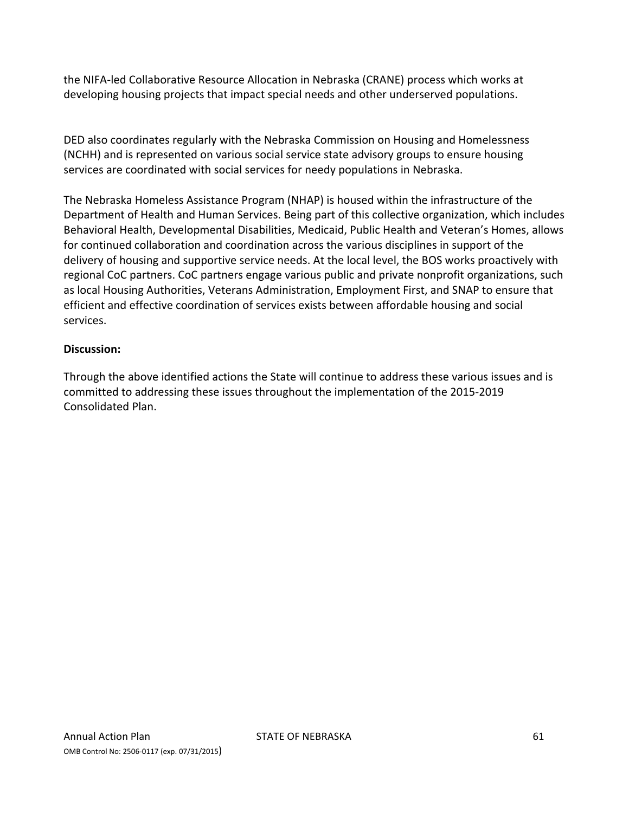the NIFA‐led Collaborative Resource Allocation in Nebraska (CRANE) process which works at developing housing projects that impact special needs and other underserved populations.

DED also coordinates regularly with the Nebraska Commission on Housing and Homelessness (NCHH) and is represented on various social service state advisory groups to ensure housing services are coordinated with social services for needy populations in Nebraska.

The Nebraska Homeless Assistance Program (NHAP) is housed within the infrastructure of the Department of Health and Human Services. Being part of this collective organization, which includes Behavioral Health, Developmental Disabilities, Medicaid, Public Health and Veteran's Homes, allows for continued collaboration and coordination across the various disciplines in support of the delivery of housing and supportive service needs. At the local level, the BOS works proactively with regional CoC partners. CoC partners engage various public and private nonprofit organizations, such as local Housing Authorities, Veterans Administration, Employment First, and SNAP to ensure that efficient and effective coordination of services exists between affordable housing and social services.

#### **Discussion:**

Through the above identified actions the State will continue to address these various issues and is committed to addressing these issues throughout the implementation of the 2015‐2019 Consolidated Plan.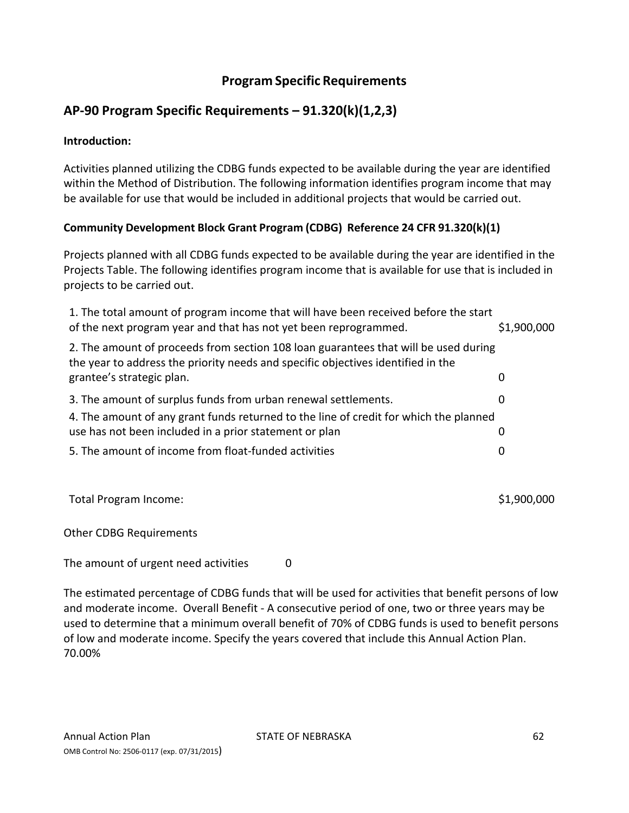## **Program Specific Requirements**

# **AP‐90 Program Specific Requirements – 91.320(k)(1,2,3)**

#### **Introduction:**

Activities planned utilizing the CDBG funds expected to be available during the year are identified within the Method of Distribution. The following information identifies program income that may be available for use that would be included in additional projects that would be carried out.

## **Community Development Block Grant Program (CDBG) Reference 24 CFR 91.320(k)(1)**

Projects planned with all CDBG funds expected to be available during the year are identified in the Projects Table. The following identifies program income that is available for use that is included in projects to be carried out.

| 1. The total amount of program income that will have been received before the start<br>of the next program year and that has not yet been reprogrammed.                 | \$1,900,000 |
|-------------------------------------------------------------------------------------------------------------------------------------------------------------------------|-------------|
| 2. The amount of proceeds from section 108 loan guarantees that will be used during<br>the year to address the priority needs and specific objectives identified in the |             |
| grantee's strategic plan.                                                                                                                                               | 0           |
| 3. The amount of surplus funds from urban renewal settlements.                                                                                                          | 0           |
| 4. The amount of any grant funds returned to the line of credit for which the planned                                                                                   |             |
| use has not been included in a prior statement or plan                                                                                                                  | 0           |
| 5. The amount of income from float-funded activities                                                                                                                    | 0           |
|                                                                                                                                                                         |             |

Total Program Income:  $$1,900,000$ 

Other CDBG Requirements

The amount of urgent need activities 0

The estimated percentage of CDBG funds that will be used for activities that benefit persons of low and moderate income. Overall Benefit ‐ A consecutive period of one, two or three years may be used to determine that a minimum overall benefit of 70% of CDBG funds is used to benefit persons of low and moderate income. Specify the years covered that include this Annual Action Plan. 70.00%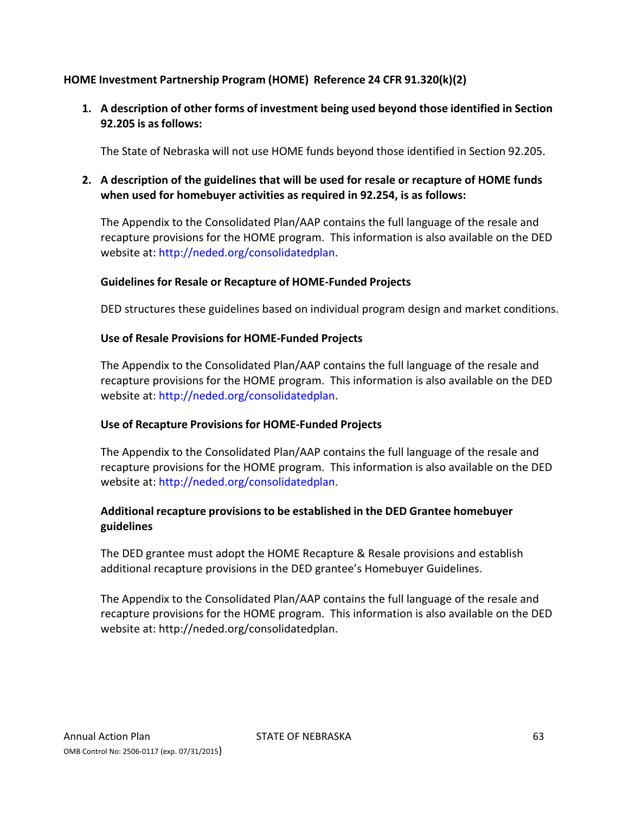## **HOME Investment Partnership Program (HOME) Reference 24 CFR 91.320(k)(2)**

**1. A description of other forms of investment being used beyond those identified in Section 92.205 is as follows:**

The State of Nebraska will not use HOME funds beyond those identified in Section 92.205.

## **2. A description of the guidelines that will be used for resale or recapture of HOME funds when used for homebuyer activities as required in 92.254, is as follows:**

The Appendix to the Consolidated Plan/AAP contains the full language of the resale and recapture provisions for the HOME program. This information is also available on the DED website at: http://neded.org/consolidatedplan.

#### **Guidelinesfor Resale or Recapture of HOME‐Funded Projects**

DED structures these guidelines based on individual program design and market conditions.

#### **Use of Resale Provisions for HOME‐Funded Projects**

The Appendix to the Consolidated Plan/AAP contains the full language of the resale and recapture provisions for the HOME program. This information is also available on the DED website at: http://neded.org/consolidatedplan.

#### **Use of Recapture Provisions for HOME‐Funded Projects**

The Appendix to the Consolidated Plan/AAP contains the full language of the resale and recapture provisions for the HOME program. This information is also available on the DED website at: http://neded.org/consolidatedplan.

## **Additional recapture provisions to be established in the DED Grantee homebuyer guidelines**

The DED grantee must adopt the HOME Recapture & Resale provisions and establish additional recapture provisions in the DED grantee's Homebuyer Guidelines.

The Appendix to the Consolidated Plan/AAP contains the full language of the resale and recapture provisions for the HOME program. This information is also available on the DED website at: http://neded.org/consolidatedplan.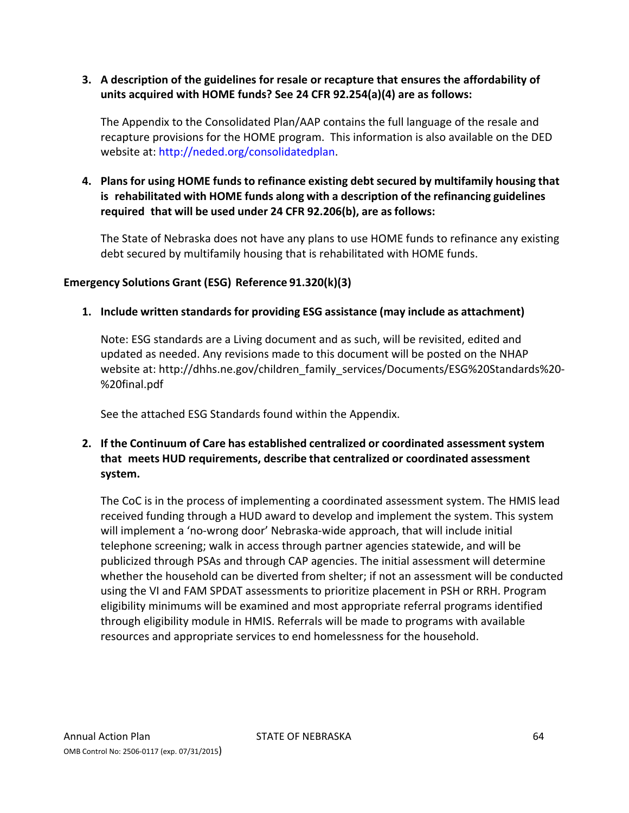## **3. A description of the guidelines for resale or recapture that ensures the affordability of units acquired with HOME funds? See 24 CFR 92.254(a)(4) are as follows:**

The Appendix to the Consolidated Plan/AAP contains the full language of the resale and recapture provisions for the HOME program. This information is also available on the DED website at: http://neded.org/consolidatedplan.

## **4. Plans for using HOME funds to refinance existing debt secured by multifamily housing that is rehabilitated with HOME funds along with a description of the refinancing guidelines required that will be used under 24 CFR 92.206(b), are as follows:**

The State of Nebraska does not have any plans to use HOME funds to refinance any existing debt secured by multifamily housing that is rehabilitated with HOME funds.

## **Emergency Solutions Grant (ESG) Reference 91.320(k)(3)**

#### **1. Include written standards for providing ESG assistance (may include as attachment)**

Note: ESG standards are a Living document and as such, will be revisited, edited and updated as needed. Any revisions made to this document will be posted on the NHAP website at: http://dhhs.ne.gov/children\_family\_services/Documents/ESG%20Standards%20-%20final.pdf

See the attached ESG Standards found within the Appendix.

## **2. If the Continuum of Care has established centralized or coordinated assessment system that meets HUD requirements, describe that centralized or coordinated assessment system.**

The CoC is in the process of implementing a coordinated assessment system. The HMIS lead received funding through a HUD award to develop and implement the system. This system will implement a 'no‐wrong door' Nebraska‐wide approach, that will include initial telephone screening; walk in access through partner agencies statewide, and will be publicized through PSAs and through CAP agencies. The initial assessment will determine whether the household can be diverted from shelter; if not an assessment will be conducted using the VI and FAM SPDAT assessments to prioritize placement in PSH or RRH. Program eligibility minimums will be examined and most appropriate referral programs identified through eligibility module in HMIS. Referrals will be made to programs with available resources and appropriate services to end homelessness for the household.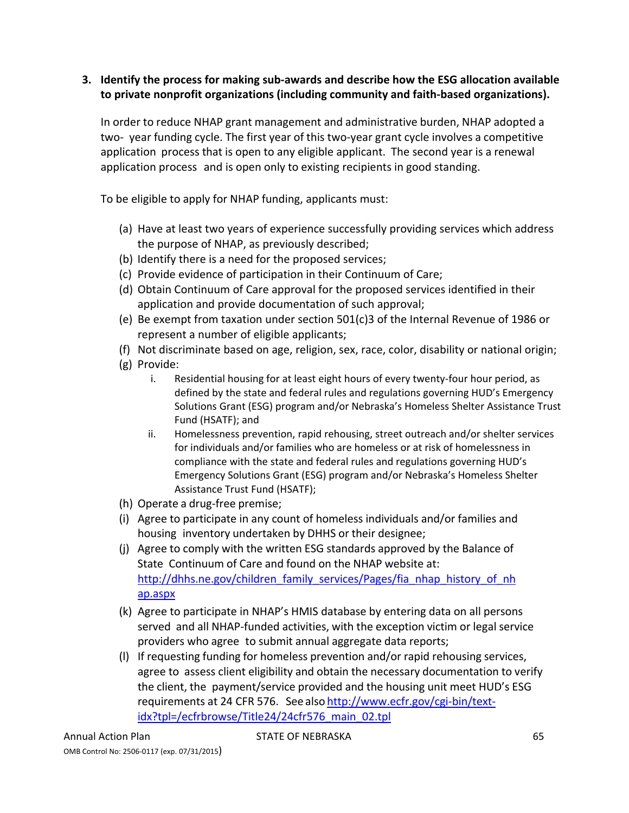## **3. Identify the process for making sub‐awards and describe how the ESG allocation available to private nonprofit organizations (including community and faith‐based organizations).**

In order to reduce NHAP grant management and administrative burden, NHAP adopted a two- year funding cycle. The first year of this two-year grant cycle involves a competitive application process that is open to any eligible applicant. The second year is a renewal application process and is open only to existing recipients in good standing.

To be eligible to apply for NHAP funding, applicants must:

- (a) Have at least two years of experience successfully providing services which address the purpose of NHAP, as previously described;
- (b) Identify there is a need for the proposed services;
- (c) Provide evidence of participation in their Continuum of Care;
- (d) Obtain Continuum of Care approval for the proposed services identified in their application and provide documentation of such approval;
- (e) Be exempt from taxation under section 501(c)3 of the Internal Revenue of 1986 or represent a number of eligible applicants;
- (f) Not discriminate based on age, religion, sex, race, color, disability or national origin;
- (g) Provide:
	- i. Residential housing for at least eight hours of every twenty‐four hour period, as defined by the state and federal rules and regulations governing HUD's Emergency Solutions Grant (ESG) program and/or Nebraska's Homeless Shelter Assistance Trust Fund (HSATF); and
	- ii. Homelessness prevention, rapid rehousing, street outreach and/or shelter services for individuals and/or families who are homeless or at risk of homelessness in compliance with the state and federal rules and regulations governing HUD's Emergency Solutions Grant (ESG) program and/or Nebraska's Homeless Shelter Assistance Trust Fund (HSATF);
- (h) Operate a drug‐free premise;
- (i) Agree to participate in any count of homeless individuals and/or families and housing inventory undertaken by DHHS or their designee;
- (j) Agree to comply with the written ESG standards approved by the Balance of State Continuum of Care and found on the NHAP website at: http://dhhs.ne.gov/children\_family\_services/Pages/fia\_nhap\_history\_of\_nh ap.aspx
- (k) Agree to participate in NHAP's HMIS database by entering data on all persons served and all NHAP-funded activities, with the exception victim or legal service providers who agree to submit annual aggregate data reports;
- (l) If requesting funding for homeless prevention and/or rapid rehousing services, agree to assess client eligibility and obtain the necessary documentation to verify the client, the payment/service provided and the housing unit meet HUD's ESG requirements at 24 CFR 576. See also http://www.ecfr.gov/cgi‐bin/text‐ idx?tpl=/ecfrbrowse/Title24/24cfr576\_main\_02.tpl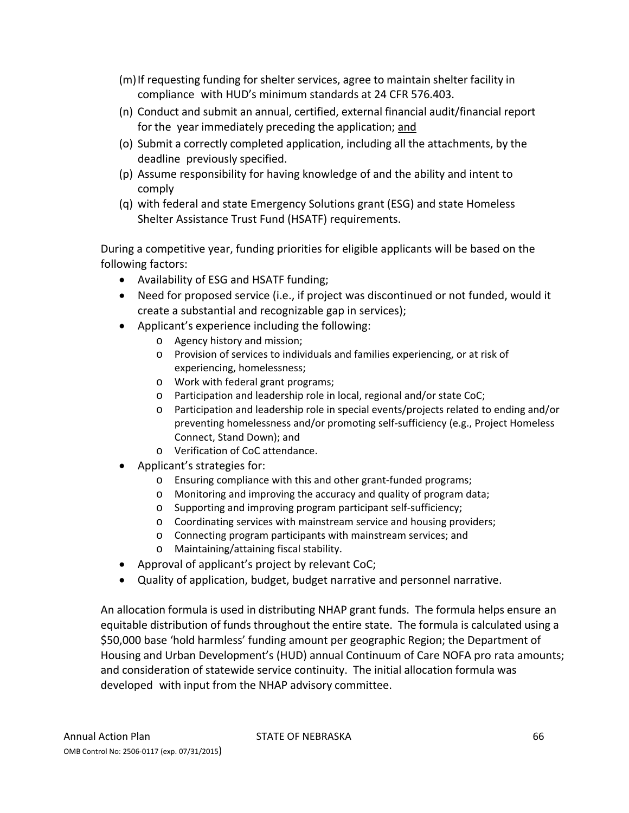- (m)If requesting funding for shelter services, agree to maintain shelter facility in compliance with HUD's minimum standards at 24 CFR 576.403.
- (n) Conduct and submit an annual, certified, external financial audit/financial report for the year immediately preceding the application; and
- (o) Submit a correctly completed application, including all the attachments, by the deadline previously specified.
- (p) Assume responsibility for having knowledge of and the ability and intent to comply
- (q) with federal and state Emergency Solutions grant (ESG) and state Homeless Shelter Assistance Trust Fund (HSATF) requirements.

During a competitive year, funding priorities for eligible applicants will be based on the following factors:

- Availability of ESG and HSATF funding;
- Need for proposed service (i.e., if project was discontinued or not funded, would it create a substantial and recognizable gap in services);
- Applicant's experience including the following:
	- o Agency history and mission;
	- o Provision of services to individuals and families experiencing, or at risk of experiencing, homelessness;
	- o Work with federal grant programs;
	- o Participation and leadership role in local, regional and/or state CoC;
	- o Participation and leadership role in special events/projects related to ending and/or preventing homelessness and/or promoting self‐sufficiency (e.g., Project Homeless Connect, Stand Down); and
	- o Verification of CoC attendance.
- Applicant's strategies for:
	- o Ensuring compliance with this and other grant‐funded programs;
	- o Monitoring and improving the accuracy and quality of program data;
	- o Supporting and improving program participant self‐sufficiency;
	- o Coordinating services with mainstream service and housing providers;
	- o Connecting program participants with mainstream services; and
	- o Maintaining/attaining fiscal stability.
- Approval of applicant's project by relevant CoC;
- Quality of application, budget, budget narrative and personnel narrative.

An allocation formula is used in distributing NHAP grant funds. The formula helps ensure an equitable distribution of funds throughout the entire state. The formula is calculated using a \$50,000 base 'hold harmless' funding amount per geographic Region; the Department of Housing and Urban Development's (HUD) annual Continuum of Care NOFA pro rata amounts; and consideration of statewide service continuity. The initial allocation formula was developed with input from the NHAP advisory committee.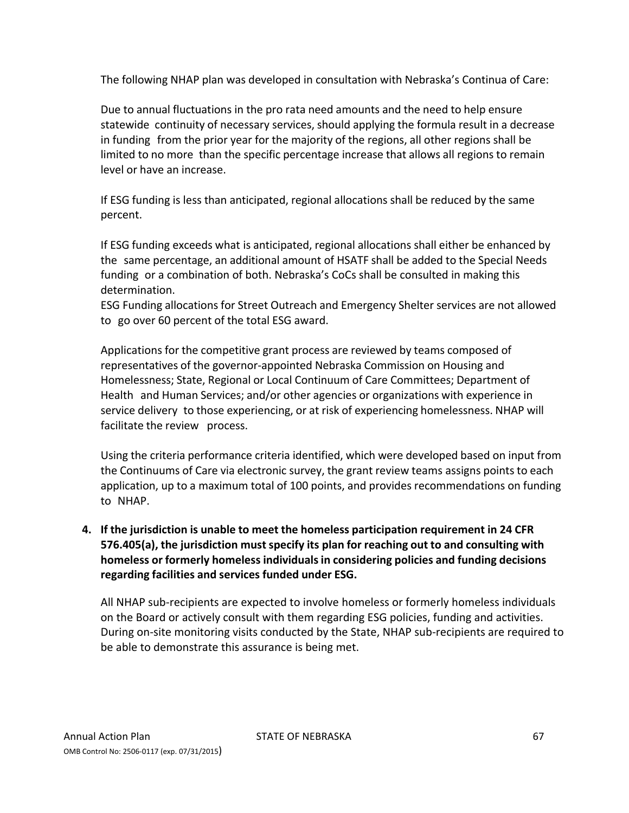The following NHAP plan was developed in consultation with Nebraska's Continua of Care:

Due to annual fluctuations in the pro rata need amounts and the need to help ensure statewide continuity of necessary services, should applying the formula result in a decrease in funding from the prior year for the majority of the regions, all other regions shall be limited to no more than the specific percentage increase that allows all regions to remain level or have an increase.

If ESG funding is less than anticipated, regional allocations shall be reduced by the same percent.

If ESG funding exceeds what is anticipated, regional allocations shall either be enhanced by the same percentage, an additional amount of HSATF shall be added to the Special Needs funding or a combination of both. Nebraska's CoCs shall be consulted in making this determination.

ESG Funding allocations for Street Outreach and Emergency Shelter services are not allowed to go over 60 percent of the total ESG award.

Applications for the competitive grant process are reviewed by teams composed of representatives of the governor‐appointed Nebraska Commission on Housing and Homelessness; State, Regional or Local Continuum of Care Committees; Department of Health and Human Services; and/or other agencies or organizations with experience in service delivery to those experiencing, or at risk of experiencing homelessness. NHAP will facilitate the review process.

Using the criteria performance criteria identified, which were developed based on input from the Continuums of Care via electronic survey, the grant review teams assigns points to each application, up to a maximum total of 100 points, and provides recommendations on funding to NHAP.

## **4. If the jurisdiction is unable to meet the homeless participation requirement in 24 CFR 576.405(a), the jurisdiction mustspecify its plan for reaching out to and consulting with homeless or formerly homeless individualsin considering policies and funding decisions regarding facilities and services funded under ESG.**

All NHAP sub‐recipients are expected to involve homeless or formerly homeless individuals on the Board or actively consult with them regarding ESG policies, funding and activities. During on‐site monitoring visits conducted by the State, NHAP sub‐recipients are required to be able to demonstrate this assurance is being met.